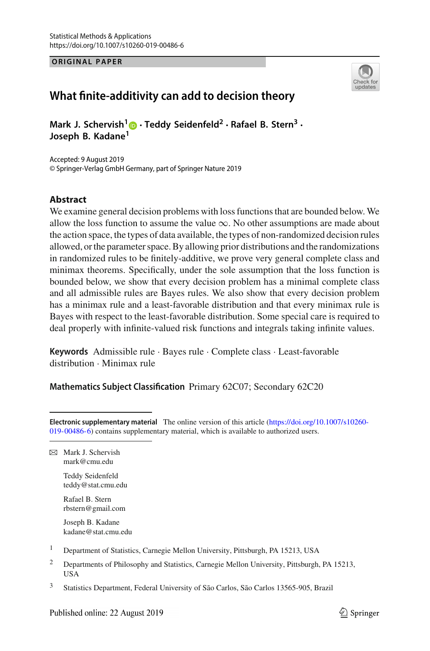**ORIGINAL PAPER**



# **What finite-additivity can add to decision theory**

**Mark J. Schervish<sup>1</sup> · Teddy Seidenfeld2 · Rafael B. Stern<sup>3</sup> · Joseph B. Kadane[1](http://orcid.org/0000-0001-8550-9268)**

Accepted: 9 August 2019 © Springer-Verlag GmbH Germany, part of Springer Nature 2019

### **Abstract**

We examine general decision problems with loss functions that are bounded below. We allow the loss function to assume the value  $\infty$ . No other assumptions are made about the action space, the types of data available, the types of non-randomized decision rules allowed, or the parameter space. By allowing prior distributions and the randomizations in randomized rules to be finitely-additive, we prove very general complete class and minimax theorems. Specifically, under the sole assumption that the loss function is bounded below, we show that every decision problem has a minimal complete class and all admissible rules are Bayes rules. We also show that every decision problem has a minimax rule and a least-favorable distribution and that every minimax rule is Bayes with respect to the least-favorable distribution. Some special care is required to deal properly with infinite-valued risk functions and integrals taking infinite values.

**Keywords** Admissible rule · Bayes rule · Complete class · Least-favorable distribution · Minimax rule

**Mathematics Subject Classification** Primary 62C07; Secondary 62C20

**Electronic supplementary material** The online version of this article [\(https://doi.org/10.1007/s10260-](https://doi.org/10.1007/s10260-019-00486-6) [019-00486-6\)](https://doi.org/10.1007/s10260-019-00486-6) contains supplementary material, which is available to authorized users.

Teddy Seidenfeld teddy@stat.cmu.edu

Rafael B. Stern rbstern@gmail.com

Joseph B. Kadane kadane@stat.cmu.edu

- <sup>1</sup> Department of Statistics, Carnegie Mellon University, Pittsburgh, PA 15213, USA
- <sup>2</sup> Departments of Philosophy and Statistics, Carnegie Mellon University, Pittsburgh, PA 15213, USA

 $\boxtimes$  Mark J. Schervish mark@cmu.edu

<sup>3</sup> Statistics Department, Federal University of São Carlos, São Carlos 13565-905, Brazil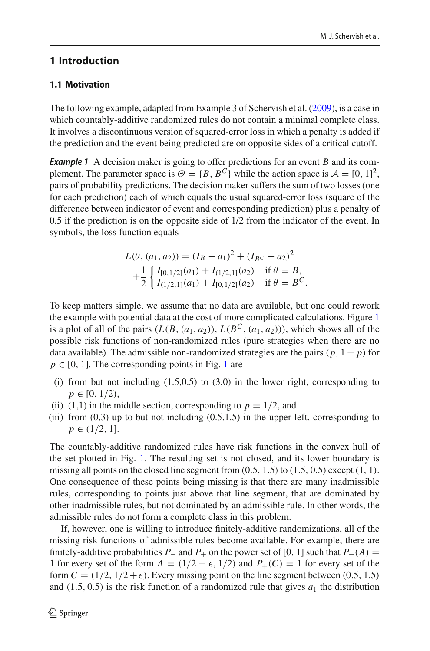# **1 Introduction**

# **1.1 Motivation**

The following example, adapted from Example 3 of Schervish et al[.](#page-26-0) [\(2009](#page-26-0)), is a case in which countably-additive randomized rules do not contain a minimal complete class. It involves a discontinuous version of squared-error loss in which a penalty is added if the prediction and the event being predicted are on opposite sides of a critical cutoff.

*Example 1* A decision maker is going to offer predictions for an event *B* and its complement. The parameter space is  $\Theta = \{B, B^C\}$  while the action space is  $\mathcal{A} = [0, 1]^2$ , pairs of probability predictions. The decision maker suffers the sum of two losses (one for each prediction) each of which equals the usual squared-error loss (square of the difference between indicator of event and corresponding prediction) plus a penalty of 0.5 if the prediction is on the opposite side of 1/2 from the indicator of the event. In symbols, the loss function equals

<span id="page-1-0"></span>
$$
L(\theta, (a_1, a_2)) = (I_B - a_1)^2 + (I_B c - a_2)^2
$$
  
+ 
$$
\frac{1}{2} \begin{cases} I_{[0,1/2]}(a_1) + I_{(1/2,1]}(a_2) & \text{if } \theta = B, \\ I_{(1/2,1]}(a_1) + I_{[0,1/2]}(a_2) & \text{if } \theta = B^C. \end{cases}
$$

To keep matters simple, we assume that no data are available, but one could rework the example with potential data at the cost of more complicated calculations. Figure [1](#page-2-0) is a plot of all of the pairs  $(L(B, (a_1, a_2)), L(B^C, (a_1, a_2)))$ , which shows all of the possible risk functions of non-randomized rules (pure strategies when there are no data available). The admissible non-randomized strategies are the pairs  $(p, 1 - p)$  for  $p \in [0, 1]$  $p \in [0, 1]$  $p \in [0, 1]$ . The corresponding points in Fig. 1 are

- (i) from but not including  $(1.5,0.5)$  to  $(3,0)$  in the lower right, corresponding to  $p \in [0, 1/2),$
- (ii) (1,1) in the middle section, corresponding to  $p = 1/2$ , and
- (iii) from  $(0,3)$  up to but not including  $(0.5,1.5)$  in the upper left, corresponding to  $p \in (1/2, 1].$

The countably-additive randomized rules have risk functions in the convex hull of the set plotted in Fig. [1.](#page-2-0) The resulting set is not closed, and its lower boundary is missing all points on the closed line segment from  $(0.5, 1.5)$  to  $(1.5, 0.5)$  except $(1, 1)$ . One consequence of these points being missing is that there are many inadmissible rules, corresponding to points just above that line segment, that are dominated by other inadmissible rules, but not dominated by an admissible rule. In other words, the admissible rules do not form a complete class in this problem.

If, however, one is willing to introduce finitely-additive randomizations, all of the missing risk functions of admissible rules become available. For example, there are finitely-additive probabilities *P*<sub>−</sub> and *P*<sub>+</sub> on the power set of [0, 1] such that  $P_-(A)$  = 1 for every set of the form  $A = (1/2 - \epsilon, 1/2)$  and  $P_+(C) = 1$  for every set of the form  $C = (1/2, 1/2 + \epsilon)$ . Every missing point on the line segment between (0.5, 1.5) and  $(1.5, 0.5)$  is the risk function of a randomized rule that gives  $a_1$  the distribution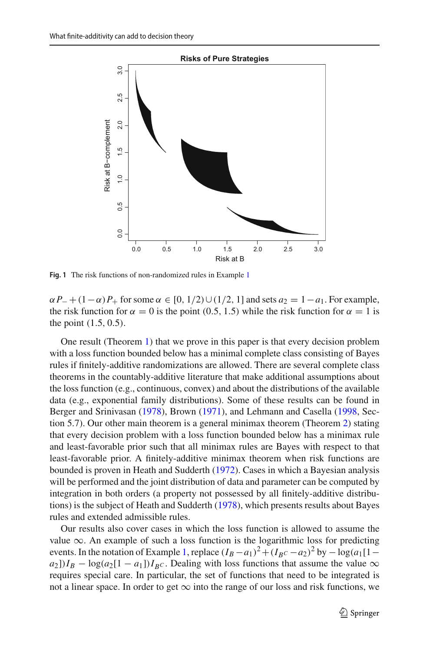

<span id="page-2-0"></span>**Fig. 1** The risk functions of non-randomized rules in Example [1](#page-1-0)

 $\alpha P_{-} + (1 - \alpha)P_{+}$  for some  $\alpha \in [0, 1/2) \cup (1/2, 1]$  and sets  $a_2 = 1 - a_1$ . For example, the risk function for  $\alpha = 0$  is the point (0.5, 1.5) while the risk function for  $\alpha = 1$  is the point (1.5, 0.5).

One result (Theorem [1\)](#page-11-0) that we prove in this paper is that every decision problem with a loss function bounded below has a minimal complete class consisting of Bayes rules if finitely-additive randomizations are allowed. There are several complete class theorems in the countably-additive literature that make additional assumptions about the loss function (e.g., continuous, convex) and about the distributions of the available data (e.g., exponential family distributions). Some of these results can be found in Berger and Srinivasa[n](#page-25-0) [\(1978](#page-25-0)), Brow[n](#page-26-1) [\(1971\)](#page-26-1), and Lehmann and Casella [\(1998](#page-26-2), Section 5.7). Our other main theorem is a general minimax theorem (Theorem [2\)](#page-13-0) stating that every decision problem with a loss function bounded below has a minimax rule and least-favorable prior such that all minimax rules are Bayes with respect to that least-favorable prior. A finitely-additive minimax theorem when risk functions are bounded is proven in Heath and Suddert[h](#page-26-3) [\(1972](#page-26-3)). Cases in which a Bayesian analysis will be performed and the joint distribution of data and parameter can be computed by integration in both orders (a property not possessed by all finitely-additive distributions) is the subject of Heath and Suddert[h](#page-26-4) [\(1978\)](#page-26-4), which presents results about Bayes rules and extended admissible rules.

Our results also cover cases in which the loss function is allowed to assume the value  $\infty$ . An example of such a loss function is the logarithmic loss for predicting events. In the notation of Example [1,](#page-1-0) replace  $(I_B - a_1)^2 + (I_{BC} - a_2)^2$  by  $-\log(a_1[1$  $a_2$ ])*IB* − log( $a_2$ [1 −  $a_1$ ])*I<sub>B</sub>c*. Dealing with loss functions that assume the value ∞ requires special care. In particular, the set of functions that need to be integrated is not a linear space. In order to get  $\infty$  into the range of our loss and risk functions, we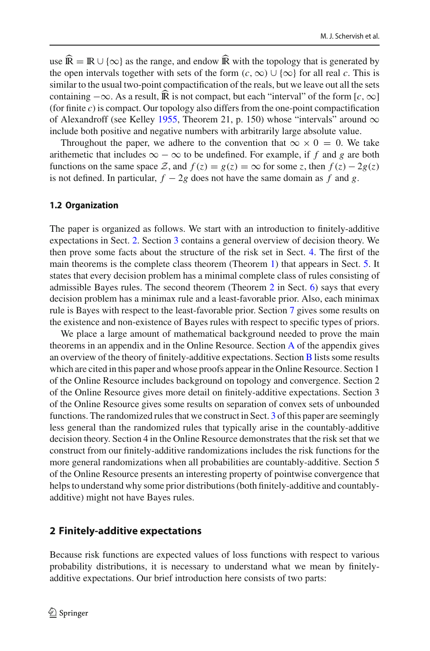use  $\widehat{\mathbb{R}} = \mathbb{R} \cup \{\infty\}$  as the range, and endow  $\widehat{\mathbb{R}}$  with the topology that is generated by the open intervals together with sets of the form  $(c, \infty) \cup \{\infty\}$  for all real *c*. This is similar to the usual two-point compactification of the reals, but we leave out all the sets containing  $-\infty$ . As a result, IR is not compact, but each "interval" of the form  $[c, \infty]$ (for finite *c*) is compact. Our topology also differs from the one-point compactification of Alexandroff (see Kelley [1955](#page-26-5), Theorem 21, p. 150) whose "intervals" around  $\infty$ include both positive and negative numbers with arbitrarily large absolute value.

Throughout the paper, we adhere to the convention that  $\infty \times 0 = 0$ . We take arithemetic that includes ∞−∞ to be undefined. For example, if *f* and *g* are both functions on the same space *Z*, and  $f(z) = g(z) = \infty$  for some *z*, then  $f(z) - 2g(z)$ is not defined. In particular,  $f - 2g$  does not have the same domain as  $f$  and  $g$ .

### **1.2 Organization**

The paper is organized as follows. We start with an introduction to finitely-additive expectations in Sect. [2.](#page-3-0) Section [3](#page-6-0) contains a general overview of decision theory. We then prove some facts about the structure of the risk set in Sect. [4.](#page-9-0) The first of the main theorems is the complete class theorem (Theorem [1\)](#page-11-0) that appears in Sect. [5.](#page-11-1) It states that every decision problem has a minimal complete class of rules consisting of admissible Bayes rules. The second theorem (Theorem [2](#page-13-0) in Sect. [6\)](#page-13-1) says that every decision problem has a minimax rule and a least-favorable prior. Also, each minimax rule is Bayes with respect to the least-favorable prior. Section [7](#page-14-0) gives some results on the existence and non-existence of Bayes rules with respect to specific types of priors.

We place a large amount of mathematical background needed to prove the main theorems in an appendix and in the Online Resource. Section [A](#page-18-0) of the appendix gives an overview of the theory of finitely-additive expectations. Section [B](#page-24-0) lists some results which are cited in this paper and whose proofs appear in the Online Resource. Section 1 of the Online Resource includes background on topology and convergence. Section 2 of the Online Resource gives more detail on finitely-additive expectations. Section 3 of the Online Resource gives some results on separation of convex sets of unbounded functions. The randomized rules that we construct in Sect. [3](#page-6-0) of this paper are seemingly less general than the randomized rules that typically arise in the countably-additive decision theory. Section 4 in the Online Resource demonstrates that the risk set that we construct from our finitely-additive randomizations includes the risk functions for the more general randomizations when all probabilities are countably-additive. Section 5 of the Online Resource presents an interesting property of pointwise convergence that helps to understand why some prior distributions (both finitely-additive and countablyadditive) might not have Bayes rules.

# <span id="page-3-0"></span>**2 Finitely-additive expectations**

Because risk functions are expected values of loss functions with respect to various probability distributions, it is necessary to understand what we mean by finitelyadditive expectations. Our brief introduction here consists of two parts: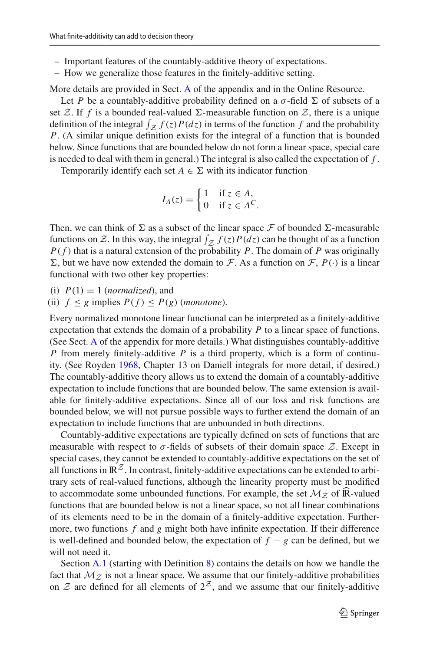- Important features of the countably-additive theory of expectations.
- How we generalize those features in the finitely-additive setting.

More details are provided in Sect. [A](#page-18-0) of the appendix and in the Online Resource.

Let *P* be a countably-additive probability defined on a  $\sigma$ -field  $\Sigma$  of subsets of a set  $\mathcal Z$ . If  $f$  is a bounded real-valued  $\Sigma$ -measurable function on  $\mathcal Z$ , there is a unique definition of the integral  $\int_{Z} f(z) P(dz)$  in terms of the function *f* and the probability *P*. (A similar unique definition oviets for the integral of a function that is bounded *P*. (A similar unique definition exists for the integral of a function that is bounded below. Since functions that are bounded below do not form a linear space, special care is needed to deal with them in general.) The integral is also called the expectation of *f* .

Temporarily identify each set  $A \in \Sigma$  with its indicator function

$$
I_A(z) = \begin{cases} 1 & \text{if } z \in A, \\ 0 & \text{if } z \in A^C. \end{cases}
$$

Then, we can think of  $\Sigma$  as a subset of the linear space  $\mathcal F$  of bounded  $\Sigma$ -measurable functions on *Z*. In this way, the integral  $\int_{Z} f(z)P(dz)$  can be thought of as a function  $P(f)$  that is a natural extension of the probability *P*. The domain of *P* was originally  $\Sigma$ , but we have now extended the domain to *F*. As a function on *F*, *P*(·) is a linear functional with two other key properties:

(i)  $P(1) = 1$  (*normalized*), and

(ii)  $f \leq g$  implies  $P(f) \leq P(g)$  (*monotone*).

Every normalized monotone linear functional can be interpreted as a finitely-additive expectation that extends the domain of a probability *P* to a linear space of functions. (See Sect. [A](#page-18-0) of the appendix for more details.) What distinguishes countably-additive *P* from merely finitely-additive *P* is a third property, which is a form of continuity. (See Royde[n](#page-26-6) [1968](#page-26-6), Chapter 13 on Daniell integrals for more detail, if desired.) The countably-additive theory allows us to extend the domain of a countably-additive expectation to include functions that are bounded below. The same extension is available for finitely-additive expectations. Since all of our loss and risk functions are bounded below, we will not pursue possible ways to further extend the domain of an expectation to include functions that are unbounded in both directions.

Countably-additive expectations are typically defined on sets of functions that are measurable with respect to  $\sigma$ -fields of subsets of their domain space  $\mathcal Z$ . Except in special cases, they cannot be extended to countably-additive expectations on the set of all functions in  $\mathbb{R}^2$ . In contrast, finitely-additive expectations can be extended to arbitrary sets of real-valued functions, although the linearity property must be modified to accommodate some unbounded functions. For example, the set  $M_z$  of  $\widehat{R}$ -valued functions that are bounded below is not a linear space, so not all linear combinations of its elements need to be in the domain of a finitely-additive expectation. Furthermore, two functions *f* and *g* might both have infinite expectation. If their difference is well-defined and bounded below, the expectation of  $f - g$  can be defined, but we will not need it.

Section [A.1](#page-18-1) (starting with Definition [8\)](#page-19-0) contains the details on how we handle the fact that  $M_Z$  is not a linear space. We assume that our finitely-additive probabilities on  $Z$  are defined for all elements of  $2^Z$ , and we assume that our finitely-additive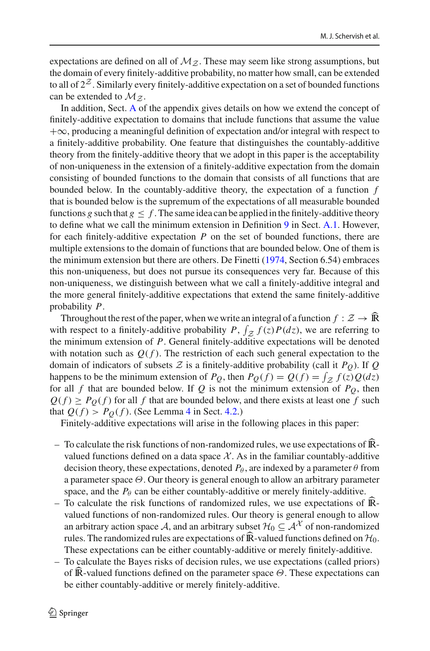expectations are defined on all of  $M_z$ . These may seem like strong assumptions, but the domain of every finitely-additive probability, no matter how small, can be extended to all of  $2^{\mathcal{Z}}$ . Similarly every finitely-additive expectation on a set of bounded functions can be extended to  $M_z$ .

In addition, Sect. [A](#page-18-0) of the appendix gives details on how we extend the concept of finitely-additive expectation to domains that include functions that assume the value +∞, producing a meaningful definition of expectation and/or integral with respect to a finitely-additive probability. One feature that distinguishes the countably-additive theory from the finitely-additive theory that we adopt in this paper is the acceptability of non-uniqueness in the extension of a finitely-additive expectation from the domain consisting of bounded functions to the domain that consists of all functions that are bounded below. In the countably-additive theory, the expectation of a function *f* that is bounded below is the supremum of the expectations of all measurable bounded functions *g* such that  $g \leq f$ . The same idea can be applied in the finitely-additive theory to define what we call the minimum extension in Definition [9](#page-21-0) in Sect. [A.1.](#page-18-1) However, for each finitely-additive expectation *P* on the set of bounded functions, there are multiple extensions to the domain of functions that are bounded below. One of them is the minimum extension but there are others. De Finetti [\(1974,](#page-26-7) Section 6.54) embraces this non-uniqueness, but does not pursue its consequences very far. Because of this non-uniqueness, we distinguish between what we call a finitely-additive integral and the more general finitely-additive expectations that extend the same finitely-additive probability *P*.

Throughout the rest of the paper, when we write an integral of a function  $f : \mathcal{Z} \to \widehat{\mathbb{R}}$ with respect to a finitely-additive probability  $P$ ,  $\int_{Z} f(z)P(dz)$ , we are referring to the minimum autonoion of *P*. Concret finitely additive automotions will be denoted the minimum extension of *P*. General finitely-additive expectations will be denoted with notation such as  $Q(f)$ . The restriction of each such general expectation to the domain of indicators of subsets  $Z$  is a finitely-additive probability (call it  $P_Q$ ). If  $Q$ happens to be the minimum extension of  $P_Q$ , then  $P_Q(f) = Q(f) = \int_Z f(z)Q(dz)$ <br>for all f, that are haveded halow. If Q is not the minimum autonion of  $P_Q$ , then for all  $f$  that are bounded below. If  $Q$  is not the minimum extension of  $P_Q$ , then  $Q(f) \ge P_O(f)$  for all *f* that are bounded below, and there exists at least one *f* such that  $Q(f) > P<sub>O</sub>(f)$ . (See Lemma [4](#page-11-2) in Sect. [4.2.](#page-11-3))

Finitely-additive expectations will arise in the following places in this paper:

- To calculate the risk functions of non-randomized rules, we use expectations of IR valued functions defined on a data space  $X$ . As in the familiar countably-additive decision theory, these expectations, denoted  $P_{\theta}$ , are indexed by a parameter  $\theta$  from a parameter space  $\Theta$ . Our theory is general enough to allow an arbitrary parameter space, and the  $P_{\theta}$  can be either countably-additive or merely finitely-additive.
- To calculate the risk functions of randomized rules, we use expectations of  $\widehat{\mathbb{R}}$ valued functions of non-randomized rules. Our theory is general enough to allow an arbitrary action space *A*, and an arbitrary subset  $H_0 \subseteq A^{\mathcal{X}}$  of non-randomized rules. The randomized rules are expectations of  $\widehat{\mathbb{R}}$ -valued functions defined on  $\mathcal{H}_0$ . These expectations can be either countably-additive or merely finitely-additive.
- To calculate the Bayes risks of decision rules, we use expectations (called priors) of  $\widehat{R}$ -valued functions defined on the parameter space  $\Theta$ . These expectations can be either countably-additive or merely finitely-additive.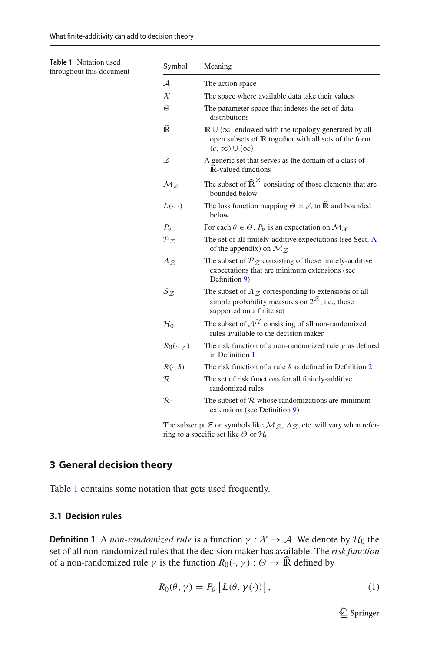<span id="page-6-2"></span>**Table 1** Notation used throughout this document

| Symbol                      | Meaning                                                                                                                                                         |
|-----------------------------|-----------------------------------------------------------------------------------------------------------------------------------------------------------------|
| $\mathcal{A}$               | The action space                                                                                                                                                |
| X                           | The space where available data take their values                                                                                                                |
| Θ                           | The parameter space that indexes the set of data<br>distributions                                                                                               |
| îŔ                          | $\mathbb{R} \cup \{\infty\}$ endowed with the topology generated by all<br>open subsets of IR together with all sets of the form<br>$(c, \infty) \cup {\infty}$ |
| $\mathcal Z$                | A generic set that serves as the domain of a class of<br>IR-valued functions                                                                                    |
| $\mathcal{M}_{\mathcal{Z}}$ | The subset of $\widehat{\mathbb{R}}^{\mathcal{Z}}$ consisting of those elements that are<br>bounded below                                                       |
| $L(\cdot, \cdot)$           | The loss function mapping $\Theta \times A$ to $\widehat{\mathbb{R}}$ and bounded<br>helow                                                                      |
| $P_{\theta}$                | For each $\theta \in \Theta$ , $P_{\theta}$ is an expectation on $\mathcal{M}_{\mathcal{X}}$                                                                    |
| $\mathcal{P}_\mathcal{Z}$   | The set of all finitely-additive expectations (see Sect. A<br>of the appendix) on $\mathcal{M}_{z}$                                                             |
| $A_{\mathcal{Z}}$           | The subset of $P_Z$ consisting of those finitely-additive<br>expectations that are minimum extensions (see<br>Definition 9)                                     |
| $\mathcal{S}_{\mathcal{Z}}$ | The subset of $A_{Z}$ corresponding to extensions of all<br>simple probability measures on $2^{\mathcal{Z}}$ , i.e., those<br>supported on a finite set         |
| H <sub>0</sub>              | The subset of $A^{\mathcal{X}}$ consisting of all non-randomized<br>rules available to the decision maker                                                       |
| $R_0(\cdot, \gamma)$        | The risk function of a non-randomized rule $\gamma$ as defined<br>in Definition 1                                                                               |
| $R(\cdot, \delta)$          | The risk function of a rule $\delta$ as defined in Definition 2                                                                                                 |
| R.                          | The set of risk functions for all finitely-additive<br>randomized rules                                                                                         |
| $\mathcal{R}_1$             | The subset of $R$ whose randomizations are minimum<br>extensions (see Definition 9)                                                                             |

The subscript  $Z$  on symbols like  $M_Z$ ,  $\Lambda_Z$ , etc. will vary when referring to a specific set like Θ or *H*<sup>0</sup>

# <span id="page-6-0"></span>**3 General decision theory**

Table [1](#page-6-2) contains some notation that gets used frequently.

# **3.1 Decision rules**

<span id="page-6-1"></span>**Definition 1** A *non-randomized rule* is a function  $\gamma : \mathcal{X} \to \mathcal{A}$ . We denote by  $\mathcal{H}_0$  the set of all non-randomized rules that the decision maker has available. The *risk function* of a non-randomized rule  $\gamma$  is the function  $R_0(\cdot, \gamma) : \Theta \to \widehat{\mathbb{R}}$  defined by

<span id="page-6-3"></span>
$$
R_0(\theta, \gamma) = P_\theta \left[ L(\theta, \gamma(\cdot)) \right], \tag{1}
$$

<sup>2</sup> Springer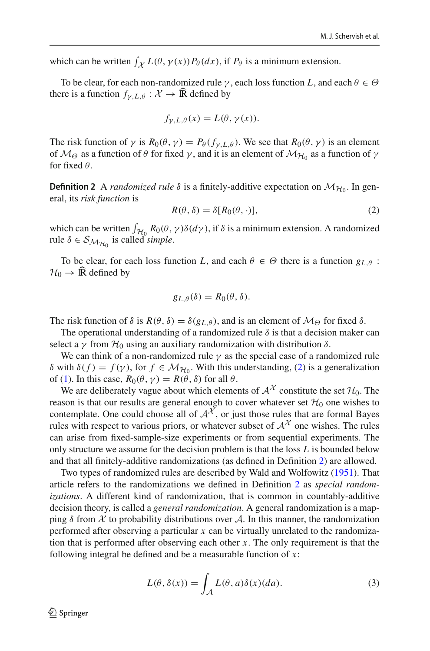which can be written  $\int_{\mathcal{X}} L(\theta, \gamma(x)) P_{\theta}(dx)$ , if  $P_{\theta}$  is a minimum extension.

To be clear, for each non-randomized rule  $\gamma$ , each loss function *L*, and each  $\theta \in \Theta$ there is a function  $f_{\gamma,L,\theta}: \mathcal{X} \to \widehat{\mathbb{R}}$  defined by

$$
f_{\gamma,L,\theta}(x) = L(\theta, \gamma(x)).
$$

<span id="page-7-0"></span>The risk function of  $\gamma$  is  $R_0(\theta, \gamma) = P_\theta(f_{\gamma, L, \theta})$ . We see that  $R_0(\theta, \gamma)$  is an element of  $M_\Theta$  as a function of  $\theta$  for fixed  $\gamma$ , and it is an element of  $M_{\mathcal{H}_0}$  as a function of  $\gamma$ for fixed  $\theta$ .

**Definition 2** A *randomized rule*  $\delta$  is a finitely-additive expectation on  $\mathcal{M}_{\mathcal{H}_0}$ . In general, its *risk function* is

<span id="page-7-1"></span>
$$
R(\theta, \delta) = \delta[R_0(\theta, \cdot)],\tag{2}
$$

which can be written  $\int_{\mathcal{H}_0} R_0(\theta, \gamma) \delta(d\gamma)$ , if  $\delta$  is a minimum extension. A randomized rule  $\delta \in S_{\mathcal{M}_{\mathcal{H}_0}}$  is called *simple*.

To be clear, for each loss function *L*, and each  $\theta \in \Theta$  there is a function  $g_{L,\theta}$ :  $\mathcal{H}_0 \rightarrow \widehat{\mathbb{R}}$  defined by

$$
g_{L,\theta}(\delta)=R_0(\theta,\delta).
$$

The risk function of  $\delta$  is  $R(\theta, \delta) = \delta(g_L, \theta)$ , and is an element of  $\mathcal{M}_{\Theta}$  for fixed  $\delta$ .

The operational understanding of a randomized rule  $\delta$  is that a decision maker can select a  $\gamma$  from  $\mathcal{H}_0$  using an auxiliary randomization with distribution  $\delta$ .

We can think of a non-randomized rule  $\gamma$  as the special case of a randomized rule δ with  $δ(f) = f(γ)$ , for  $f ∈ M_{H_0}$ . With this understanding, [\(2\)](#page-7-1) is a generalization of [\(1\)](#page-6-3). In this case,  $R_0(\theta, \gamma) = R(\theta, \delta)$  for all  $\theta$ .

We are deliberately vague about which elements of  $A^{\mathcal{X}}$  constitute the set  $\mathcal{H}_0$ . The reason is that our results are general enough to cover whatever set  $H_0$  one wishes to contemplate. One could choose all of  $A^{\mathcal{X}}$ , or just those rules that are formal Bayes rules with respect to various priors, or whatever subset of  $A^{\mathcal{X}}$  one wishes. The rules can arise from fixed-sample-size experiments or from sequential experiments. The only structure we assume for the decision problem is that the loss *L* is bounded below and that all finitely-additive randomizations (as defined in Definition [2\)](#page-7-0) are allowed.

Two types of randomized rules are described by Wald and Wolfowit[z](#page-26-8) [\(1951\)](#page-26-8). That article refers to the randomizations we defined in Definition [2](#page-7-0) as *special randomizations*. A different kind of randomization, that is common in countably-additive decision theory, is called a *general randomization*. A general randomization is a mapping  $\delta$  from  $\chi$  to probability distributions over  $\mathcal A$ . In this manner, the randomization performed after observing a particular *x* can be virtually unrelated to the randomization that is performed after observing each other *x*. The only requirement is that the following integral be defined and be a measurable function of *x*:

<span id="page-7-2"></span>
$$
L(\theta, \delta(x)) = \int_{\mathcal{A}} L(\theta, a)\delta(x)(da).
$$
 (3)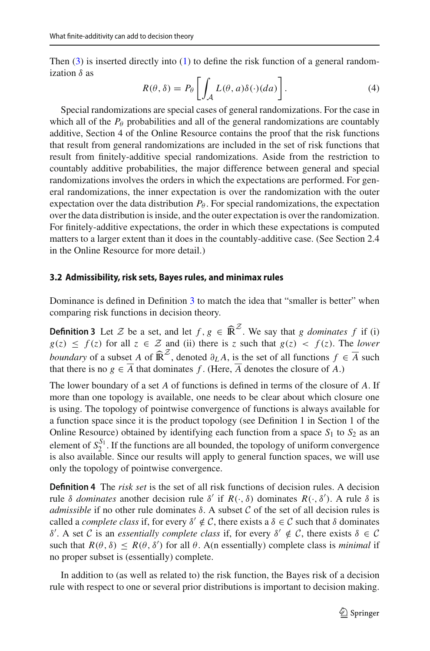Then [\(3\)](#page-7-2) is inserted directly into [\(1\)](#page-6-3) to define the risk function of a general randomization  $\delta$  as

$$
R(\theta, \delta) = P_{\theta} \left[ \int_{\mathcal{A}} L(\theta, a) \delta(\cdot) (da) \right]. \tag{4}
$$

Special randomizations are special cases of general randomizations. For the case in which all of the  $P_{\theta}$  probabilities and all of the general randomizations are countably additive, Section 4 of the Online Resource contains the proof that the risk functions that result from general randomizations are included in the set of risk functions that result from finitely-additive special randomizations. Aside from the restriction to countably additive probabilities, the major difference between general and special randomizations involves the orders in which the expectations are performed. For general randomizations, the inner expectation is over the randomization with the outer expectation over the data distribution  $P_{\theta}$ . For special randomizations, the expectation over the data distribution is inside, and the outer expectation is over the randomization. For finitely-additive expectations, the order in which these expectations is computed matters to a larger extent than it does in the countably-additive case. (See Section 2.4 in the Online Resource for more detail.)

#### **3.2 Admissibility, risk sets, Bayes rules, and minimax rules**

<span id="page-8-0"></span>Dominance is defined in Definition [3](#page-8-0) to match the idea that "smaller is better" when comparing risk functions in decision theory.

**Definition 3** Let *Z* be a set, and let  $f, g \in \widehat{\mathbb{R}}^{\mathbb{Z}}$ . We say that *g dominates f* if (i)  $g(z) \leq f(z)$  for all  $z \in \mathcal{Z}$  and (ii) there is *z* such that  $g(z) \leq f(z)$ . The *lower boundary* of a subset *A* of  $\widehat{\mathbb{R}}^{\mathcal{Z}}$ , denoted  $\partial_L A$ , is the set of all functions  $f \in \overline{A}$  such that there is no  $g \in \overline{A}$  that dominates f. (Here,  $\overline{A}$  denotes the closure of A.)

The lower boundary of a set *A* of functions is defined in terms of the closure of *A*. If more than one topology is available, one needs to be clear about which closure one is using. The topology of pointwise convergence of functions is always available for a function space since it is the product topology (see Definition 1 in Section 1 of the Online Resource) obtained by identifying each function from a space  $S_1$  to  $S_2$  as an element of  $S_2^{S_1}$ . If the functions are all bounded, the topology of uniform convergence is also available. Since our results will apply to general function spaces, we will use only the topology of pointwise convergence.

**Definition 4** The *risk set* is the set of all risk functions of decision rules. A decision rule  $\delta$  *dominates* another decision rule  $\delta'$  if  $R(\cdot, \delta)$  dominates  $R(\cdot, \delta')$ . A rule  $\delta$  is *admissible* if no other rule dominates  $\delta$ . A subset  $C$  of the set of all decision rules is called a *complete class* if, for every  $\delta' \notin C$ , there exists a  $\delta \in C$  such that  $\delta$  dominates  $δ'$ . A set *C* is an *essentially complete class* if, for every  $δ' ∉ C$ , there exists  $δ ∈ C$ such that  $R(\theta, \delta) \leq R(\theta, \delta')$  for all  $\theta$ . A(n essentially) complete class is *minimal* if no proper subset is (essentially) complete.

In addition to (as well as related to) the risk function, the Bayes risk of a decision rule with respect to one or several prior distributions is important to decision making.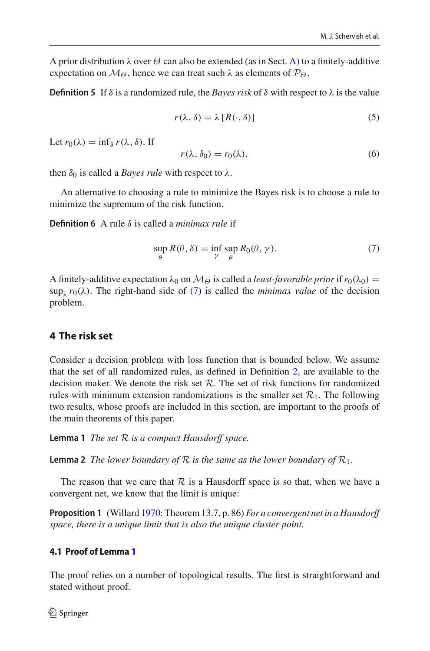A prior distribution  $\lambda$  over  $\Theta$  can also be extended (as in Sect. [A\)](#page-18-0) to a finitely-additive expectation on  $\mathcal{M}_{\Theta}$ , hence we can treat such  $\lambda$  as elements of  $\mathcal{P}_{\Theta}$ .

**Definition 5** If  $\delta$  is a randomized rule, the *Bayes risk* of  $\delta$  with respect to  $\lambda$  is the value

$$
r(\lambda, \delta) = \lambda [R(\cdot, \delta)] \tag{5}
$$

Let  $r_0(\lambda) = \inf_{\delta} r(\lambda, \delta)$ . If

$$
r(\lambda, \delta_0) = r_0(\lambda), \tag{6}
$$

then  $\delta_0$  is called a *Bayes rule* with respect to  $\lambda$ .

An alternative to choosing a rule to minimize the Bayes risk is to choose a rule to minimize the supremum of the risk function.

**Definition 6** A rule δ is called a *minimax rule* if

<span id="page-9-1"></span>
$$
\sup_{\theta} R(\theta, \delta) = \inf_{\gamma} \sup_{\theta} R_0(\theta, \gamma).
$$
 (7)

A finitely-additive expectation  $\lambda_0$  on  $\mathcal{M}_{\Theta}$  is called a *least-favorable prior* if  $r_0(\lambda_0)$  = sup<sub> $\lambda$ </sub>  $r_0(\lambda)$ . The right-hand side of [\(7\)](#page-9-1) is called the *minimax value* of the decision problem.

# <span id="page-9-0"></span>**4 The risk set**

Consider a decision problem with loss function that is bounded below. We assume that the set of all randomized rules, as defined in Definition [2,](#page-7-0) are available to the decision maker. We denote the risk set *R*. The set of risk functions for randomized rules with minimum extension randomizations is the smaller set  $\mathcal{R}_1$ . The following two results, whose proofs are included in this section, are important to the proofs of the main theorems of this paper.

<span id="page-9-4"></span><span id="page-9-2"></span>**Lemma 1** *The set R is a compact Hausdorff space.*

**Lemma 2** *The lower boundary of*  $R$  *is the same as the lower boundary of*  $R_1$ *.* 

The reason that we care that  $R$  is a Hausdorff space is so that, when we have a convergent net, we know that the limit is unique:

**Proposition 1** (Willar[d](#page-26-9) [1970:](#page-26-9) Theorem 13.7, p. 86) *For a convergent net in a Hausdorff space, there is a unique limit that is also the unique cluster point.*

### **4.1 Proof of Lemma [1](#page-9-2)**

<span id="page-9-3"></span>The proof relies on a number of topological results. The first is straightforward and stated without proof.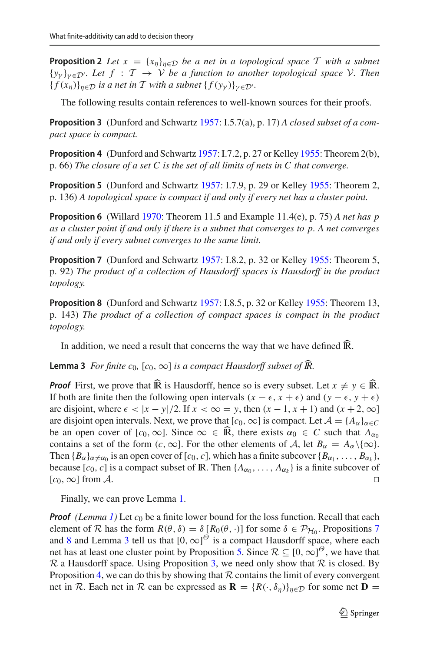**Proposition 2** *Let*  $x = \{x_n\}_{n \in \mathcal{D}}$  *be a net in a topological space*  $\mathcal{T}$  *with a subnet*  ${y_{\nu}}_{\nu \in \mathcal{D}'}$ *. Let*  $f : T \to V$  *be a function to another topological space*  $V$ *. Then*  ${f(x_n)}_{n \in \mathcal{D}}$  *is a net in T with a subnet*  ${f(y_\nu)}_{\nu \in \mathcal{D}'}$ .

<span id="page-10-4"></span>The following results contain references to well-known sources for their proofs.

**Proposition 3** (Dunford and Schwart[z](#page-26-10) [1957](#page-26-10): I.5.7(a), p. 17) *A closed subset of a compact space is compact.*

<span id="page-10-5"></span>**Proposition 4** (Dunford and Schwart[z](#page-26-10) [1957](#page-26-10): I.7.2, p. 27 or Kelle[y](#page-26-5) [1955:](#page-26-5) Theorem 2(b), p. 66) *The closure of a set C is the set of all limits of nets in C that converge.*

<span id="page-10-3"></span>**Proposition 5** (Dunford and Schwart[z](#page-26-10) [1957](#page-26-10): I.7.9, p. 29 or Kelle[y](#page-26-5) [1955:](#page-26-5) Theorem 2, p. 136) *A topological space is compact if and only if every net has a cluster point.*

<span id="page-10-6"></span>**Proposition 6** (Willar[d](#page-26-9) [1970:](#page-26-9) Theorem 11.5 and Example 11.4(e), p. 75) *A net has p as a cluster point if and only if there is a subnet that converges to p. A net converges if and only if every subnet converges to the same limit.*

<span id="page-10-0"></span>**Proposition 7** (Dunford and Schwart[z](#page-26-10) [1957](#page-26-10): I.8.2, p. 32 or Kelle[y](#page-26-5) [1955:](#page-26-5) Theorem 5, p. 92) *The product of a collection of Hausdorff spaces is Hausdorff in the product topology.*

<span id="page-10-1"></span>**Proposition 8** (Dunford and Schwart[z](#page-26-10) [1957](#page-26-10): I.8.5, p. 32 or Kelle[y](#page-26-5) [1955](#page-26-5): Theorem 13, p. 143) *The product of a collection of compact spaces is compact in the product topology.*

<span id="page-10-2"></span>In addition, we need a result that concerns the way that we have defined  $\widehat{IR}$ .

**Lemma 3** *For finite c*<sub>0</sub>*,* [*c*<sub>0</sub>*,*  $\infty$ ] *is a compact Hausdorff subset of*  $\widehat{I}$ *R.* 

*Proof* First, we prove that  $\widehat{\mathbb{R}}$  is Hausdorff, hence so is every subset. Let  $x \neq y \in \widehat{\mathbb{R}}$ . If both are finite then the following open intervals  $(x - \epsilon, x + \epsilon)$  and  $(y - \epsilon, y + \epsilon)$ are disjoint, where  $\epsilon < |x - y|/2$ . If  $x < \infty = y$ , then  $(x - 1, x + 1)$  and  $(x + 2, \infty)$ are disjoint open intervals. Next, we prove that  $[c_0, \infty]$  is compact. Let  $A = \{A_\alpha\}_{\alpha \in C}$ be an open cover of  $[c_0, \infty]$ . Since  $\infty \in \widehat{\mathbb{R}}$ , there exists  $\alpha_0 \in C$  such that  $A_{\alpha_0}$ contains a set of the form  $(c, \infty]$ . For the other elements of *A*, let  $B_{\alpha} = A_{\alpha} \setminus \{\infty\}$ . Then  ${B_\alpha}_{\alpha\neq \alpha_0}$  is an open cover of  $[c_0, c]$ , which has a finite subcover  ${B_{\alpha_1}, \ldots, B_{\alpha_k}}$ , because  $[c_0, c]$  is a compact subset of **R**. Then  $\{A_{\alpha_0}, \ldots, A_{\alpha_k}\}$  is a finite subcover of  $[c_0, ∞]$  from *A*.  $□$ 

Finally, we can prove Lemma [1.](#page-9-2)

*Proof (Lemma [1\)](#page-9-2)* Let  $c_0$  be a finite lower bound for the loss function. Recall that each element of *R* has the form  $R(\theta, \delta) = \delta [R_0(\theta, \cdot)]$  for some  $\delta \in \mathcal{P}_{\mathcal{H}_0}$ . Propositions [7](#page-10-0) and [8](#page-10-1) and Lemma [3](#page-10-2) tell us that  $[0, \infty]^\Theta$  is a compact Hausdorff space, where each net has at least one cluster point by Proposition [5.](#page-10-3) Since  $\mathcal{R} \subseteq [0, \infty]^{\Theta}$ , we have that  $R$  a Hausdorff space. Using Proposition [3,](#page-10-4) we need only show that  $R$  is closed. By Proposition [4,](#page-10-5) we can do this by showing that  $R$  contains the limit of every convergent net in *R*. Each net in *R* can be expressed as  $\mathbf{R} = \{R(\cdot,\delta_n)\}_{n \in \mathcal{D}}$  for some net  $\mathbf{D} =$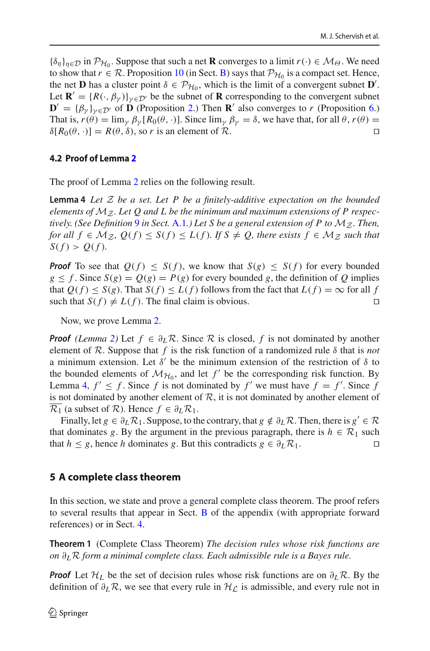${\delta_n}_{n \in \mathcal{D}}$  in  $\mathcal{P}_{\mathcal{H}_0}$ . Suppose that such a net **R** converges to a limit  $r(\cdot) \in \mathcal{M}_{\Theta}$ . We need to show that  $r \in \mathcal{R}$ . Proposition [10](#page-24-1) (in Sect. [B\)](#page-24-0) says that  $\mathcal{P}_{\mathcal{H}_0}$  is a compact set. Hence, the net **D** has a cluster point  $\delta \in \mathcal{P}_{\mathcal{H}_0}$ , which is the limit of a convergent subnet **D**<sup>'</sup>. Let  $\mathbf{R}' = \{R(\cdot,\beta_{\nu})\}_{\nu \in \mathcal{D}'}$  be the subnet of **R** corresponding to the convergent subnet  $\mathbf{D}' = {\beta_{\gamma}}_{\gamma \in \mathcal{D}'}$  of **D** (Proposition [2.](#page-9-3)) Then **R**<sup>'</sup> also converges to *r* (Proposition [6.](#page-10-6)) That is,  $r(\theta) = \lim_{\gamma} \beta_{\gamma} [R_0(\theta, \cdot)]$ . Since  $\lim_{\gamma} \beta_{\gamma} = \delta$ , we have that, for all  $\theta$ ,  $r(\theta) =$  $\delta[R_0(\theta, \cdot)] = R(\theta, \delta)$ , so *r* is an element of *R*.

### <span id="page-11-3"></span><span id="page-11-2"></span>**4.2 Proof of Lemma [2](#page-9-4)**

The proof of Lemma [2](#page-9-4) relies on the following result.

**Lemma 4** *Let Z be a set. Let P be a finitely-additive expectation on the bounded elements of*  $M_z$ . Let Q and L be the minimum and maximum extensions of P respec*tively. (See Definition* [9](#page-21-0) *in Sect.* [A.1](#page-18-1)*.) Let S be a general extension of P to MZ. Then, for all*  $f \in M_{\mathcal{Z}}$ ,  $Q(f) \leq S(f) \leq L(f)$ *. If*  $S \neq Q$ *, there exists*  $f \in M_{\mathcal{Z}}$  *such that*  $S(f) > Q(f)$ .

*Proof* To see that  $Q(f) \leq S(f)$ , we know that  $S(g) \leq S(f)$  for every bounded  $g \le f$ . Since  $S(g) = Q(g) = P(g)$  for every bounded *g*, the definition of *Q* implies that  $Q(f) \leq S(g)$ . That  $S(f) \leq L(f)$  follows from the fact that  $L(f) = \infty$  for all *f* such that  $S(f) \neq L(f)$ . The final claim is obvious. such that  $S(f) \neq L(f)$ . The final claim is obvious.

Now, we prove Lemma [2.](#page-9-4)

*Proof* (*Lemma* [2\)](#page-9-4) Let  $f \in \partial_L \mathcal{R}$ . Since  $\mathcal{R}$  is closed, f is not dominated by another element of *R*. Suppose that *f* is the risk function of a randomized rule δ that is *not* a minimum extension. Let  $\delta'$  be the minimum extension of the restriction of  $\delta$  to the bounded elements of  $\mathcal{M}_{\mathcal{H}_0}$ , and let  $f'$  be the corresponding risk function. By Lemma [4,](#page-11-2)  $f' \leq f$ . Since f is not dominated by  $f'$  we must have  $f = f'$ . Since f is not dominated by another element of  $R$ , it is not dominated by another element of *R*<sub>1</sub> (a subset of *R*). Hence *f* ∈  $\partial_L R_1$ .

Finally, let  $g \in \partial_L \mathcal{R}_1$ . Suppose, to the contrary, that  $g \notin \partial_L \mathcal{R}$ . Then, there is  $g' \in \mathcal{R}$ that dominates *g*. By the argument in the previous paragraph, there is  $h \in \mathcal{R}_1$  such that  $h \leq g$  hence *h* dominates *g*. But this contradicts  $g \in \partial_L \mathcal{R}_1$ that  $h \leq g$ , hence *h* dominates *g*. But this contradicts  $g \in \partial_L \mathcal{R}_1$ .

# <span id="page-11-1"></span>**5 A complete class theorem**

In this section, we state and prove a general complete class theorem. The proof refers to several results that appear in Sect. [B](#page-24-0) of the appendix (with appropriate forward references) or in Sect. [4.](#page-9-0)

<span id="page-11-0"></span>**Theorem 1** (Complete Class Theorem) *The decision rules whose risk functions are on* ∂*LR form a minimal complete class. Each admissible rule is a Bayes rule.*

*Proof* Let  $H_L$  be the set of decision rules whose risk functions are on  $\partial_L R$ . By the definition of  $\partial_L \mathcal{R}$ , we see that every rule in  $\mathcal{H}_L$  is admissible, and every rule not in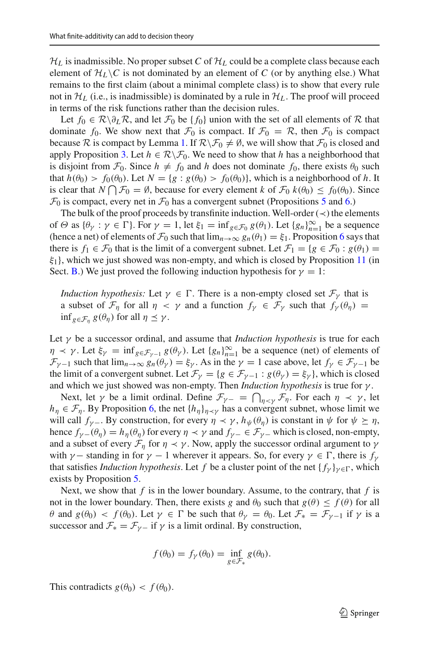$H_L$  is inadmissible. No proper subset *C* of  $H_L$  could be a complete class because each element of  $H_L \backslash C$  is not dominated by an element of *C* (or by anything else.) What remains to the first claim (about a minimal complete class) is to show that every rule not in  $\mathcal{H}_L$  (i.e., is inadmissible) is dominated by a rule in  $\mathcal{H}_L$ . The proof will proceed in terms of the risk functions rather than the decision rules.

Let  $f_0$  ∈  $\mathcal{R}\setminus\partial_L\mathcal{R}$ , and let  $\mathcal{F}_0$  be { $f_0$ } union with the set of all elements of  $\mathcal R$  that dominate  $f_0$ . We show next that  $\mathcal{F}_0$  is compact. If  $\mathcal{F}_0 = \mathcal{R}$ , then  $\mathcal{F}_0$  is compact because *R* is compact by Lemma [1.](#page-9-2) If  $R\setminus F_0 \neq \emptyset$ , we will show that  $F_0$  is closed and apply Proposition [3.](#page-10-4) Let  $h \in \mathcal{R} \backslash \mathcal{F}_0$ . We need to show that *h* has a neighborhood that is disjoint from  $\mathcal{F}_0$ . Since  $h \neq f_0$  and *h* does not dominate  $f_0$ , there exists  $\theta_0$  such that  $h(\theta_0) > f_0(\theta_0)$ . Let  $N = \{g : g(\theta_0) > f_0(\theta_0)\}$ , which is a neighborhood of *h*. It is clear that  $N \bigcap \mathcal{F}_0 = \emptyset$ , because for every element  $k$  of  $\mathcal{F}_0$   $k(\theta_0) \leq f_0(\theta_0)$ . Since  $\mathcal{F}_0$  is compact, every net in  $\mathcal{F}_0$  has a convergent subnet (Propositions [5](#page-10-3) and [6.](#page-10-6))

The bulk of the proof proceeds by transfinite induction. Well-order  $(\prec)$  the elements of Θ as  $\{\theta_{\gamma} : \gamma \in \Gamma\}$ . For  $\gamma = 1$ , let  $\xi_1 = \inf_{g \in \mathcal{F}_0} g(\theta_1)$ . Let  $\{g_n\}_{n=1}^{\infty}$  be a sequence (hence a net) of elements of  $\mathcal{F}_0$  such that  $\lim_{n\to\infty} g_n(\theta_1) = \xi_1$ . Proposition [6](#page-10-6) says that there is  $f_1 \in \mathcal{F}_0$  that is the limit of a convergent subnet. Let  $\mathcal{F}_1 = \{g \in \mathcal{F}_0 : g(\theta_1) = 0\}$  $\xi_1$ , which we just showed was non-empty, and which is closed by Proposition [11](#page-25-1) (in Sect. [B.](#page-24-0)) We just proved the following induction hypothesis for  $\gamma = 1$ :

*Induction hypothesis:* Let  $\gamma \in \Gamma$ . There is a non-empty closed set  $\mathcal{F}_{\gamma}$  that is a subset of  $\mathcal{F}_{\eta}$  for all  $\eta < \gamma$  and a function  $f_{\gamma} \in \mathcal{F}_{\gamma}$  such that  $f_{\gamma}(\theta_{\eta}) =$  $\inf_{g \in \mathcal{F}_n} g(\theta_\eta)$  for all  $\eta \leq \gamma$ .

Let  $\gamma$  be a successor ordinal, and assume that *Induction hypothesis* is true for each  $\eta \prec \gamma$ . Let  $\xi_{\gamma} = \inf_{g \in \mathcal{F}_{\gamma-1}} g(\theta_{\gamma})$ . Let  $\{g_n\}_{n=1}^{\infty}$  be a sequence (net) of elements of  $\mathcal{F}_{\gamma-1}$  such that  $\lim_{n\to\infty} g_n(\theta_\gamma) = \xi_\gamma$ . As in the  $\gamma = 1$  case above, let  $f_\gamma \in \mathcal{F}_{\gamma-1}$  be the limit of a convergent subnet. Let  $\mathcal{F}_{\gamma} = \{g \in \mathcal{F}_{\gamma-1} : g(\theta_{\gamma}) = \xi_{\gamma}\}\$ , which is closed and which we just showed was non-empty. Then *Induction hypothesis* is true for γ .

Next, let  $\gamma$  be a limit ordinal. Define  $\mathcal{F}_{\gamma-} = \bigcap_{\eta < \gamma} \mathcal{F}_{\eta}$ . For each  $\eta \prec \gamma$ , let  $h_n \in \mathcal{F}_n$ . By Proposition [6,](#page-10-6) the net  $\{h_n\}_{n \leq \gamma}$  has a convergent subnet, whose limit we will call  $f_{\gamma-}$ . By construction, for every  $\eta \prec \gamma$ ,  $h_{\psi}(\theta_{\eta})$  is constant in  $\psi$  for  $\psi \succeq \eta$ , hence  $f_{\gamma-}(\theta_{\eta}) = h_{\eta}(\theta_{\eta})$  for every  $\eta \prec \gamma$  and  $f_{\gamma-} \in \mathcal{F}_{\gamma-}$  which is closed, non-empty, and a subset of every  $\mathcal{F}_n$  for  $\eta \prec \gamma$ . Now, apply the successor ordinal argument to  $\gamma$ with  $\gamma$  – standing in for  $\gamma$  – 1 wherever it appears. So, for every  $\gamma \in \Gamma$ , there is  $f_{\gamma}$ that satisfies *Induction hypothesis*. Let *f* be a cluster point of the net  $\{f_\gamma\}_{\gamma \in \Gamma}$ , which exists by Proposition [5.](#page-10-3)

Next, we show that *f* is in the lower boundary. Assume, to the contrary, that *f* is not in the lower boundary. Then, there exists *g* and  $\theta_0$  such that  $g(\theta) \leq f(\theta)$  for all *θ* and *g*( $θ_0$ ) < *f*( $θ_0$ ). Let γ ∈ Γ be such that  $θ_γ = θ_0$ . Let  $\mathcal{F}_∗ = \mathcal{F}_{γ-1}$  if γ is a successor and  $\mathcal{F}_* = \mathcal{F}_{\gamma-}$  if  $\gamma$  is a limit ordinal. By construction,

$$
f(\theta_0) = f_\gamma(\theta_0) = \inf_{g \in \mathcal{F}_*} g(\theta_0).
$$

This contradicts  $g(\theta_0) < f(\theta_0)$ .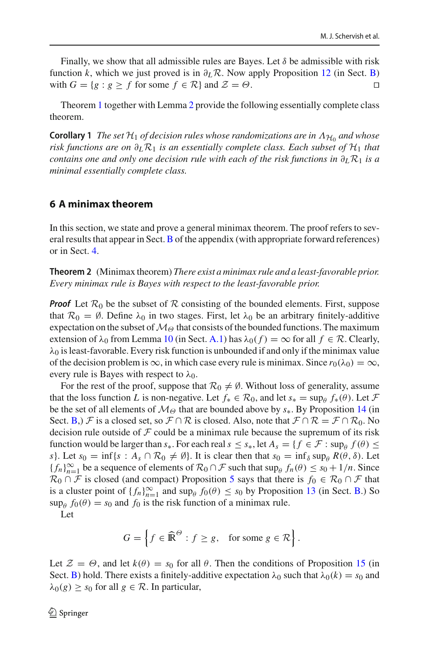Finally, we show that all admissible rules are Bayes. Let  $\delta$  be admissible with risk function *k*, which we just proved is in  $\partial_L \mathcal{R}$ . Now apply Proposition [12](#page-25-2) (in Sect. [B\)](#page-24-0) with  $G = \{g : g > f \text{ for some } f \in \mathcal{R}\}$  and  $\mathcal{Z} = \Theta$ with  $G = \{g : g \geq f \text{ for some } f \in \mathcal{R}\}\$ and  $\mathcal{Z} = \Theta$ .

<span id="page-13-2"></span>Theorem [1](#page-11-0) together with Lemma [2](#page-9-4) provide the following essentially complete class theorem.

**Corollary 1** *The set*  $H_1$  *of decision rules whose randomizations are in*  $\Lambda_{H_0}$  *and whose risk functions are on* ∂*LR*<sup>1</sup> *is an essentially complete class. Each subset of H*<sup>1</sup> *that contains one and only one decision rule with each of the risk functions in*  $\partial_L \mathcal{R}_1$  *is a minimal essentially complete class.*

# <span id="page-13-1"></span>**6 A minimax theorem**

In this section, we state and prove a general minimax theorem. The proof refers to several results that appear in Sect. [B](#page-24-0) of the appendix (with appropriate forward references) or in Sect. [4.](#page-9-0)

<span id="page-13-0"></span>**Theorem 2** (Minimax theorem) *There exist a minimax rule and a least-favorable prior. Every minimax rule is Bayes with respect to the least-favorable prior.*

*Proof* Let  $\mathcal{R}_0$  be the subset of  $\mathcal{R}$  consisting of the bounded elements. First, suppose that  $\mathcal{R}_0 = \emptyset$ . Define  $\lambda_0$  in two stages. First, let  $\lambda_0$  be an arbitrary finitely-additive expectation on the subset of  $\mathcal{M}_{\Theta}$  that consists of the bounded functions. The maximum extension of  $\lambda_0$  from Lemma [10](#page-21-1) (in Sect. [A.1\)](#page-18-1) has  $\lambda_0(f) = \infty$  for all  $f \in \mathcal{R}$ . Clearly,  $\lambda_0$  is least-favorable. Every risk function is unbounded if and only if the minimax value of the decision problem is  $\infty$ , in which case every rule is minimax. Since  $r_0(\lambda_0) = \infty$ , every rule is Bayes with respect to  $\lambda_0$ .

For the rest of the proof, suppose that  $\mathcal{R}_0 \neq \emptyset$ . Without loss of generality, assume that the loss function *L* is non-negative. Let  $f_* \in \mathcal{R}_0$ , and let  $s_* = \sup_{\theta} f_*(\theta)$ . Let  $\mathcal F$ be the set of all elements of  $\mathcal{M}_{\Theta}$  that are bounded above by  $s_{*}$ . By Proposition [14](#page-25-3) (in Sect. [B,](#page-24-0)) *F* is a closed set, so  $\mathcal{F} \cap \mathcal{R}$  is closed. Also, note that  $\mathcal{F} \cap \mathcal{R} = \mathcal{F} \cap \mathcal{R}_0$ . No decision rule outside of *F* could be a minimax rule because the supremum of its risk function would be larger than  $s_*$ . For each real  $s \leq s_*$ , let  $A_s = \{f \in \mathcal{F} : \sup_{\theta} f(\theta) \leq \theta\}$ *s*}. Let  $s_0 = \inf\{s : A_s \cap \mathcal{R}_0 \neq \emptyset\}$ . It is clear then that  $s_0 = \inf_{\delta} \sup_{\theta} R(\theta, \delta)$ . Let  ${f_n}_{n=1}^{\infty}$  be a sequence of elements of  $\mathcal{R}_0 \cap \mathcal{F}$  such that  $\sup_{\theta} f_n(\theta) \le s_0 + 1/n$ . Since  $\mathcal{R}_0 \cap \mathcal{F}$  is closed (and compact) Proposition [5](#page-10-3) says that there is  $f_0 \in \mathcal{R}_0 \cap \mathcal{F}$  that is a cluster point of  $\{f_n\}_{n=1}^{\infty}$  and  $\sup_{\theta} f_0(\theta) \leq s_0$  by Proposition [13](#page-25-4) (in Sect. [B.](#page-24-0)) So  $\sup_{\theta} f_0(\theta) = s_0$  and  $f_0$  is the risk function of a minimax rule.

Let

$$
G = \left\{ f \in \widehat{\mathbb{R}}^{\Theta} : f \ge g, \text{ for some } g \in \mathcal{R} \right\}.
$$

Let  $\mathcal{Z} = \Theta$ , and let  $k(\theta) = s_0$  for all  $\theta$ . Then the conditions of Proposition [15](#page-25-5) (in Sect. [B\)](#page-24-0) hold. There exists a finitely-additive expectation  $\lambda_0$  such that  $\lambda_0(k) = s_0$  and  $\lambda_0(g) \geq s_0$  for all  $g \in \mathcal{R}$ . In particular,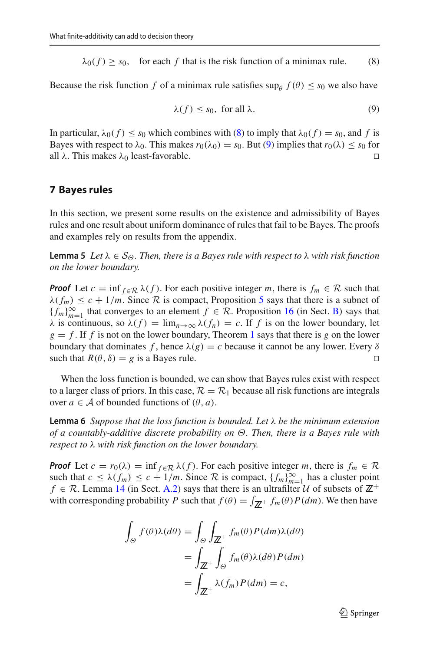<span id="page-14-1"></span> $\lambda_0(f) \geq s_0$ , for each f that is the risk function of a minimax rule. (8)

Because the risk function *f* of a minimax rule satisfies sup<sub> $\alpha$ </sub>  $f(\theta) < s_0$  we also have

<span id="page-14-2"></span>
$$
\lambda(f) \le s_0, \text{ for all } \lambda. \tag{9}
$$

In particular,  $\lambda_0(f) \leq s_0$  which combines with [\(8\)](#page-14-1) to imply that  $\lambda_0(f) = s_0$ , and f is Bayes with respect to  $\lambda_0$ . This makes  $r_0(\lambda_0) = s_0$ . But [\(9\)](#page-14-2) implies that  $r_0(\lambda) \leq s_0$  for all  $\lambda$ . This makes  $\lambda_0$  least-favorable all  $\lambda$ . This makes  $\lambda_0$  least-favorable.

### <span id="page-14-0"></span>**7 Bayes rules**

In this section, we present some results on the existence and admissibility of Bayes rules and one result about uniform dominance of rules that fail to be Bayes. The proofs and examples rely on results from the appendix.

**Lemma 5** Let  $\lambda \in S_{\Theta}$ . Then, there is a Bayes rule with respect to  $\lambda$  with risk function *on the lower boundary.*

*Proof* Let  $c = \inf_{f \in \mathcal{R}} \lambda(f)$ . For each positive integer *m*, there is  $f_m \in \mathcal{R}$  such that  $\lambda(f_m) \leq c + 1/m$ . Since R is compact, Proposition [5](#page-10-3) says that there is a subnet of  ${f_m}_{m=1}^{\infty}$  that converges to an element *f* ∈ *R*. Proposition [16](#page-25-6) (in Sect. [B\)](#page-24-0) says that  $\lambda$  is continuous, so  $\lambda(f) = \lim_{n \to \infty} \lambda(f_n) = c$ . If f is on the lower boundary, let  $g = f$ . If *f* is not on the lower boundary, Theorem [1](#page-11-0) says that there is *g* on the lower boundary that dominates *f*, hence  $\lambda(g) = c$  because it cannot be any lower. Every  $\delta$  such that  $R(\theta, \delta) = g$  is a Bayes rule such that  $R(\theta, \delta) = g$  is a Bayes rule.

When the loss function is bounded, we can show that Bayes rules exist with respect to a larger class of priors. In this case,  $\mathcal{R} = \mathcal{R}_1$  because all risk functions are integrals over  $a \in A$  of bounded functions of  $(\theta, a)$ .

**Lemma 6** *Suppose that the loss function is bounded. Let* λ *be the minimum extension of a countably-additive discrete probability on* Θ*. Then, there is a Bayes rule with respect to* λ *with risk function on the lower boundary.*

*Proof* Let  $c = r_0(\lambda) = \inf_{f \in \mathcal{R}} \lambda(f)$ . For each positive integer *m*, there is  $f_m \in \mathcal{R}$ such that  $c \leq \lambda(f_m) \leq c + 1/m$ . Since  $\mathcal R$  is compact,  $\{f_m\}_{m=1}^{\infty}$  has a cluster point  $f \in \mathcal{R}$ . Lemma [14](#page-23-0) (in Sect. [A.2\)](#page-22-0) says that there is an ultrafilter *U* of subsets of  $\mathbb{Z}^+$ with corresponding probability *P* such that  $f(\theta) = \int_{\mathbb{Z}^+} f_m(\theta) P(dm)$ . We then have

$$
\int_{\Theta} f(\theta) \lambda(d\theta) = \int_{\Theta} \int_{\mathbf{Z}^+} f_m(\theta) P(dm) \lambda(d\theta)
$$

$$
= \int_{\mathbf{Z}^+} \int_{\Theta} f_m(\theta) \lambda(d\theta) P(dm)
$$

$$
= \int_{\mathbf{Z}^+} \lambda(f_m) P(dm) = c,
$$

 $\mathcal{D}$  Springer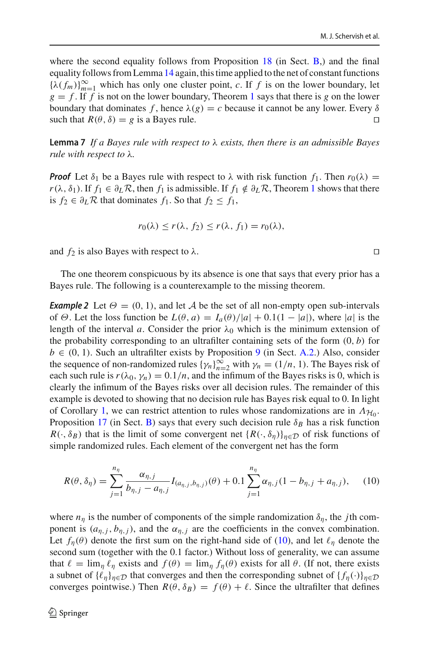where the second equality follows from Proposition  $18$  (in Sect. [B,](#page-24-0)) and the final equality follows from Lemma [14](#page-23-0) again, this time applied to the net of constant functions  ${\lambda(f_m)}_{m=1}^{\infty}$  which has only one cluster point, *c*. If *f* is on the lower boundary, let  $g = f$ . If *f* is not on the lower boundary, Theorem [1](#page-11-0) says that there is *g* on the lower boundary that dominates *f*, hence  $\lambda(g) = c$  because it cannot be any lower. Every δ such that  $R(\theta, \delta) = e$  is a Baves rule. such that  $R(\theta, \delta) = g$  is a Bayes rule.

**Lemma 7** *If a Bayes rule with respect to* λ *exists, then there is an admissible Bayes rule with respect to* λ*.*

*Proof* Let  $\delta_1$  be a Bayes rule with respect to  $\lambda$  with risk function  $f_1$ . Then  $r_0(\lambda)$  = *r*( $\lambda$ ,  $\delta$ <sub>[1](#page-11-0)</sub>). If *f*<sub>1</sub> ∈  $\partial_L \mathcal{R}$ , then *f*<sub>1</sub> is admissible. If *f*<sub>1</sub> ∉  $\partial_L \mathcal{R}$ , Theorem 1 shows that there is  $f_2 \in \partial_L \mathcal{R}$  that dominates  $f_1$ . So that  $f_2 \leq f_1$ ,

$$
r_0(\lambda) \le r(\lambda, f_2) \le r(\lambda, f_1) = r_0(\lambda),
$$

and  $f_2$  is also Bayes with respect to  $\lambda$ .

The one theorem conspicuous by its absence is one that says that every prior has a Bayes rule. The following is a counterexample to the missing theorem.

*Example 2* Let  $\Theta = (0, 1)$ , and let *A* be the set of all non-empty open sub-intervals of  $\Theta$ . Let the loss function be  $L(\theta, a) = I_a(\theta)/|a| + 0.1(1 - |a|)$ , where |a| is the length of the interval *a*. Consider the prior  $\lambda_0$  which is the minimum extension of the probability corresponding to an ultrafilter containing sets of the form  $(0, b)$  for  $b \in (0, 1)$ . Such an ultrafilter exists by Proposition [9](#page-22-1) (in Sect. [A.2.](#page-22-0)) Also, consider the sequence of non-randomized rules  $\{\gamma_n\}_{n=2}^{\infty}$  with  $\gamma_n = (1/n, 1)$ . The Bayes risk of each such rule is  $r(\lambda_0, \gamma_n) = 0.1/n$ , and the infimum of the Bayes risks is 0, which is clearly the infimum of the Bayes risks over all decision rules. The remainder of this example is devoted to showing that no decision rule has Bayes risk equal to 0. In light of Corollary [1,](#page-13-2) we can restrict attention to rules whose randomizations are in  $A_{H_0}$ . Proposition [17](#page-25-8) (in Sect. [B\)](#page-24-0) says that every such decision rule  $\delta_B$  has a risk function  $R(\cdot, \delta_B)$  that is the limit of some convergent net  $\{R(\cdot, \delta_n)\}_{n \in \mathcal{D}}$  of risk functions of simple randomized rules. Each element of the convergent net has the form

<span id="page-15-0"></span>
$$
R(\theta, \delta_{\eta}) = \sum_{j=1}^{n_{\eta}} \frac{\alpha_{\eta, j}}{b_{\eta, j} - a_{\eta, j}} I_{(a_{\eta, j}, b_{\eta, j})}(\theta) + 0.1 \sum_{j=1}^{n_{\eta}} \alpha_{\eta, j} (1 - b_{\eta, j} + a_{\eta, j}), \quad (10)
$$

where  $n<sub>n</sub>$  is the number of components of the simple randomization  $\delta<sub>n</sub>$ , the *j*th component is  $(a_{\eta,j}, b_{\eta,j})$ , and the  $\alpha_{\eta,j}$  are the coefficients in the convex combination. Let  $f_\eta(\theta)$  denote the first sum on the right-hand side of [\(10\)](#page-15-0), and let  $\ell_\eta$  denote the second sum (together with the 0.1 factor.) Without loss of generality, we can assume that  $\ell = \lim_{\eta} \ell_{\eta}$  exists and  $f(\theta) = \lim_{\eta} f_{\eta}(\theta)$  exists for all  $\theta$ . (If not, there exists a subnet of  $\{\ell_n\}_{n\in\mathcal{D}}$  that converges and then the corresponding subnet of  $\{f_n(\cdot)\}_{n\in\mathcal{D}}$ converges pointwise.) Then  $R(\theta, \delta_B) = f(\theta) + \ell$ . Since the ultrafilter that defines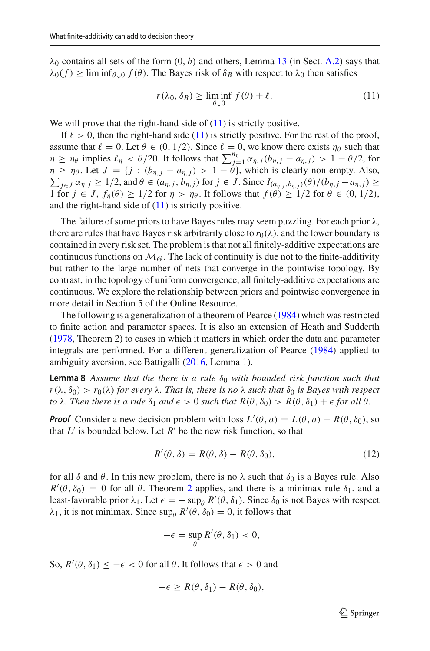$\lambda_0$  contains all sets of the form  $(0, b)$  and others, Lemma [13](#page-23-1) (in Sect. [A.2\)](#page-22-0) says that  $\lambda_0(f) \geq \liminf_{\theta \downarrow 0} f(\theta)$ . The Bayes risk of  $\delta_B$  with respect to  $\lambda_0$  then satisfies

<span id="page-16-0"></span>
$$
r(\lambda_0, \delta_B) \ge \liminf_{\theta \downarrow 0} f(\theta) + \ell. \tag{11}
$$

We will prove that the right-hand side of  $(11)$  is strictly positive.

If  $\ell > 0$ , then the right-hand side [\(11\)](#page-16-0) is strictly positive. For the rest of the proof, assume that  $\ell = 0$ . Let  $\theta \in (0, 1/2)$ . Since  $\ell = 0$ , we know there exists  $\eta_{\theta}$  such that  $\eta \ge \eta_{\theta}$  implies  $\ell_{\eta} < \theta/20$ . It follows that  $\sum_{j=1}^{n_{\eta}} \alpha_{\eta,j} (b_{\eta,j} - a_{\eta,j}) > 1 - \theta/2$ , for *j*<sub>∈</sub>*J*  $\alpha_{\eta,j}$  ≥ 1/2, and  $\theta \in (a_{\eta,j}, b_{\eta,j})$  for *j* ∈ *J*. Since  $I_{(a_{\eta,j}, b_{\eta,j})}(\theta)/(b_{\eta,j} - a_{\eta,j})$  ≥ 1/2  $\eta \geq \eta_{\theta}$ . Let  $J = \{j : (b_{\eta,j} - a_{\eta,j}) > 1 - \dot{\theta}\}$ , which is clearly non-empty. Also, 1 for  $j \in J$ ,  $f_\eta(\theta) \ge 1/2$  for  $\eta > \eta_\theta$ . It follows that  $f(\theta) \ge 1/2$  for  $\theta \in (0, 1/2)$ , and the right-hand side of  $(11)$  is strictly positive.

The failure of some priors to have Bayes rules may seem puzzling. For each prior  $\lambda$ , there are rules that have Bayes risk arbitrarily close to  $r_0(\lambda)$ , and the lower boundary is contained in every risk set. The problem is that not all finitely-additive expectations are continuous functions on  $M_{\Theta}$ . The lack of continuity is due not to the finite-additivity but rather to the large number of nets that converge in the pointwise topology. By contrast, in the topology of uniform convergence, all finitely-additive expectations are continuous. We explore the relationship between priors and pointwise convergence in more detail in Section 5 of the Online Resource.

The following is a generalization of a theorem of Pearc[e](#page-26-11) [\(1984](#page-26-11)) which was restricted to finite action and parameter spaces. It is also an extension of Heath and Sudderth [\(1978,](#page-26-4) Theorem 2) to cases in which it matters in which order the data and parameter integrals are performed. For a different generalization of Pearc[e](#page-26-11) [\(1984](#page-26-11)) applied to ambiguity aversion, see Battigalli [\(2016,](#page-25-9) Lemma 1).

**Lemma 8** Assume that the there is a rule  $\delta_0$  with bounded risk function such that  $r(\lambda, \delta_0) > r_0(\lambda)$  *for every*  $\lambda$ *. That is, there is no*  $\lambda$  *such that*  $\delta_0$  *is Bayes with respect to*  $\lambda$ *. Then there is a rule*  $\delta_1$  *and*  $\epsilon > 0$  *such that*  $R(\theta, \delta_0) > R(\theta, \delta_1) + \epsilon$  *for all*  $\theta$ *.* 

*Proof* Consider a new decision problem with loss  $L'(\theta, a) = L(\theta, a) - R(\theta, \delta_0)$ , so that  $L'$  is bounded below. Let  $R'$  be the new risk function, so that

$$
R'(\theta,\delta) = R(\theta,\delta) - R(\theta,\delta_0),\tag{12}
$$

for all  $\delta$  and  $\theta$ . In this new problem, there is no  $\lambda$  such that  $\delta_0$  is a Bayes rule. Also  $R'(\theta, \delta_0) = 0$  for all  $\theta$ . Theorem [2](#page-13-0) applies, and there is a minimax rule  $\delta_1$ . and a least-favorable prior  $\lambda_1$ . Let  $\epsilon = -\sup_{\theta} R'(\theta, \delta_1)$ . Since  $\delta_0$  is not Bayes with respect  $\lambda_1$ , it is not minimax. Since  $\sup_{\theta} R'(\theta, \delta_0) = 0$ , it follows that

$$
-\epsilon = \sup_{\theta} R'(\theta, \delta_1) < 0,
$$

So,  $R'(\theta, \delta_1) \leq -\epsilon < 0$  for all  $\theta$ . It follows that  $\epsilon > 0$  and

$$
-\epsilon \geq R(\theta, \delta_1) - R(\theta, \delta_0),
$$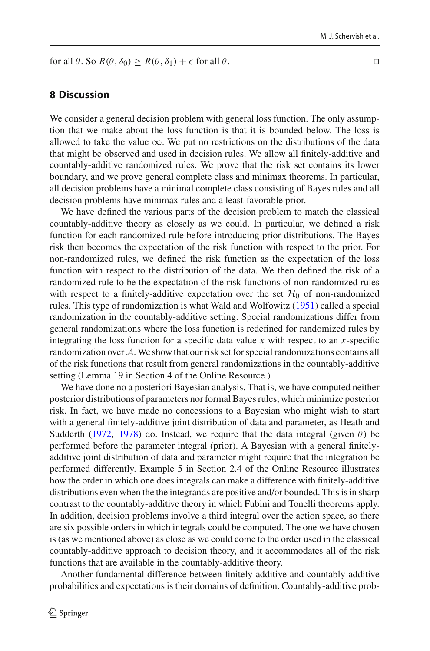for all  $\theta$ . So  $R(\theta, \delta_0) \geq R(\theta, \delta_1) + \epsilon$  for all  $\theta$ .

# **8 Discussion**

We consider a general decision problem with general loss function. The only assumption that we make about the loss function is that it is bounded below. The loss is allowed to take the value  $\infty$ . We put no restrictions on the distributions of the data that might be observed and used in decision rules. We allow all finitely-additive and countably-additive randomized rules. We prove that the risk set contains its lower boundary, and we prove general complete class and minimax theorems. In particular, all decision problems have a minimal complete class consisting of Bayes rules and all decision problems have minimax rules and a least-favorable prior.

We have defined the various parts of the decision problem to match the classical countably-additive theory as closely as we could. In particular, we defined a risk function for each randomized rule before introducing prior distributions. The Bayes risk then becomes the expectation of the risk function with respect to the prior. For non-randomized rules, we defined the risk function as the expectation of the loss function with respect to the distribution of the data. We then defined the risk of a randomized rule to be the expectation of the risk functions of non-randomized rules with respect to a finitely-additive expectation over the set  $H_0$  of non-randomized rules. This type of randomization is what Wald and Wolfowit[z](#page-26-8) [\(1951](#page-26-8)) called a special randomization in the countably-additive setting. Special randomizations differ from general randomizations where the loss function is redefined for randomized rules by integrating the loss function for a specific data value *x* with respect to an *x*-specific randomization over*A*.We show that our risk set for special randomizations contains all of the risk functions that result from general randomizations in the countably-additive setting (Lemma 19 in Section 4 of the Online Resource.)

We have done no a posteriori Bayesian analysis. That is, we have computed neither posterior distributions of parameters nor formal Bayes rules, which minimize posterior risk. In fact, we have made no concessions to a Bayesian who might wish to start with a general finitely-additive joint distribution of data and parameter, as Heath and Suddert[h](#page-26-3) [\(1972,](#page-26-3) [1978](#page-26-4)) do. Instead, we require that the data integral (given  $\theta$ ) be performed before the parameter integral (prior). A Bayesian with a general finitelyadditive joint distribution of data and parameter might require that the integration be performed differently. Example 5 in Section 2.4 of the Online Resource illustrates how the order in which one does integrals can make a difference with finitely-additive distributions even when the the integrands are positive and/or bounded. This is in sharp contrast to the countably-additive theory in which Fubini and Tonelli theorems apply. In addition, decision problems involve a third integral over the action space, so there are six possible orders in which integrals could be computed. The one we have chosen is (as we mentioned above) as close as we could come to the order used in the classical countably-additive approach to decision theory, and it accommodates all of the risk functions that are available in the countably-additive theory.

Another fundamental difference between finitely-additive and countably-additive probabilities and expectations is their domains of definition. Countably-additive prob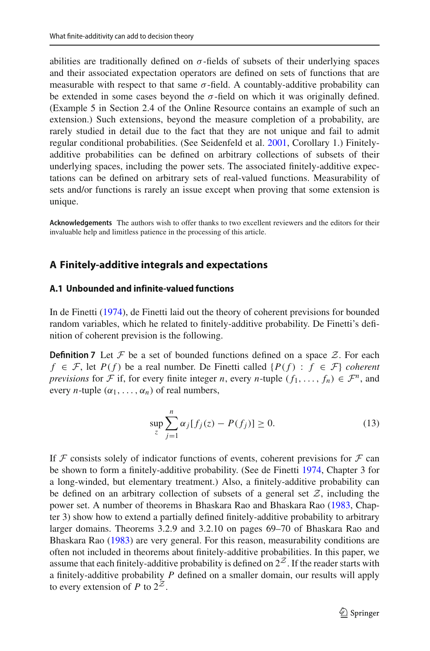abilities are traditionally defined on  $\sigma$ -fields of subsets of their underlying spaces and their associated expectation operators are defined on sets of functions that are measurable with respect to that same  $\sigma$ -field. A countably-additive probability can be extended in some cases beyond the  $\sigma$ -field on which it was originally defined. (Example 5 in Section 2.4 of the Online Resource contains an example of such an extension.) Such extensions, beyond the measure completion of a probability, are rarely studied in detail due to the fact that they are not unique and fail to admit regular conditional probabilities. (See Seidenfeld et al[.](#page-26-12) [2001](#page-26-12), Corollary 1.) Finitelyadditive probabilities can be defined on arbitrary collections of subsets of their underlying spaces, including the power sets. The associated finitely-additive expectations can be defined on arbitrary sets of real-valued functions. Measurability of sets and/or functions is rarely an issue except when proving that some extension is unique.

**Acknowledgements** The authors wish to offer thanks to two excellent reviewers and the editors for their invaluable help and limitless patience in the processing of this article.

# <span id="page-18-0"></span>**A Finitely-additive integrals and expectations**

#### <span id="page-18-1"></span>**A.1 Unbounded and infinite-valued functions**

In de Finett[i](#page-26-7) [\(1974](#page-26-7)), de Finetti laid out the theory of coherent previsions for bounded random variables, which he related to finitely-additive probability. De Finetti's definition of coherent prevision is the following.

**Definition 7** Let  $\mathcal F$  be a set of bounded functions defined on a space  $\mathcal Z$ . For each *f* ∈ *F*, let *P*(*f*) be a real number. De Finetti called {*P*(*f*) : *f* ∈ *F*} *coherent previsions* for *F* if, for every finite integer *n*, every *n*-tuple  $(f_1, \ldots, f_n) \in \mathcal{F}^n$ , and every *n*-tuple  $(\alpha_1, \ldots, \alpha_n)$  of real numbers,

<span id="page-18-2"></span>
$$
\sup_{z} \sum_{j=1}^{n} \alpha_{j} [f_{j}(z) - P(f_{j})] \ge 0.
$$
 (13)

If  $F$  consists solely of indicator functions of events, coherent previsions for  $F$  can be shown to form a finitely-additive probability. (See de Finett[i](#page-26-7) [1974,](#page-26-7) Chapter 3 for a long-winded, but elementary treatment.) Also, a finitely-additive probability can be defined on an arbitrary collection of subsets of a general set  $Z$ , including the power set. A number of theorems in Bhaskara Rao and Bhaskara Rao [\(1983](#page-25-10), Chapter 3) show how to extend a partially defined finitely-additive probability to arbitrary larger domains. Theorems 3.2.9 and 3.2.10 on pages 69–70 of Bhaskara Rao and Bhaskara Ra[o](#page-25-10) [\(1983\)](#page-25-10) are very general. For this reason, measurability conditions are often not included in theorems about finitely-additive probabilities. In this paper, we assume that each finitely-additive probability is defined on  $2^{\mathcal{Z}}$ . If the reader starts with a finitely-additive probability *P* defined on a smaller domain, our results will apply to every extension of *P* to  $2^{\mathcal{Z}}$ .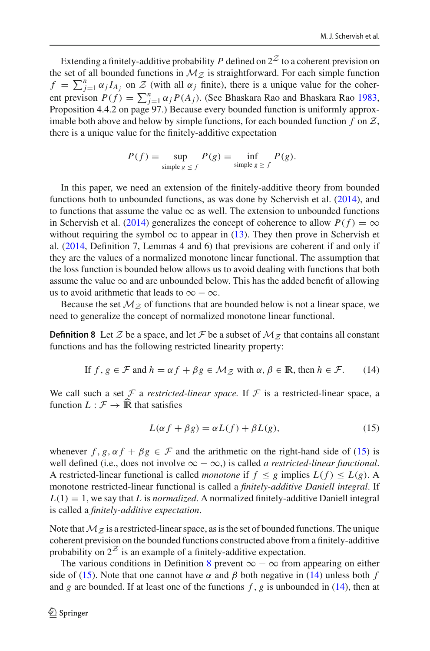Extending a finitely-additive probability *P* defined on  $2^{\mathcal{Z}}$  to a coherent prevision on the set of all bounded functions in  $\mathcal{M}_{\mathcal{Z}}$  is straightforward. For each simple function  $f = \sum_{j=1}^{n} \alpha_j I_{A_j}$  on  $Z$  (with all  $\alpha_j$  finite), there is a unique value for the coherent previs[o](#page-25-10)n  $P(f) = \sum_{j=1}^{n} \alpha_j P(A_j)$ . (See Bhaskara Rao and Bhaskara Rao [1983,](#page-25-10) Proposition 4.4.2 on page 97.) Because every bounded function is uniformly approximable both above and below by simple functions, for each bounded function  $f$  on  $Z$ , there is a unique value for the finitely-additive expectation

$$
P(f) = \sup_{\text{simple } g \leq f} P(g) = \inf_{\text{simple } g \geq f} P(g).
$$

In this paper, we need an extension of the finitely-additive theory from bounded functions both to unbounded functions, as was done by Schervish et al[.](#page-26-13) [\(2014\)](#page-26-13), and to functions that assume the value  $\infty$  as well. The extension to unbounded functions in Schervish et al[.](#page-26-13) [\(2014](#page-26-13)) generalizes the concept of coherence to allow  $P(f) = \infty$ without requiring the symbol  $\infty$  to appear in [\(13\)](#page-18-2). They then prove in Schervish et al. [\(2014,](#page-26-13) Definition 7, Lemmas 4 and 6) that previsions are coherent if and only if they are the values of a normalized monotone linear functional. The assumption that the loss function is bounded below allows us to avoid dealing with functions that both assume the value  $\infty$  and are unbounded below. This has the added benefit of allowing us to avoid arithmetic that leads to  $\infty - \infty$ .

Because the set  $\mathcal{M}_{\mathcal{Z}}$  of functions that are bounded below is not a linear space, we need to generalize the concept of normalized monotone linear functional.

**Definition 8** Let *Z* be a space, and let *F* be a subset of  $M_Z$  that contains all constant functions and has the following restricted linearity property:

<span id="page-19-2"></span>If 
$$
f, g \in \mathcal{F}
$$
 and  $h = \alpha f + \beta g \in \mathcal{M}_{\mathcal{Z}}$  with  $\alpha, \beta \in \mathbb{R}$ , then  $h \in \mathcal{F}$ . (14)

We call such a set  $F$  a *restricted-linear space*. If  $F$  is a restricted-linear space, a function  $L : \mathcal{F} \to \widehat{\mathbb{R}}$  that satisfies

<span id="page-19-1"></span><span id="page-19-0"></span>
$$
L(\alpha f + \beta g) = \alpha L(f) + \beta L(g),\tag{15}
$$

whenever  $f, g, \alpha f + \beta g \in \mathcal{F}$  and the arithmetic on the right-hand side of [\(15\)](#page-19-1) is well defined (i.e., does not involve  $\infty - \infty$ ) is called *a restricted-linear functional*. A restricted-linear functional is called *monotone* if  $f \leq g$  implies  $L(f) \leq L(g)$ . A monotone restricted-linear functional is called a *finitely-additive Daniell integral*. If  $L(1) = 1$ , we say that *L* is *normalized*. A normalized finitely-additive Daniell integral is called a *finitely-additive expectation*.

Note that  $M_z$  is a restricted-linear space, as is the set of bounded functions. The unique coherent prevision on the bounded functions constructed above from a finitely-additive probability on  $2^z$  is an example of a finitely-additive expectation.

The various conditions in Definition [8](#page-19-0) prevent  $\infty - \infty$  from appearing on either side of [\(15\)](#page-19-1). Note that one cannot have  $\alpha$  and  $\beta$  both negative in [\(14\)](#page-19-2) unless both *f* and *g* are bounded. If at least one of the functions *f* , *g* is unbounded in [\(14\)](#page-19-2), then at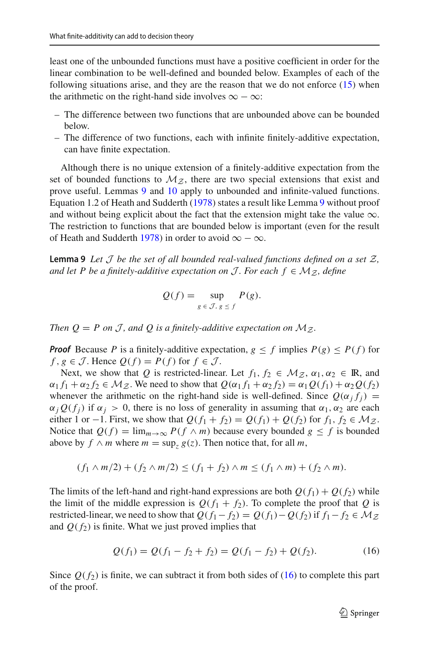least one of the unbounded functions must have a positive coefficient in order for the linear combination to be well-defined and bounded below. Examples of each of the following situations arise, and they are the reason that we do not enforce [\(15\)](#page-19-1) when the arithmetic on the right-hand side involves  $\infty - \infty$ :

- The difference between two functions that are unbounded above can be bounded below.
- The difference of two functions, each with infinite finitely-additive expectation, can have finite expectation.

Although there is no unique extension of a finitely-additive expectation from the set of bounded functions to  $M_{\mathcal{Z}}$ , there are two special extensions that exist and prove useful. Lemmas [9](#page-20-0) and [10](#page-21-1) apply to unbounded and infinite-valued functions. Equation 1.2 of Heath and Suddert[h](#page-26-4) [\(1978](#page-26-4)) states a result like Lemma [9](#page-20-0) without proof and without being explicit about the fact that the extension might take the value  $\infty$ . The restriction to functions that are bounded below is important (even for the result of Heat[h](#page-26-4) and Sudderth [1978](#page-26-4)) in order to avoid  $\infty - \infty$ .

<span id="page-20-0"></span>**Lemma 9** *Let J be the set of all bounded real-valued functions defined on a set Z, and let P be a finitely-additive expectation on <i>J*. For each  $f \in M_{Z}$ , define

$$
Q(f) = \sup_{g \in \mathcal{J}, g \le f} P(g).
$$

*Then*  $Q = P$  *on*  $J$ *, and*  $Q$  *is a finitely-additive expectation on*  $M_Z$ *.* 

*Proof* Because *P* is a finitely-additive expectation,  $g \leq f$  implies  $P(g) \leq P(f)$  for  $f, g \in \mathcal{J}$ . Hence  $Q(f) = P(f)$  for  $f \in \mathcal{J}$ .

Next, we show that *Q* is restricted-linear. Let  $f_1, f_2 \in M_Z$ ,  $\alpha_1, \alpha_2 \in \mathbb{R}$ , and  $\alpha_1 f_1 + \alpha_2 f_2 \in \mathcal{M}_{\mathcal{Z}}$ . We need to show that  $Q(\alpha_1 f_1 + \alpha_2 f_2) = \alpha_1 Q(f_1) + \alpha_2 Q(f_2)$ whenever the arithmetic on the right-hand side is well-defined. Since  $Q(\alpha_i f_i)$  =  $\alpha$ <sub>*j*</sub>  $Q(f_i)$  if  $\alpha$ <sup>*j*</sup> > 0, there is no loss of generality in assuming that  $\alpha$ <sub>1</sub>,  $\alpha$ <sub>2</sub> are each either 1 or −1. First, we show that  $Q(f_1 + f_2) = Q(f_1) + Q(f_2)$  for  $f_1, f_2 \in M_Z$ . Notice that  $Q(f) = \lim_{m \to \infty} P(f \wedge m)$  because every bounded  $g \leq f$  is bounded above by  $f \wedge m$  where  $m = \sup_z g(z)$ . Then notice that, for all m,

$$
(f_1 \wedge m/2) + (f_2 \wedge m/2) \le (f_1 + f_2) \wedge m \le (f_1 \wedge m) + (f_2 \wedge m).
$$

The limits of the left-hand and right-hand expressions are both  $Q(f_1) + Q(f_2)$  while the limit of the middle expression is  $Q(f_1 + f_2)$ . To complete the proof that *Q* is restricted-linear, we need to show that  $Q(f_1 - f_2) = Q(f_1) - Q(f_2)$  if  $f_1 - f_2 \in M_Z$ and  $Q(f_2)$  is finite. What we just proved implies that

<span id="page-20-1"></span>
$$
Q(f_1) = Q(f_1 - f_2 + f_2) = Q(f_1 - f_2) + Q(f_2).
$$
 (16)

Since  $Q(f_2)$  is finite, we can subtract it from both sides of [\(16\)](#page-20-1) to complete this part of the proof.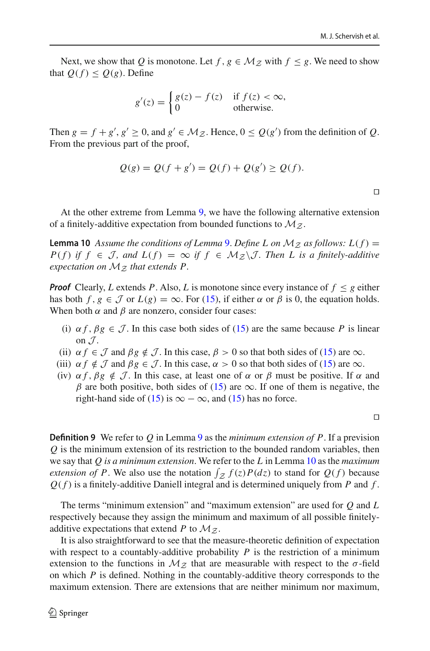Next, we show that *Q* is monotone. Let  $f, g \in M_{\mathcal{Z}}$  with  $f \leq g$ . We need to show that  $O(f) \leq O(g)$ . Define

$$
g'(z) = \begin{cases} g(z) - f(z) & \text{if } f(z) < \infty, \\ 0 & \text{otherwise.} \end{cases}
$$

Then  $g = f + g'$ ,  $g' \ge 0$ , and  $g' \in M_{\mathcal{Z}}$ . Hence,  $0 \le Q(g')$  from the definition of *Q*. From the previous part of the proof,

$$
Q(g) = Q(f + g') = Q(f) + Q(g') \ge Q(f).
$$

At the other extreme from Lemma [9,](#page-20-0) we have the following alternative extension of a finitely-additive expectation from bounded functions to  $M_z$ .

**Lemma 10** Assume the conditions of Lemma [9.](#page-20-0) Define L on  $M_z$  as follows:  $L(f)$  = *P*(*f*) *if f* ∈ *J*, and *L*(*f*) = ∞ *if f* ∈ *M*<sub>*Z*</sub> $\setminus$ *J*. *Then L is a finitely-additive expectation on M<sup>Z</sup> that extends P.*

*Proof* Clearly, *L* extends *P*. Also, *L* is monotone since every instance of  $f \leq g$  either has both  $f, g \in \mathcal{J}$  or  $L(g) = \infty$ . For [\(15\)](#page-19-1), if either  $\alpha$  or  $\beta$  is 0, the equation holds. When both  $\alpha$  and  $\beta$  are nonzero, consider four cases:

- (i)  $\alpha f$ ,  $\beta g \in \mathcal{J}$ . In this case both sides of [\(15\)](#page-19-1) are the same because P is linear on  $\mathcal{J}$ .
- (ii)  $\alpha f \in \mathcal{J}$  and  $\beta g \notin \mathcal{J}$ . In this case,  $\beta > 0$  so that both sides of [\(15\)](#page-19-1) are  $\infty$ .
- (iii)  $\alpha f \notin \mathcal{J}$  and  $\beta g \in \mathcal{J}$ . In this case,  $\alpha > 0$  so that both sides of [\(15\)](#page-19-1) are  $\infty$ .
- (iv)  $\alpha f$ ,  $\beta g \notin \mathcal{J}$ . In this case, at least one of  $\alpha$  or  $\beta$  must be positive. If  $\alpha$  and  $β$  are both positive, both sides of [\(15\)](#page-19-1) are  $\infty$ . If one of them is negative, the right-hand side of [\(15\)](#page-19-1) is  $\infty - \infty$ , and (15) has no force.

 $\Box$ 

<span id="page-21-1"></span> $\Box$ 

<span id="page-21-0"></span>**Definition 9** We refer to *Q* in Lemma [9](#page-20-0) as the *minimum extension of P*. If a prevision *Q* is the minimum extension of its restriction to the bounded random variables, then we say that *Q is a minimum extension*. We refer to the *L* in Lemma [10](#page-21-1) as the *maximum extension of P*. We also use the notation  $\int_{\mathcal{Z}} f(z)P(dz)$  to stand for  $Q(f)$  because  $Q(f)$  is a finitely additive Dapiall integral and is determined uniqually from *P* and *f*  $Q(f)$  is a finitely-additive Daniell integral and is determined uniquely from *P* and *f*.

The terms "minimum extension" and "maximum extension" are used for *Q* and *L* respectively because they assign the minimum and maximum of all possible finitelyadditive expectations that extend *P* to  $M_Z$ .

It is also straightforward to see that the measure-theoretic definition of expectation with respect to a countably-additive probability  $P$  is the restriction of a minimum extension to the functions in  $\mathcal{M}_{\mathcal{Z}}$  that are measurable with respect to the  $\sigma$ -field on which *P* is defined. Nothing in the countably-additive theory corresponds to the maximum extension. There are extensions that are neither minimum nor maximum,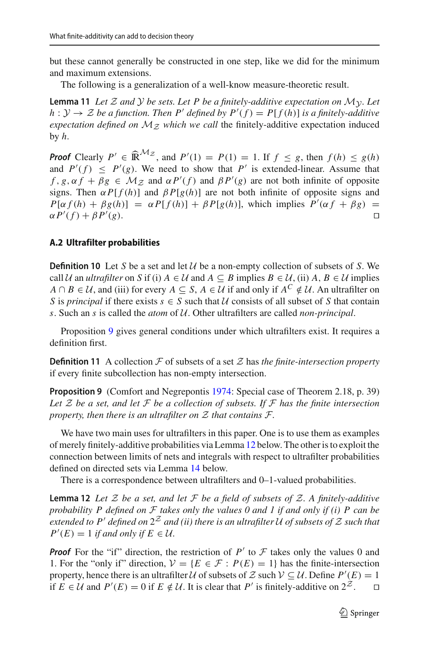but these cannot generally be constructed in one step, like we did for the minimum and maximum extensions.

<span id="page-22-3"></span>The following is a generalization of a well-know measure-theoretic result.

**Lemma 11** Let  $\mathcal Z$  and  $\mathcal Y$  be sets. Let P be a finitely-additive expectation on  $\mathcal M_{\mathcal V}$ . Let *h* :  $\mathcal{Y} \rightarrow \mathcal{Z}$  *be a function. Then P' defined by P'*( $f$ ) =  $P[f(h)]$  *is a finitely-additive expectation defined on*  $M_Z$  *which we call* the finitely-additive expectation induced by *h.*

*Proof* Clearly  $P' \in \widehat{\mathbb{R}}^{\mathcal{M}Z}$ , and  $P'(1) = P(1) = 1$ . If  $f \leq g$ , then  $f(h) \leq g(h)$ and  $P'(f) \leq P'(g)$ . We need to show that  $P'$  is extended-linear. Assume that *f*, *g*,  $\alpha f + \beta g \in M_Z$  and  $\alpha P'(f)$  and  $\beta P'(g)$  are not both infinite of opposite signs. Then  $\alpha P[f(h)]$  and  $\beta P[g(h)]$  are not both infinite of opposite signs and  $P[\alpha f(h) + \beta g(h)] = \alpha P[f(h)] + \beta P[g(h)]$ , which implies  $P'(\alpha f + \beta g) =$  $\alpha P'(f) + \beta P'$ (*g*). 

#### <span id="page-22-0"></span>**A.2 Ultrafilter probabilities**

**Definition 10** Let *S* be a set and let  $U$  be a non-empty collection of subsets of *S*. We call *U* an *ultrafilter* on *S* if (i)  $A \in \mathcal{U}$  and  $A \subseteq B$  implies  $B \in \mathcal{U}$ , (ii)  $A, B \in \mathcal{U}$  implies *A* ∩ *B* ∈ *U*, and (iii) for every *A* ⊆ *S*, *A* ∈ *U* if and only if  $A^C \notin U$ . An ultrafilter on *S* is *principal* if there exists  $s \in S$  such that *U* consists of all subset of *S* that contain *s*. Such an *s* is called the *atom* of *U*. Other ultrafilters are called *non-principal*.

Proposition [9](#page-22-1) gives general conditions under which ultrafilters exist. It requires a definition first.

**Definition 11** A collection *F* of subsets of a set *Z* has *the finite-intersection property* if every finite subcollection has non-empty intersection.

<span id="page-22-1"></span>**Proposition 9** (Comfort and Negreponti[s](#page-26-14) [1974](#page-26-14): Special case of Theorem 2.18, p. 39) *Let Z be a set, and let F be a collection of subsets. If F has the finite intersection property, then there is an ultrafilter on Z that contains F.*

We have two main uses for ultrafilters in this paper. One is to use them as examples of merely finitely-additive probabilities via Lemma [12](#page-22-2) below. The other is to exploit the connection between limits of nets and integrals with respect to ultrafilter probabilities defined on directed sets via Lemma [14](#page-23-0) below.

<span id="page-22-2"></span>There is a correspondence between ultrafilters and 0–1-valued probabilities.

**Lemma 12** *Let Z be a set, and let F be a field of subsets of Z. A finitely-additive probability P defined on F takes only the values 0 and 1 if and only if (i) P can be extended to P' defined on*  $2^{\mathcal{Z}}$  *and (ii) there is an ultrafilter U of subsets of*  $\mathcal Z$  *such that*  $P'(E) = 1$  *if and only if*  $E \in \mathcal{U}$ *.* 

*Proof* For the "if" direction, the restriction of  $P'$  to  $\mathcal F$  takes only the values 0 and 1. For the "only if" direction,  $V = \{E \in \mathcal{F} : P(E) = 1\}$  has the finite-intersection property, hence there is an ultrafilter *U* of subsets of *Z* such  $V \subseteq U$ . Define  $P'(E) = 1$ if *E* ∈ *U* and  $P'(E) = 0$  if *E* ∉ *U*. It is clear that  $P'$  is finitely-additive on  $2^z$ .  $\Box$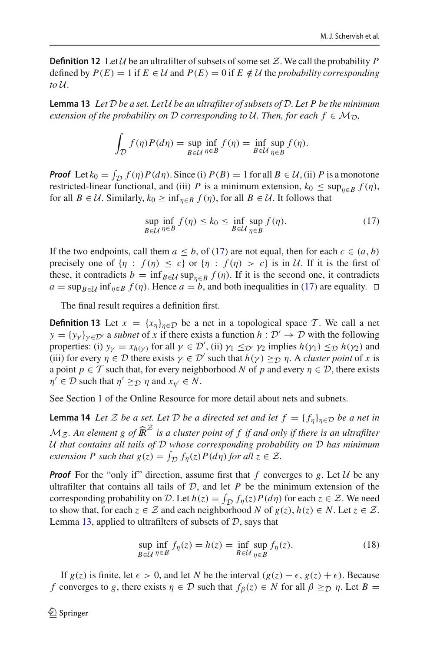**Definition 12** Let *U* be an ultrafilter of subsets of some set  $Z$ . We call the probability *P* defined by  $P(E) = 1$  if  $E \in \mathcal{U}$  and  $P(E) = 0$  if  $E \notin \mathcal{U}$  the *probability corresponding to U*.

<span id="page-23-1"></span>**Lemma 13** *Let D be a set. Let U be an ultrafilter of subsets of D. Let P be the minimum extension of the probability on*  $D$  *corresponding to*  $U$ *. Then, for each*  $f \in M_D$ *,* 

$$
\int_{\mathcal{D}} f(\eta) P(d\eta) = \sup_{B \in \mathcal{U}} \inf_{\eta \in B} f(\eta) = \inf_{B \in \mathcal{U}} \sup_{\eta \in B} f(\eta).
$$

*Proof* Let  $k_0 = \int_{\mathcal{D}} f(\eta) P(d\eta)$ . Since (i)  $P(B) = 1$  for all  $B \in \mathcal{U}$ , (ii) *P* is a monotone motivisted linear functional, and (iii) *P* is a minimum outposited  $k \leq 0$ . restricted-linear functional, and (iii) *P* is a minimum extension,  $k_0 \le \sup_{n \in B} f(n)$ , for all  $B \in \mathcal{U}$ . Similarly,  $k_0 \ge \inf_{n \in B} f(\eta)$ , for all  $B \in \mathcal{U}$ . It follows that

<span id="page-23-4"></span><span id="page-23-2"></span>
$$
\sup_{B \in \mathcal{U}} \inf_{\eta \in B} f(\eta) \le k_0 \le \inf_{B \in \mathcal{U}} \sup_{\eta \in B} f(\eta). \tag{17}
$$

If the two endpoints, call them  $a \leq b$ , of [\(17\)](#page-23-2) are not equal, then for each  $c \in (a, b)$ precisely one of  $\{\eta : f(\eta) \le c\}$  or  $\{\eta : f(\eta) > c\}$  is in *U*. If it is the first of these, it contradicts  $b = \inf_{B \in \mathcal{U}} \sup_{n \in B} f(n)$ . If it is the second one, it contradicts  $a = \sup_{B \in \mathcal{U}} \inf_{\eta \in B} f(\eta)$ . Hence  $a = b$ , and both inequalities in [\(17\)](#page-23-2) are equality.  $\Box$ 

The final result requires a definition first.

**Definition 13** Let  $x = \{x_n\}_{n \in \mathcal{D}}$  be a net in a topological space T. We call a net  $y = \{y_y\}_{y \in \mathcal{D}}$  *a subnet* of *x* if there exists a function  $h : \mathcal{D}' \to \mathcal{D}$  with the following properties: (i)  $y_{\gamma} = x_{h(\gamma)}$  for all  $\gamma \in \mathcal{D}'$ , (ii)  $\gamma_1 \leq_{\mathcal{D}'} \gamma_2$  implies  $h(\gamma_1) \leq_{\mathcal{D}} h(\gamma_2)$  and (iii) for every  $\eta \in \mathcal{D}$  there exists  $\gamma \in \mathcal{D}'$  such that  $h(\gamma) \geq_{\mathcal{D}} \eta$ . A *cluster point* of *x* is a point  $p \in \mathcal{T}$  such that, for every neighborhood *N* of *p* and every  $\eta \in \mathcal{D}$ , there exists  $\eta' \in \mathcal{D}$  such that  $\eta' \geq_{\mathcal{D}} \eta$  and  $x_{\eta'} \in N$ .

<span id="page-23-0"></span>See Section 1 of the Online Resource for more detail about nets and subnets.

**Lemma 14** *Let Z be a set. Let D be a directed set and let*  $f = \{f_n\}_{n \in \mathcal{D}}$  *be a net in*  $M_Z$ *. An element g of*  $\widehat{R}^Z$  *is a cluster point of f if and only if there is an ultrafilter U that contains all tails of D whose corresponding probability on D has minimum extension P such that*  $g(z) = \int_{\mathcal{D}} f_{\eta}(z) P(d\eta)$  *for all*  $z \in \mathcal{Z}$ *.* 

**Proof** For the "only if" direction, assume first that  $f$  converges to  $g$ . Let  $U$  be any ultrafilter that contains all tails of  $D$ , and let  $P$  be the minimum extension of the corresponding probability on *D*. Let  $h(z) = \int_{\mathcal{D}} f_{\eta}(z) P(d\eta)$  for each  $z \in \mathcal{Z}$ . We need to show that, for each  $z \in \mathcal{Z}$  and each neighborhood *N* of  $g(z)$ ,  $h(z) \in N$ . Let  $z \in \mathcal{Z}$ . Lemma [13,](#page-23-1) applied to ultrafilters of subsets of *D*, says that

<span id="page-23-3"></span>
$$
\sup_{B \in \mathcal{U}} \inf_{\eta \in B} f_{\eta}(z) = h(z) = \inf_{B \in \mathcal{U}} \sup_{\eta \in B} f_{\eta}(z). \tag{18}
$$

If  $g(z)$  is finite, let  $\epsilon > 0$ , and let *N* be the interval  $(g(z) - \epsilon, g(z) + \epsilon)$ . Because *f* converges to *g*, there exists  $\eta \in \mathcal{D}$  such that  $f_{\beta}(z) \in N$  for all  $\beta \geq_{\mathcal{D}} \eta$ . Let  $B =$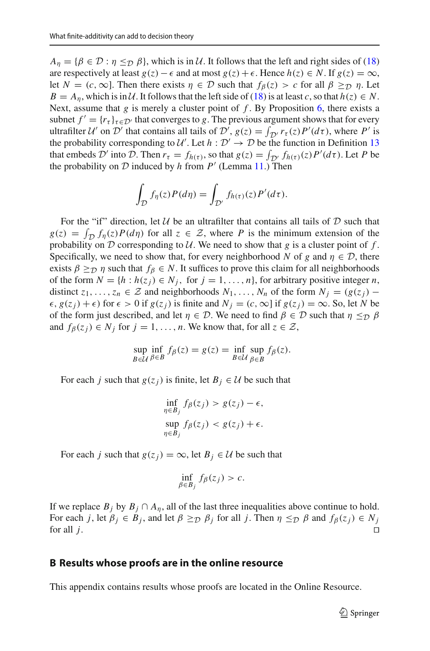$A_n = \{\beta \in \mathcal{D} : \eta \leq_{\mathcal{D}} \beta\}$ , which is in *U*. It follows that the left and right sides of [\(18\)](#page-23-3) are respectively at least  $g(z) - \epsilon$  and at most  $g(z) + \epsilon$ . Hence  $h(z) \in N$ . If  $g(z) = \infty$ , let  $N = (c, \infty]$ . Then there exists  $\eta \in \mathcal{D}$  such that  $f_{\beta}(z) > c$  for all  $\beta \geq_{\mathcal{D}} \eta$ . Let *B* = *A*<sub>n</sub>, which is in *U*. It follows that the left side of [\(18\)](#page-23-3) is at least *c*, so that  $h(z) \in N$ . Next, assume that *g* is merely a cluster point of *f*. By Proposition [6,](#page-10-6) there exists a subnet  $f' = {r_t}_{\tau \in \mathcal{D}'}$  that converges to *g*. The previous argument shows that for every ultrafilter *U'* on *D'* that contains all tails of *D'*,  $g(z) = \int_{\mathcal{D}'} r_{\tau}(z)P'(d\tau)$ , where *P'* is the probability corresponding to *U'*. Let  $h : \mathcal{D}' \to \mathcal{D}$  be the function in Definition [13](#page-23-4) that embeds *D*<sup>'</sup> into *D*. Then  $r_{\tau} = f_{h(\tau)}$ , so that  $g(z) = \int_{\mathcal{D}'} f_{h(\tau)}(z) P'(d\tau)$ . Let *P* be<br>the probability on *D* induced by *h* from *P*<sup>'</sup> (*I* amma 11). Then the probability on  $D$  induced by  $h$  from  $P'$  (Lemma [11.](#page-22-3)) Then

$$
\int_{\mathcal{D}} f_{\eta}(z) P(d\eta) = \int_{\mathcal{D}'} f_{h(\tau)}(z) P'(d\tau).
$$

For the "if" direction, let  $U$  be an ultrafilter that contains all tails of  $D$  such that  $g(z) = \int_{\mathcal{D}} f_{\eta}(z)P(d\eta)$  for all  $z \in \mathcal{Z}$ , where *P* is the minimum extension of the mobility on  $\mathcal{D}$  corresponding to *U*. We need to show that a is a cluster point of f. probability on  $D$  corresponding to  $U$ . We need to show that  $g$  is a cluster point of  $f$ . Specifically, we need to show that, for every neighborhood *N* of *g* and  $\eta \in \mathcal{D}$ , there exists  $\beta \geq_{\mathcal{D}} \eta$  such that  $f_{\beta} \in N$ . It suffices to prove this claim for all neighborhoods of the form  $N = \{h : h(z_j) \in N_j, \text{ for } j = 1, ..., n\}$ , for arbitrary positive integer *n*, distinct  $z_1, \ldots, z_n \in \mathcal{Z}$  and neighborhoods  $N_1, \ldots, N_n$  of the form  $N_j = (g(z_j) \epsilon$ ,  $g(z_j) + \epsilon$ ) for  $\epsilon > 0$  if  $g(z_j)$  is finite and  $N_j = (c, \infty]$  if  $g(z_j) = \infty$ . So, let N be of the form just described, and let  $\eta \in \mathcal{D}$ . We need to find  $\beta \in \mathcal{D}$  such that  $\eta \leq_{\mathcal{D}} \beta$ and  $f_{\beta}(z_i) \in N_i$  for  $j = 1, ..., n$ . We know that, for all  $z \in \mathcal{Z}$ ,

$$
\sup_{B \in \mathcal{U}} \inf_{\beta \in B} f_{\beta}(z) = g(z) = \inf_{B \in \mathcal{U}} \sup_{\beta \in B} f_{\beta}(z).
$$

For each *j* such that  $g(z_j)$  is finite, let  $B_j \in \mathcal{U}$  be such that

$$
\inf_{\eta \in B_j} f_{\beta}(z_j) > g(z_j) - \epsilon,
$$
\n
$$
\sup_{\eta \in B_j} f_{\beta}(z_j) < g(z_j) + \epsilon.
$$

For each *j* such that  $g(z_j) = \infty$ , let  $B_j \in \mathcal{U}$  be such that

<span id="page-24-1"></span>
$$
\inf_{\beta \in B_j} f_{\beta}(z_j) > c.
$$

If we replace  $B_j$  by  $B_j \cap A_{\eta}$ , all of the last three inequalities above continue to hold. For each *j*, let *βj* ∈ *B<sub>j</sub>*, and let *β* ≥*D βj* for all *j*. Then  $η ≤D$  *β* and  $fβ(z_j) ∈ N_j$  for all *j*. for all  $j$ .

#### <span id="page-24-0"></span>**B Results whose proofs are in the online resource**

This appendix contains results whose proofs are located in the Online Resource.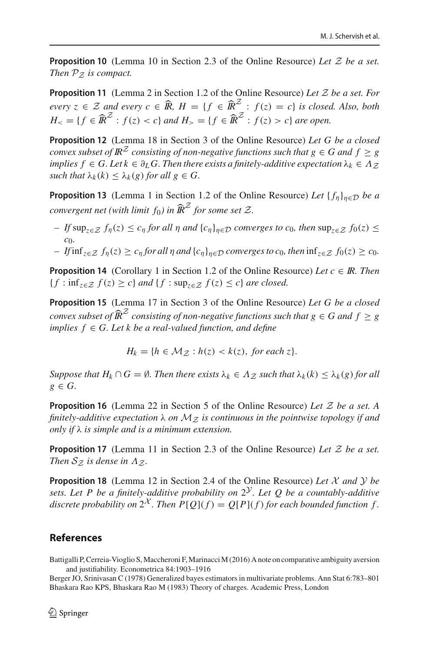**Proposition 10** (Lemma 10 in Section 2.3 of the Online Resource) *Let Z be a set. Then P<sup>Z</sup> is compact.*

<span id="page-25-1"></span>**Proposition 11** (Lemma 2 in Section 1.2 of the Online Resource) *Let Z be a set. For every*  $z \in \mathcal{Z}$  *and every*  $c \in \mathbb{R}$ ,  $H = \{f \in \mathbb{R}^{\mathcal{Z}} : f(z) = c\}$  *is closed. Also, both*  $H_{\leq} = \{ f \in \widehat{I} \times \widehat{R}^{\mathcal{Z}} : f(z) < c \}$  *and*  $H_{>} = \{ f \in \widehat{I} \times \widehat{R}^{\mathcal{Z}} : f(z) > c \}$  *are open.* 

<span id="page-25-2"></span>**Proposition 12** (Lemma 18 in Section 3 of the Online Resource) *Let G be a closed convex subset of*  $\mathbb{R}^{\mathbb{Z}}$  *consisting of non-negative functions such that*  $g \in G$  *and*  $f \geq g$ *implies*  $f \in G$ . Let  $k \in \partial_L G$ . Then there exists a finitely-additive expectation  $\lambda_k \in \Lambda_{\mathcal{Z}}$ *such that*  $\lambda_k(k) \leq \lambda_k(g)$  *for all*  $g \in G$ .

<span id="page-25-4"></span>**Proposition 13** (Lemma 1 in Section 1.2 of the Online Resource) Let  $\{f_{\eta}\}_{\eta \in \mathcal{D}}$  be a *convergent net (with limit f<sub>0</sub>) in*  $\widehat{R}^{\mathcal{Z}}$  *for some set*  $\mathcal{Z}$ *.* 

- $-$  *If* sup<sub>*z*∈*Z*</sub> *f*<sub>n</sub>(*z*) ≤ *c*<sub>n</sub> *for all*  $η$  *and* {*c*<sub>*n*</sub>}<sub>*n*∈*D*</sub> *converges to <i>c*<sub>0</sub>*, then* sup<sub>*z*∈*Z*</sub> *f*<sub>0</sub>(*z*) ≤ *c*0*.*
- $-$  *If*  $\inf_{z \in \mathcal{Z}} f_{\eta}(z) \ge c_{\eta}$  *for all*  $\eta$  *and*  $\{c_{\eta}\}_{\eta \in \mathcal{D}}$  *converges to*  $c_0$ *, then*  $\inf_{z \in \mathcal{Z}} f_0(z) \ge c_0$ *.*

<span id="page-25-3"></span>**Proposition 14** (Corollary 1 in Section 1.2 of the Online Resource) *Let*  $c \in \mathbb{R}$ . Then  ${f : \inf_{z \in \mathcal{Z}} f(z) \ge c}$  *and*  ${f : \sup_{z \in \mathcal{Z}} f(z) \le c}$  *are closed.* 

<span id="page-25-5"></span>**Proposition 15** (Lemma 17 in Section 3 of the Online Resource) *Let G be a closed convex subset of*  $\widehat{R}^{\mathcal{Z}}$  *consisting of non-negative functions such that*  $g \in G$  *and*  $f \geq g$ *implies*  $f$  ∈ *G. Let k be a real-valued function, and define* 

$$
H_k = \{ h \in \mathcal{M}_{\mathcal{Z}} : h(z) < k(z), \text{ for each } z \}.
$$

*Suppose that*  $H_k \cap G = \emptyset$ *. Then there exists*  $\lambda_k \in \Lambda_{\mathcal{Z}}$  *such that*  $\lambda_k(k) \leq \lambda_k(g)$  *for all*  $g \in G$ .

<span id="page-25-6"></span>**Proposition 16** (Lemma 22 in Section 5 of the Online Resource) *Let Z be a set. A finitely-additive expectation* λ *on M<sup>Z</sup> is continuous in the pointwise topology if and only if* λ *is simple and is a minimum extension.*

<span id="page-25-8"></span>**Proposition 17** (Lemma 11 in Section 2.3 of the Online Resource) *Let Z be a set. Then*  $S_z$  *is dense in*  $\Lambda_z$ *.* 

<span id="page-25-7"></span>**Proposition 18** (Lemma 12 in Section 2.4 of the Online Resource) *Let X and Y be sets. Let P be a finitely-additive probability on* 2*Y . Let Q be a countably-additive discrete probability on*  $2^{\mathcal{X}}$ *. Then*  $P[Q](f) = Q[P](f)$  *for each bounded function*  $f$ *.* 

# **References**

<span id="page-25-9"></span>Battigalli P, Cerreia-Vioglio S, Maccheroni F, Marinacci M (2016) A note on comparative ambiguity aversion and justifiability. Econometrica 84:1903–1916

<span id="page-25-10"></span><span id="page-25-0"></span>Berger JO, Srinivasan C (1978) Generalized bayes estimators in multivariate problems. Ann Stat 6:783–801 Bhaskara Rao KPS, Bhaskara Rao M (1983) Theory of charges. Academic Press, London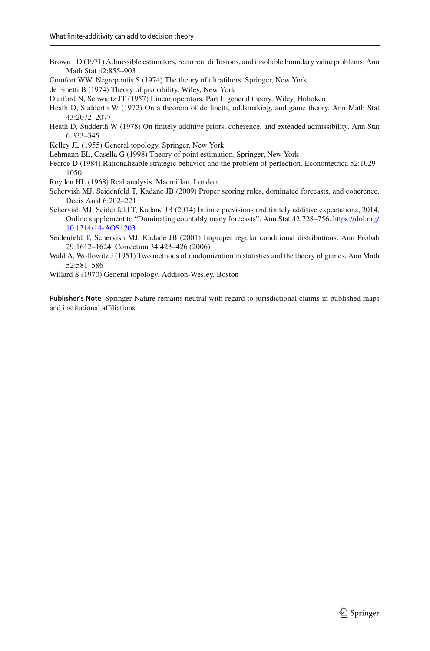<span id="page-26-1"></span>Brown LD (1971) Admissible estimators, recurrent diffusions, and insoluble boundary value problems. Ann Math Stat 42:855–903

<span id="page-26-14"></span>Comfort WW, Negrepontis S (1974) The theory of ultrafilters. Springer, New York

- <span id="page-26-7"></span>de Finetti B (1974) Theory of probability. Wiley, New York
- <span id="page-26-10"></span>Dunford N, Schwartz JT (1957) Linear operators. Part I: general theory. Wiley, Hoboken
- <span id="page-26-3"></span>Heath D, Sudderth W (1972) On a theorem of de finetti, oddsmaking, and game theory. Ann Math Stat 43:2072–2077
- <span id="page-26-4"></span>Heath D, Sudderth W (1978) On finitely additive priors, coherence, and extended admissibility. Ann Stat 6:333–345
- <span id="page-26-5"></span>Kelley JL (1955) General topology. Springer, New York
- <span id="page-26-2"></span>Lehmann EL, Casella G (1998) Theory of point estimation. Springer, New York
- <span id="page-26-11"></span>Pearce D (1984) Rationalizable strategic behavior and the problem of perfection. Econometrica 52:1029– 1050
- <span id="page-26-6"></span>Royden HL (1968) Real analysis. Macmillan, London
- <span id="page-26-0"></span>Schervish MJ, Seidenfeld T, Kadane JB (2009) Proper scoring rules, dominated forecasts, and coherence. Decis Anal 6:202–221
- <span id="page-26-13"></span>Schervish MJ, Seidenfeld T, Kadane JB (2014) Infinite previsions and finitely additive expectations, 2014. Online supplement to "Dominating countably many forecasts". Ann Stat 42:728–756. [https://doi.org/](https://doi.org/10.1214/14-AOS1203) [10.1214/14-AOS1203](https://doi.org/10.1214/14-AOS1203)
- <span id="page-26-12"></span>Seidenfeld T, Schervish MJ, Kadane JB (2001) Improper regular conditional distributions. Ann Probab 29:1612–1624. Correction 34:423–426 (2006)
- <span id="page-26-8"></span>Wald A, Wolfowitz J (1951) Two methods of randomization in statistics and the theory of games. Ann Math 52:581–586
- <span id="page-26-9"></span>Willard S (1970) General topology. Addison-Wesley, Boston

**Publisher's Note** Springer Nature remains neutral with regard to jurisdictional claims in published maps and institutional affiliations.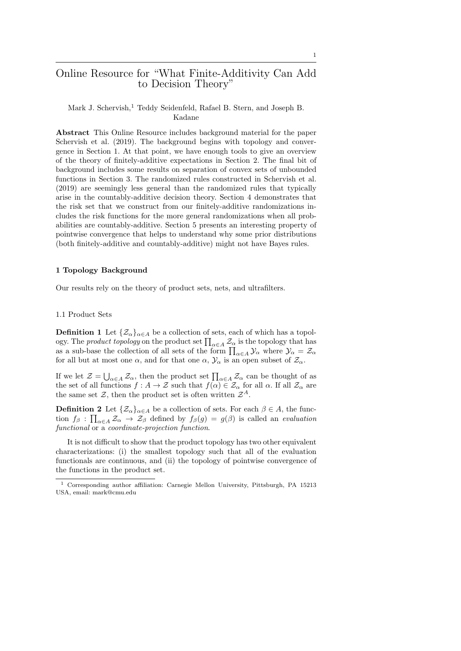# Online Resource for "What Finite-Additivity Can Add to Decision Theory"

Mark J. Schervish,<sup>1</sup> Teddy Seidenfeld, Rafael B. Stern, and Joseph B. Kadane

Abstract This Online Resource includes background material for the paper Schervish et al. (2019). The background begins with topology and convergence in Section 1. At that point, we have enough tools to give an overview of the theory of finitely-additive expectations in Section 2. The final bit of background includes some results on separation of convex sets of unbounded functions in Section 3. The randomized rules constructed in Schervish et al. (2019) are seemingly less general than the randomized rules that typically arise in the countably-additive decision theory. Section 4 demonstrates that the risk set that we construct from our finitely-additive randomizations includes the risk functions for the more general randomizations when all probabilities are countably-additive. Section 5 presents an interesting property of pointwise convergence that helps to understand why some prior distributions (both finitely-additive and countably-additive) might not have Bayes rules.

### 1 Topology Background

Our results rely on the theory of product sets, nets, and ultrafilters.

1.1 Product Sets

**Definition 1** Let  $\{Z_{\alpha}\}_{{\alpha}\in A}$  be a collection of sets, each of which has a topology. The *product topology* on the product set  $\prod_{\alpha \in A} \mathcal{Z}_{\alpha}$  is the topology that has as a sub-base the collection of all sets of the form  $\prod_{\alpha \in A} \mathcal{Y}_{\alpha}$  where  $\mathcal{Y}_{\alpha} = \mathcal{Z}_{\alpha}$ for all but at most one  $\alpha$ , and for that one  $\alpha$ ,  $\mathcal{Y}_{\alpha}$  is an open subset of  $\mathcal{Z}_{\alpha}$ .

If we let  $\mathcal{Z} = \bigcup_{\alpha \in A} \mathcal{Z}_\alpha$ , then the product set  $\prod_{\alpha \in A} \mathcal{Z}_\alpha$  can be thought of as the set of all functions  $f : A \to \mathcal{Z}$  such that  $f(\alpha) \in \mathcal{Z}_{\alpha}$  for all  $\alpha$ . If all  $\mathcal{Z}_{\alpha}$  are the same set  $\mathcal{Z}$ , then the product set is often written  $\mathcal{Z}^A$ .

**Definition 2** Let  $\{\mathcal{Z}_{\alpha}\}_{{\alpha \in A}}$  be a collection of sets. For each  $\beta \in A$ , the function  $f_{\beta}$ :  $\prod_{\alpha \in A} \mathcal{Z}_{\alpha} \to \mathcal{Z}_{\beta}$  defined by  $f_{\beta}(g) = g(\beta)$  is called an *evaluation* functional or a coordinate-projection function.

It is not difficult to show that the product topology has two other equivalent characterizations: (i) the smallest topology such that all of the evaluation functionals are continuous, and (ii) the topology of pointwise convergence of the functions in the product set.

<sup>1</sup> Corresponding author affiliation: Carnegie Mellon University, Pittsburgh, PA 15213 USA, email: mark@cmu.edu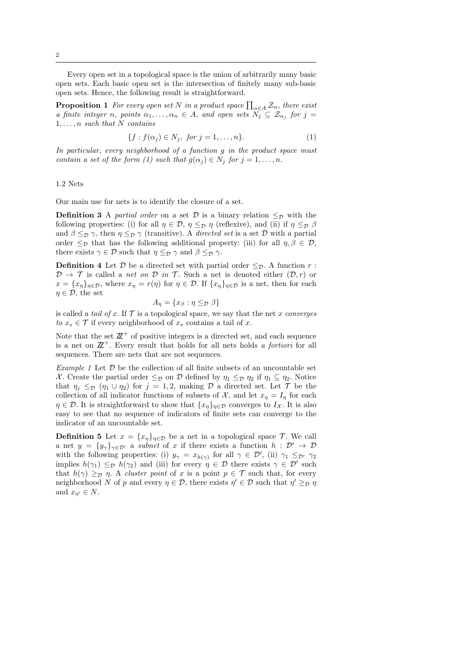Every open set in a topological space is the union of arbitrarily many basic open sets. Each basic open set is the intersection of finitely many sub-basic open sets. Hence, the following result is straightforward.

**Proposition 1** For every open set N in a product space  $\prod_{\alpha \in A} \mathcal{Z}_{\alpha}$ , there exist a finite integer n, points  $\alpha_1, \ldots, \alpha_n \in A$ , and open sets  $N_j \subseteq \mathcal{Z}_{\alpha_j}$  for  $j =$  $1, \ldots, n$  such that N contains

$$
\{f : f(\alpha_j) \in N_j, \text{ for } j = 1, \dots, n\}.
$$
 (1)

In particular, every neighborhood of a function g in the product space must contain a set of the form (1) such that  $g(\alpha_i) \in N_i$  for  $j = 1, \ldots, n$ .

#### 1.2 Nets

Our main use for nets is to identify the closure of a set.

**Definition 3** A partial order on a set  $\mathcal{D}$  is a binary relation  $\leq_{\mathcal{D}}$  with the following properties: (i) for all  $\eta \in \mathcal{D}$ ,  $\eta \leq_{\mathcal{D}} \eta$  (reflexive), and (ii) if  $\eta \leq_{\mathcal{D}} \beta$ and  $\beta \leq_{\mathcal{D}} \gamma$ , then  $\eta \leq_{\mathcal{D}} \gamma$  (transitive). A *directed set* is a set  $\mathcal{D}$  with a partial order  $\leq_{\mathcal{D}}$  that has the following additional property: (iii) for all  $\eta, \beta \in \mathcal{D}$ , there exists  $\gamma \in \mathcal{D}$  such that  $\eta \leq_{\mathcal{D}} \gamma$  and  $\beta \leq_{\mathcal{D}} \gamma$ .

**Definition 4** Let  $\mathcal{D}$  be a directed set with partial order  $\leq_{\mathcal{D}}$ . A function r:  $\mathcal{D} \to \mathcal{T}$  is called a *net on*  $\mathcal{D}$  in  $\mathcal{T}$ . Such a net is denoted either  $(\mathcal{D}, r)$  or  $x = \{x_n\}_{n \in \mathcal{D}}$ , where  $x_n = r(\eta)$  for  $\eta \in \mathcal{D}$ . If  $\{x_n\}_{n \in \mathcal{D}}$  is a net, then for each  $\eta \in \mathcal{D}$ , the set

$$
A_{\eta} = \{ x_{\beta} : \eta \leq_{\mathcal{D}} \beta \}
$$

is called a tail of x. If  $\mathcal T$  is a topological space, we say that the net x converges to  $x_* \in \mathcal{T}$  if every neighborhood of  $x_*$  contains a tail of x.

Note that the set  $\mathbb{Z}^+$  of positive integers is a directed set, and each sequence is a net on  $\mathbb{Z}^+$ . Every result that holds for all nets holds a fortiori for all sequences. There are nets that are not sequences.

*Example 1* Let  $D$  be the collection of all finite subsets of an uncountable set X. Create the partial order  $\leq_{\mathcal{D}}$  on D defined by  $\eta_1 \leq_{\mathcal{D}} \eta_2$  if  $\eta_1 \subseteq \eta_2$ . Notice that  $\eta_j \leq_{\mathcal{D}} (\eta_1 \cup \eta_2)$  for  $j = 1, 2$ , making  $\mathcal D$  a directed set. Let  $\mathcal T$  be the collection of all indicator functions of subsets of  $\mathcal{X}$ , and let  $x_{\eta} = I_{\eta}$  for each  $\eta \in \mathcal{D}$ . It is straightforward to show that  $\{x_n\}_{n\in\mathcal{D}}$  converges to  $I_{\mathcal{X}}$ . It is also easy to see that no sequence of indicators of finite sets can converge to the indicator of an uncountable set.

**Definition 5** Let  $x = \{x_{\eta}\}_{\eta \in \mathcal{D}}$  be a net in a topological space  $\mathcal{T}$ . We call a net  $y = \{y_\gamma\}_{\gamma \in \mathcal{D}}$  a subnet of x if there exists a function  $h : \mathcal{D}' \to \mathcal{D}$ with the following properties: (i)  $y_{\gamma} = x_{h(\gamma)}$  for all  $\gamma \in \mathcal{D}'$ , (ii)  $\gamma_1 \leq_{\mathcal{D}'} \gamma_2$ implies  $h(\gamma_1) \leq_{\mathcal{D}} h(\gamma_2)$  and (iii) for every  $\eta \in \mathcal{D}$  there exists  $\gamma \in \mathcal{D}'$  such that  $h(\gamma) \geq_{\mathcal{D}} \eta$ . A *cluster point* of x is a point  $p \in \mathcal{T}$  such that, for every neighborhood N of p and every  $\eta \in \mathcal{D}$ , there exists  $\eta' \in \mathcal{D}$  such that  $\eta' \geq_{\mathcal{D}} \eta$ and  $x_{\eta'} \in N$ .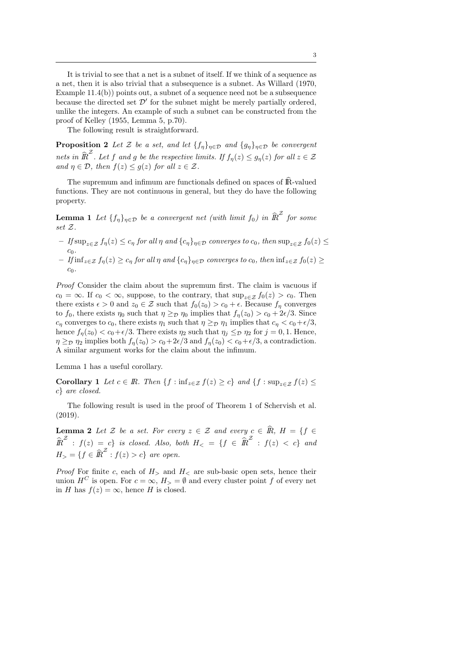It is trivial to see that a net is a subnet of itself. If we think of a sequence as a net, then it is also trivial that a subsequence is a subnet. As Willard (1970, Example 11.4(b)) points out, a subnet of a sequence need not be a subsequence because the directed set  $\mathcal{D}'$  for the subnet might be merely partially ordered, unlike the integers. An example of such a subnet can be constructed from the proof of Kelley (1955, Lemma 5, p.70).

The following result is straightforward.

**Proposition 2** Let Z be a set, and let  $\{f_n\}_{n\in\mathcal{D}}$  and  $\{g_n\}_{n\in\mathcal{D}}$  be convergent nets in  $\widehat{\mathbb{R}}^{\mathcal{Z}}$ . Let f and g be the respective limits. If  $f_{\eta}(z) \leq g_{\eta}(z)$  for all  $z \in \mathcal{Z}$ and  $\eta \in \mathcal{D}$ , then  $f(z) \leq q(z)$  for all  $z \in \mathcal{Z}$ .

The supremum and infimum are functionals defined on spaces of  $\widehat{R}$ -valued functions. They are not continuous in general, but they do have the following property.

**Lemma 1** Let  $\{f_{\eta}\}_{\eta \in \mathcal{D}}$  be a convergent net (with limit  $f_0$ ) in  $\widehat{R}^{\mathcal{Z}}$  for some set Z.

- $-If \sup_{z \in \mathcal{Z}} f_{\eta}(z) \leq c_{\eta}$  for all  $\eta$  and  $\{c_{\eta}\}_{\eta \in \mathcal{D}}$  converges to  $c_0$ , then  $\sup_{z \in \mathcal{Z}} f_0(z) \leq$  $c_0$ .
- $-$  If  $\inf_{z\in\mathcal{Z}}f_\eta(z)\geq c_\eta$  for all  $\eta$  and  $\{c_\eta\}_{\eta\in\mathcal{D}}$  converges to  $c_0$ , then  $\inf_{z\in\mathcal{Z}}f_0(z)\geq 0$  $c<sub>0</sub>$ .

Proof Consider the claim about the supremum first. The claim is vacuous if  $c_0 = \infty$ . If  $c_0 < \infty$ , suppose, to the contrary, that  $\sup_{z \in \mathcal{Z}} f_0(z) > c_0$ . Then there exists  $\epsilon > 0$  and  $z_0 \in \mathcal{Z}$  such that  $f_0(z_0) > c_0 + \epsilon$ . Because  $f_\eta$  converges to  $f_0$ , there exists  $\eta_0$  such that  $\eta \geq_{\mathcal{D}} \eta_0$  implies that  $f_\eta(z_0) > c_0 + 2\epsilon/3$ . Since  $c_n$  converges to  $c_0$ , there exists  $\eta_1$  such that  $\eta \geq_{\mathcal{D}} \eta_1$  implies that  $c_n < c_0 + \epsilon/3$ , hence  $f_{\eta}(z_0) < c_0 + \epsilon/3$ . There exists  $\eta_2$  such that  $\eta_j \leq_{\mathcal{D}} \eta_2$  for  $j = 0, 1$ . Hence,  $\eta \geq_{\mathcal{D}} \eta_2$  implies both  $f_{\eta}(z_0) > c_0 + 2\epsilon/3$  and  $f_{\eta}(z_0) < c_0 + \epsilon/3$ , a contradiction. A similar argument works for the claim about the infimum.

Lemma 1 has a useful corollary.

Corollary 1 Let  $c \in \mathbb{R}$ . Then  $\{f : \inf_{z \in \mathcal{Z}} f(z) \geq c\}$  and  $\{f : \sup_{z \in \mathcal{Z}} f(z) \leq c\}$ c} are closed.

The following result is used in the proof of Theorem 1 of Schervish et al. (2019).

**Lemma 2** Let Z be a set. For every  $z \in \mathcal{Z}$  and every  $c \in \hat{\mathbb{R}}$ ,  $H = \{f \in \mathbb{R} \mid f \in \mathbb{R}\}$  $\widehat{I\!R}^{\mathcal{Z}}$  :  $f(z) = c$  is closed. Also, both  $H   
 = {f \in \widehat{I\!R}^{\mathcal{Z}}$  :  $f(z) < c$  and  $H_{>} = \{f \in \widehat{\mathbb{R}}^{\mathcal{Z}} : f(z) > c\}$  are open.

*Proof* For finite c, each of  $H$ <sub>></sub> and  $H$ <sub><</sub> are sub-basic open sets, hence their union  $H^C$  is open. For  $c = \infty$ ,  $H > \emptyset$  and every cluster point f of every net in H has  $f(z) = \infty$ , hence H is closed.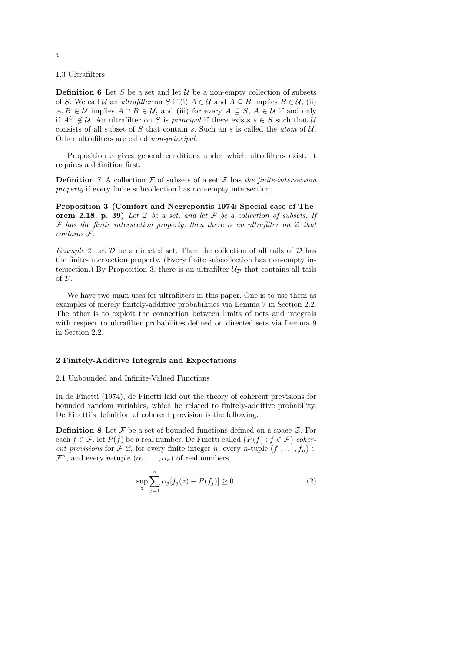### 1.3 Ultrafilters

**Definition 6** Let S be a set and let  $U$  be a non-empty collection of subsets of S. We call U an ultrafilter on S if (i)  $A \in U$  and  $A \subseteq B$  implies  $B \in U$ , (ii)  $A, B \in \mathcal{U}$  implies  $A \cap B \in \mathcal{U}$ , and (iii) for every  $A \subseteq S$ ,  $A \in \mathcal{U}$  if and only if  $A^C \notin \mathcal{U}$ . An ultrafilter on S is *principal* if there exists  $s \in S$  such that  $\mathcal{U}$ consists of all subset of  $S$  that contain  $s$ . Such an  $s$  is called the *atom* of  $U$ . Other ultrafilters are called non-principal.

Proposition 3 gives general conditions under which ultrafilters exist. It requires a definition first.

**Definition 7** A collection  $\mathcal F$  of subsets of a set  $\mathcal Z$  has the finite-intersection property if every finite subcollection has non-empty intersection.

Proposition 3 (Comfort and Negrepontis 1974: Special case of Theorem 2.18, p. 39) Let  $Z$  be a set, and let  $\mathcal F$  be a collection of subsets. If  $\mathcal F$  has the finite intersection property, then there is an ultrafilter on  $\mathcal Z$  that contains F.

Example 2 Let  $D$  be a directed set. Then the collection of all tails of  $D$  has the finite-intersection property. (Every finite subcollection has non-empty intersection.) By Proposition 3, there is an ultrafilter  $\mathcal{U}_{\mathcal{D}}$  that contains all tails of D.

We have two main uses for ultrafilters in this paper. One is to use them as examples of merely finitely-additive probabilities via Lemma 7 in Section 2.2. The other is to exploit the connection between limits of nets and integrals with respect to ultrafilter probabilites defined on directed sets via Lemma 9 in Section 2.2.

#### 2 Finitely-Additive Integrals and Expectations

#### 2.1 Unbounded and Infinite-Valued Functions

In de Finetti (1974), de Finetti laid out the theory of coherent previsions for bounded random variables, which he related to finitely-additive probability. De Finetti's definition of coherent prevision is the following.

**Definition 8** Let  $\mathcal F$  be a set of bounded functions defined on a space  $\mathcal Z$ . For each  $f \in \mathcal{F}$ , let  $P(f)$  be a real number. De Finetti called  $\{P(f) : f \in \mathcal{F}\}\; coherent$ ent previsions for F if, for every finite integer n, every n-tuple  $(f_1, \ldots, f_n) \in$  $\mathcal{F}^n$ , and every *n*-tuple  $(\alpha_1, \ldots, \alpha_n)$  of real numbers,

$$
\sup_{z} \sum_{j=1}^{n} \alpha_j [f_j(z) - P(f_j)] \ge 0.
$$
 (2)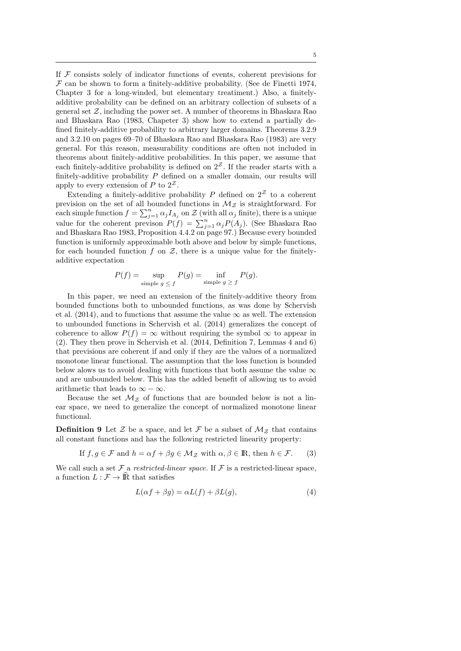If  $F$  consists solely of indicator functions of events, coherent previsions for  $\mathcal F$  can be shown to form a finitely-additive probability. (See de Finetti 1974, Chapter 3 for a long-winded, but elementary treatiment.) Also, a finitelyadditive probability can be defined on an arbitrary collection of subsets of a general set  $\mathcal{Z}$ , including the power set. A number of theorems in Bhaskara Rao and Bhaskara Rao (1983, Chapeter 3) show how to extend a partially defined finitely-additive probability to arbitrary larger domains. Theorems 3.2.9 and 3.2.10 on pages 69–70 of Bhaskara Rao and Bhaskara Rao (1983) are very general. For this reason, measurability conditions are often not included in theorems about finitely-additive probabilities. In this paper, we assume that each finitely-additive probability is defined on  $2^{\mathcal{Z}}$ . If the reader starts with a finitely-additive probability  $P$  defined on a smaller domain, our results will apply to every extension of P to  $2^{\mathcal{Z}}$ .

Extending a finitely-additive probability P defined on  $2^{\mathcal{Z}}$  to a coherent prevision on the set of all bounded functions in  $\mathcal{M}_{\mathcal{Z}}$  is straightforward. For each simple function  $f = \sum_{j=1}^n \alpha_j I_{A_j}$  on  $\mathcal Z$  (with all  $\alpha_j$  finite), there is a unique value for the coherent previson  $P(f) = \sum_{j=1}^{n} \alpha_j P(A_j)$ . (See Bhaskara Rao and Bhaskara Rao 1983, Proposition 4.4.2 on page 97.) Because every bounded function is uniformly approximable both above and below by simple functions, for each bounded function f on  $\mathcal{Z}$ , there is a unique value for the finitelyadditive expectation

$$
P(f) = \sup_{\text{simple } g \le f} P(g) = \inf_{\text{simple } g \ge f} P(g).
$$

In this paper, we need an extension of the finitely-additive theory from bounded functions both to unbounded functions, as was done by Schervish et al. (2014), and to functions that assume the value  $\infty$  as well. The extension to unbounded functions in Schervish et al. (2014) generalizes the concept of coherence to allow  $P(f) = \infty$  without requiring the symbol  $\infty$  to appear in (2). They then prove in Schervish et al. (2014, Definition 7, Lemmas 4 and 6) that previsions are coherent if and only if they are the values of a normalized monotone linear functional. The assumption that the loss function is bounded below alows us to avoid dealing with functions that both assume the value  $\infty$ and are unbounded below. This has the added benefit of allowing us to avoid arithmetic that leads to  $\infty - \infty$ .

Because the set  $\mathcal{M}_{\mathcal{Z}}$  of functions that are bounded below is not a linear space, we need to generalize the concept of normalized monotone linear functional.

**Definition 9** Let  $\mathcal{Z}$  be a space, and let  $\mathcal{F}$  be a subset of  $\mathcal{M}_{\mathcal{Z}}$  that contains all constant functions and has the following restricted linearity property:

If 
$$
f, g \in \mathcal{F}
$$
 and  $h = \alpha f + \beta g \in \mathcal{M}_{\mathcal{Z}}$  with  $\alpha, \beta \in \mathbb{R}$ , then  $h \in \mathcal{F}$ . (3)

We call such a set  $\mathcal F$  a restricted-linear space. If  $\mathcal F$  is a restricted-linear space, a function  $L : \mathcal{F} \to \widehat{\mathbb{R}}$  that satisfies

$$
L(\alpha f + \beta g) = \alpha L(f) + \beta L(g),\tag{4}
$$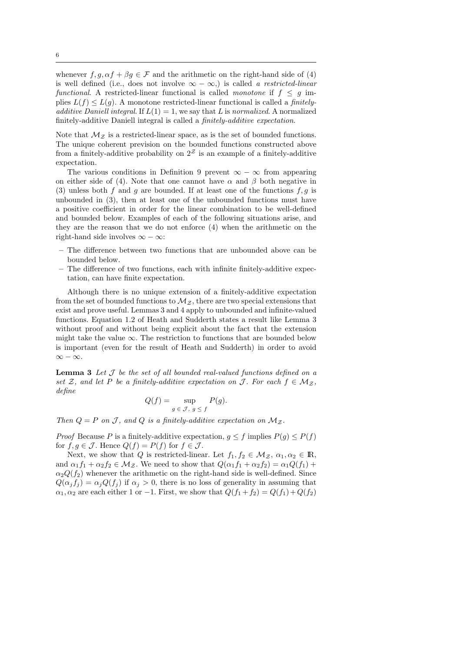whenever  $f, g, \alpha f + \beta g \in \mathcal{F}$  and the arithmetic on the right-hand side of (4) is well defined (i.e., does not involve  $\infty - \infty$ ) is called a restricted-linear functional. A restricted-linear functional is called monotone if  $f \leq q$  implies  $L(f) \leq L(q)$ . A monotone restricted-linear functional is called a *finitely*additive Daniell integral. If  $L(1) = 1$ , we say that L is normalized. A normalized finitely-additive Daniell integral is called a finitely-additive expectation.

Note that  $M_z$  is a restricted-linear space, as is the set of bounded functions. The unique coherent prevision on the bounded functions constructed above from a finitely-additive probability on  $2^{\mathcal{Z}}$  is an example of a finitely-additive expectation.

The various conditions in Definition 9 prevent  $\infty - \infty$  from appearing on either side of (4). Note that one cannot have  $\alpha$  and  $\beta$  both negative in (3) unless both f and g are bounded. If at least one of the functions  $f, g$  is unbounded in (3), then at least one of the unbounded functions must have a positive coefficient in order for the linear combination to be well-defined and bounded below. Examples of each of the following situations arise, and they are the reason that we do not enforce (4) when the arithmetic on the right-hand side involves  $\infty - \infty$ :

- The difference between two functions that are unbounded above can be bounded below.
- The difference of two functions, each with infinite finitely-additive expectation, can have finite expectation.

Although there is no unique extension of a finitely-additive expectation from the set of bounded functions to  $\mathcal{M}_{\mathcal{Z}}$ , there are two special extensions that exist and prove useful. Lemmas 3 and 4 apply to unbounded and infinite-valued functions. Equation 1.2 of Heath and Sudderth states a result like Lemma 3 without proof and without being explicit about the fact that the extension might take the value  $\infty$ . The restriction to functions that are bounded below is important (even for the result of Heath and Sudderth) in order to avoid  $\infty - \infty$ .

**Lemma 3** Let  $\mathcal J$  be the set of all bounded real-valued functions defined on a set Z, and let P be a finitely-additive expectation on J. For each  $f \in M_{Z}$ , define

$$
Q(f) = \sup_{g \in \mathcal{J}, g \le f} P(g).
$$

Then  $Q = P$  on J, and Q is a finitely-additive expectation on  $\mathcal{M}_{Z}$ .

*Proof* Because P is a finitely-additive expectation,  $g \leq f$  implies  $P(g) \leq P(f)$ for  $f, g \in \mathcal{J}$ . Hence  $Q(f) = P(f)$  for  $f \in \mathcal{J}$ .

Next, we show that Q is restricted-linear. Let  $f_1, f_2 \in \mathcal{M}_{\mathcal{Z}}, \alpha_1, \alpha_2 \in \mathbb{R},$ and  $\alpha_1 f_1 + \alpha_2 f_2 \in \mathcal{M}_{\mathcal{Z}}$ . We need to show that  $Q(\alpha_1 f_1 + \alpha_2 f_2) = \alpha_1 Q(f_1) +$  $\alpha_2 Q(f_2)$  whenever the arithmetic on the right-hand side is well-defined. Since  $Q(\alpha_j f_j) = \alpha_j Q(f_j)$  if  $\alpha_j > 0$ , there is no loss of generality in assuming that  $\alpha_1, \alpha_2$  are each either 1 or -1. First, we show that  $Q(f_1 + f_2) = Q(f_1) + Q(f_2)$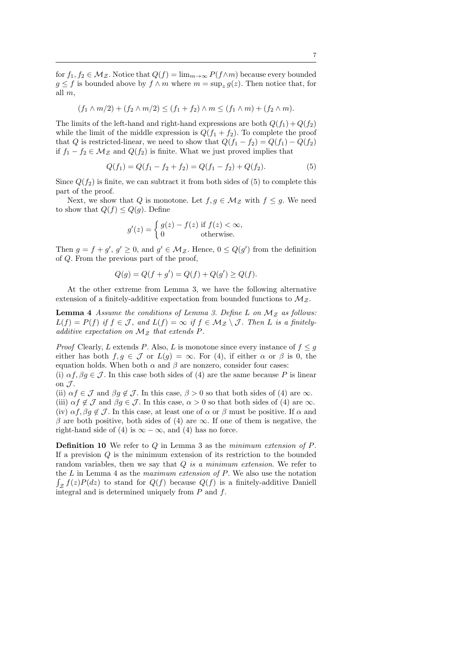for  $f_1, f_2 \in \mathcal{M}_{\mathcal{Z}}$ . Notice that  $Q(f) = \lim_{m \to \infty} P(f \wedge m)$  because every bounded  $g \leq f$  is bounded above by  $f \wedge m$  where  $m = \sup_z g(z)$ . Then notice that, for all m,

$$
(f_1 \wedge m/2) + (f_2 \wedge m/2) \le (f_1 + f_2) \wedge m \le (f_1 \wedge m) + (f_2 \wedge m).
$$

The limits of the left-hand and right-hand expressions are both  $Q(f_1) + Q(f_2)$ while the limit of the middle expression is  $Q(f_1 + f_2)$ . To complete the proof that Q is restricted-linear, we need to show that  $Q(f_1 - f_2) = Q(f_1) - Q(f_2)$ if  $f_1 - f_2 \in \mathcal{M}_{\mathcal{Z}}$  and  $Q(f_2)$  is finite. What we just proved implies that

$$
Q(f_1) = Q(f_1 - f_2 + f_2) = Q(f_1 - f_2) + Q(f_2).
$$
\n(5)

Since  $Q(f_2)$  is finite, we can subtract it from both sides of (5) to complete this part of the proof.

Next, we show that Q is monotone. Let  $f, g \in M_{\mathcal{Z}}$  with  $f \leq g$ . We need to show that  $Q(f) \leq Q(g)$ . Define

$$
g'(z) = \begin{cases} g(z) - f(z) & \text{if } f(z) < \infty, \\ 0 & \text{otherwise.} \end{cases}
$$

Then  $g = f + g'$ ,  $g' \ge 0$ , and  $g' \in M_{\mathcal{Z}}$ . Hence,  $0 \le Q(g')$  from the definition of Q. From the previous part of the proof,

$$
Q(g) = Q(f + g') = Q(f) + Q(g') \ge Q(f).
$$

At the other extreme from Lemma 3, we have the following alternative extension of a finitely-additive expectation from bounded functions to  $\mathcal{M}_{\mathcal{Z}}$ .

**Lemma 4** Assume the conditions of Lemma 3. Define L on  $M_z$  as follows:  $L(f) = P(f)$  if  $f \in \mathcal{J}$ , and  $L(f) = \infty$  if  $f \in \mathcal{M}_{\mathcal{Z}} \setminus \mathcal{J}$ . Then L is a finitelyadditive expectation on  $\mathcal{M}_{\mathcal{Z}}$  that extends P.

*Proof* Clearly, L extends P. Also, L is monotone since every instance of  $f \leq g$ either has both  $f, g \in \mathcal{J}$  or  $L(g) = \infty$ . For (4), if either  $\alpha$  or  $\beta$  is 0, the equation holds. When both  $\alpha$  and  $\beta$  are nonzero, consider four cases:

(i)  $\alpha f, \beta g \in \mathcal{J}$ . In this case both sides of (4) are the same because P is linear on  $\mathcal{J}$ .

(ii)  $\alpha f \in \mathcal{J}$  and  $\beta g \notin \mathcal{J}$ . In this case,  $\beta > 0$  so that both sides of (4) are  $\infty$ . (iii)  $\alpha f \notin \mathcal{J}$  and  $\beta q \in \mathcal{J}$ . In this case,  $\alpha > 0$  so that both sides of (4) are  $\infty$ . (iv)  $\alpha f$ ,  $\beta q \notin \mathcal{J}$ . In this case, at least one of  $\alpha$  or  $\beta$  must be positive. If  $\alpha$  and β are both positive, both sides of (4) are  $\infty$ . If one of them is negative, the right-hand side of (4) is  $\infty - \infty$ , and (4) has no force.

Definition 10 We refer to Q in Lemma 3 as the minimum extension of P. If a prevision Q is the minimum extension of its restriction to the bounded random variables, then we say that  $Q$  is a minimum extension. We refer to the  $L$  in Lemma 4 as the *maximum extension of P*. We also use the notation  $\int_{\mathcal{Z}} f(z)P(dz)$  to stand for  $Q(f)$  because  $Q(f)$  is a finitely-additive Daniell integral and is determined uniquely from  $P$  and  $f$ .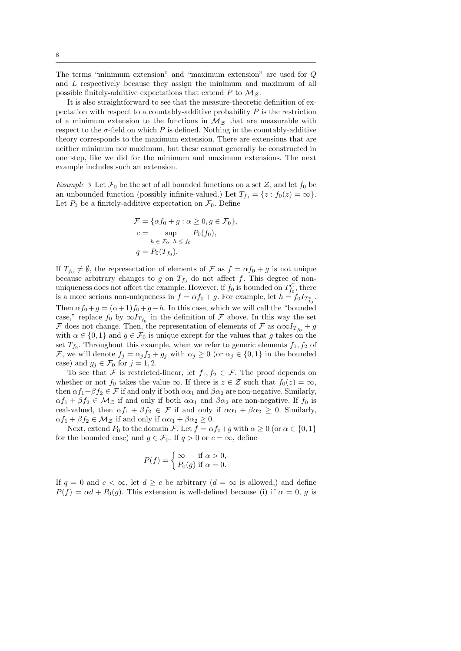The terms "minimum extension" and "maximum extension" are used for Q and L respectively because they assign the minimum and maximum of all possible finitely-additive expectations that extend P to  $\mathcal{M}_{Z}$ .

It is also straightforward to see that the measure-theoretic definition of expectation with respect to a countably-additive probability  $P$  is the restriction of a minimum extension to the functions in  $\mathcal{M}_{\mathcal{Z}}$  that are measurable with respect to the  $\sigma$ -field on which P is defined. Nothing in the countably-additive theory corresponds to the maximum extension. There are extensions that are neither minimum nor maximum, but these cannot generally be constructed in one step, like we did for the minimum and maximum extensions. The next example includes such an extension.

Example 3 Let  $\mathcal{F}_0$  be the set of all bounded functions on a set  $\mathcal{Z}$ , and let  $f_0$  be an unbounded function (possibly infinite-valued.) Let  $T_{f_0} = \{z : f_0(z) = \infty\}.$ Let  $P_0$  be a finitely-additive expectation on  $\mathcal{F}_0$ . Define

$$
\mathcal{F} = \{ \alpha f_0 + g : \alpha \ge 0, g \in \mathcal{F}_0 \},
$$
  
\n
$$
c = \sup_{h \in \mathcal{F}_0, h \le f_0} P_0(f_0),
$$
  
\n
$$
q = P_0(T_{f_0}).
$$

If  $T_{f_0} \neq \emptyset$ , the representation of elements of  $\mathcal F$  as  $f = \alpha f_0 + g$  is not unique because arbitrary changes to g on  $T_{f_0}$  do not affect f. This degree of nonuniqueness does not affect the example. However, if  $f_0$  is bounded on  $T_{f_0}^C$ , there is a more serious non-uniqueness in  $f = \alpha f_0 + g$ . For example, let  $h = f_0 I_{T_{f_0}^c}$ . Then  $\alpha f_0 + g = (\alpha + 1)f_0 + g - h$ . In this case, which we will call the "bounded" case," replace  $f_0$  by  $\infty I_{T_{f_0}}$  in the definition of  $\mathcal F$  above. In this way the set F does not change. Then, the representation of elements of F as  $\alpha \in I_{T_{f_0}} + g$ with  $\alpha \in \{0,1\}$  and  $g \in \mathcal{F}_0$  is unique except for the values that g takes on the set  $T_{f_0}$ . Throughout this example, when we refer to generic elements  $f_1, f_2$  of F, we will denote  $f_j = \alpha_j f_0 + g_j$  with  $\alpha_j \geq 0$  (or  $\alpha_j \in \{0,1\}$  in the bounded case) and  $g_i \in \mathcal{F}_0$  for  $j = 1, 2$ .

To see that F is restricted-linear, let  $f_1, f_2 \in \mathcal{F}$ . The proof depends on whether or not  $f_0$  takes the value  $\infty$ . If there is  $z \in \mathcal{Z}$  such that  $f_0(z) = \infty$ , then  $\alpha f_1 + \beta f_2 \in \mathcal{F}$  if and only if both  $\alpha \alpha_1$  and  $\beta \alpha_2$  are non-negative. Similarly,  $\alpha f_1 + \beta f_2 \in \mathcal{M}_{\mathcal{Z}}$  if and only if both  $\alpha \alpha_1$  and  $\beta \alpha_2$  are non-negative. If  $f_0$  is real-valued, then  $\alpha f_1 + \beta f_2 \in \mathcal{F}$  if and only if  $\alpha \alpha_1 + \beta \alpha_2 \geq 0$ . Similarly,  $\alpha f_1 + \beta f_2 \in \mathcal{M}_{\mathcal{Z}}$  if and only if  $\alpha \alpha_1 + \beta \alpha_2 \geq 0$ .

Next, extend  $P_0$  to the domain F. Let  $f = \alpha f_0 + g$  with  $\alpha \geq 0$  (or  $\alpha \in \{0, 1\}$ ) for the bounded case) and  $g \in \mathcal{F}_0$ . If  $q > 0$  or  $c = \infty$ , define

$$
P(f) = \begin{cases} \infty & \text{if } \alpha > 0, \\ P_0(g) & \text{if } \alpha = 0. \end{cases}
$$

If  $q = 0$  and  $c < \infty$ , let  $d \geq c$  be arbitrary  $(d = \infty$  is allowed,) and define  $P(f) = \alpha d + P_0(g)$ . This extension is well-defined because (i) if  $\alpha = 0$ , g is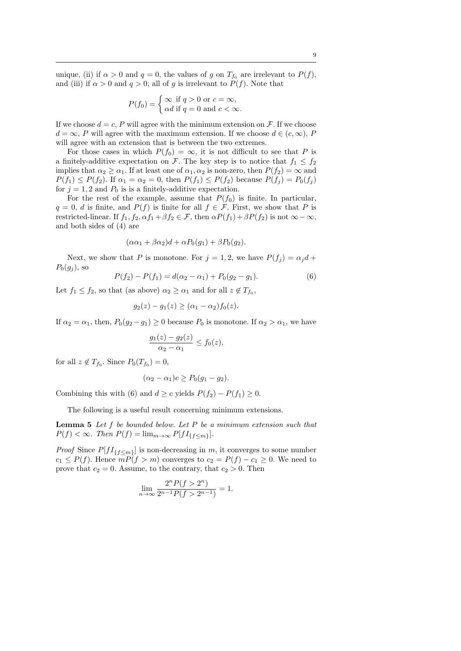unique, (ii) if  $\alpha > 0$  and  $q = 0$ , the values of g on  $T_{f_0}$  are irrelevant to  $P(f)$ , and (iii) if  $\alpha > 0$  and  $q > 0$ , all of g is irrelevant to  $P(f)$ . Note that

$$
P(f_0) = \begin{cases} \infty & \text{if } q > 0 \text{ or } c = \infty, \\ \alpha d & \text{if } q = 0 \text{ and } c < \infty. \end{cases}
$$

If we choose  $d = c$ , P will agree with the minimum extension on F. If we choose  $d = \infty$ , P will agree with the maximum extension. If we choose  $d \in (c, \infty)$ , P will agree with an extension that is between the two extremes.

For those cases in which  $P(f_0) = \infty$ , it is not difficult to see that P is a finitely-additive expectation on F. The key step is to notice that  $f_1 \n\t\le f_2$ implies that  $\alpha_2 \geq \alpha_1$ . If at least one of  $\alpha_1, \alpha_2$  is non-zero, then  $P(f_2) = \infty$  and  $P(f_1) \leq P(f_2)$ . If  $\alpha_1 = \alpha_2 = 0$ , then  $P(f_1) \leq P(f_2)$  because  $P(f_j) = P_0(f_j)$ for  $j = 1, 2$  and  $P_0$  is is a finitely-additive expectation.

For the rest of the example, assume that  $P(f_0)$  is finite. In particular,  $q = 0, d$  is finite, and  $P(f)$  is finite for all  $f \in \mathcal{F}$ . First, we show that P is restricted-linear. If  $f_1, f_2, \alpha f_1 + \beta f_2 \in \mathcal{F}$ , then  $\alpha P(f_1) + \beta P(f_2)$  is not  $\infty - \infty$ , and both sides of (4) are

$$
(\alpha\alpha_1 + \beta\alpha_2)d + \alpha P_0(g_1) + \beta P_0(g_2).
$$

Next, we show that P is monotone. For  $j = 1, 2$ , we have  $P(f_i) = \alpha_i d +$  $P_0(g_j)$ , so

$$
P(f_2) - P(f_1) = d(\alpha_2 - \alpha_1) + P_0(g_2 - g_1).
$$
\n(6)

Let  $f_1 \leq f_2$ , so that (as above)  $\alpha_2 \geq \alpha_1$  and for all  $z \notin T_{f_0}$ ,

$$
g_2(z) - g_1(z) \ge (\alpha_1 - \alpha_2) f_0(z).
$$

If  $\alpha_2 = \alpha_1$ , then,  $P_0(g_2 - g_1) \geq 0$  because  $P_0$  is monotone. If  $\alpha_2 > \alpha_1$ , we have

$$
\frac{g_1(z) - g_2(z)}{\alpha_2 - \alpha_1} \le f_0(z),
$$

for all  $z \notin T_{f_0}$ . Since  $P_0(T_{f_0}) = 0$ ,

$$
(\alpha_2 - \alpha_1)c \ge P_0(g_1 - g_2).
$$

Combining this with (6) and  $d > c$  yields  $P(f_2) - P(f_1) > 0$ .

The following is a useful result concerning minimum extensions.

**Lemma 5** Let  $f$  be bounded below. Let  $P$  be a minimum extension such that  $P(f) < \infty$ . Then  $P(f) = \lim_{m \to \infty} P[fI_{\{f \leq m\}}].$ 

*Proof* Since  $P[fI_{\{f\leq m\}}]$  is non-decreasing in m, it converges to some number  $c_1 \le P(f)$ . Hence  $mP(f > m)$  converges to  $c_2 = P(f) - c_1 \ge 0$ . We need to prove that  $c_2 = 0$ . Assume, to the contrary, that  $c_2 > 0$ . Then

$$
\lim_{n \to \infty} \frac{2^n P(f > 2^n)}{2^{n-1} P(f > 2^{n-1})} = 1.
$$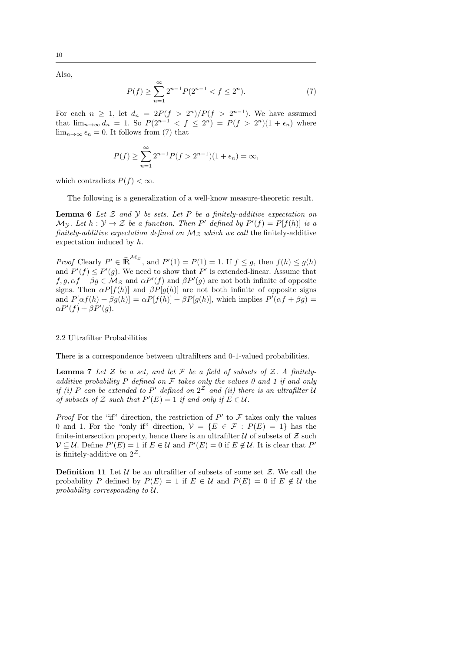Also,

$$
P(f) \ge \sum_{n=1}^{\infty} 2^{n-1} P(2^{n-1} < f \le 2^n). \tag{7}
$$

For each  $n \geq 1$ , let  $d_n = 2P(f > 2^n)/P(f > 2^{n-1})$ . We have assumed that  $\lim_{n\to\infty} d_n = 1$ . So  $P(2^{n-1} < f \leq 2^n) = P(f > 2^n)(1 + \epsilon_n)$  where  $\lim_{n\to\infty} \epsilon_n = 0$ . It follows from (7) that

$$
P(f) \ge \sum_{n=1}^{\infty} 2^{n-1} P(f > 2^{n-1})(1 + \epsilon_n) = \infty,
$$

which contradicts  $P(f) < \infty$ .

The following is a generalization of a well-know measure-theoretic result.

**Lemma 6** Let  $\mathcal Z$  and  $\mathcal Y$  be sets. Let P be a finitely-additive expectation on  $M_{\mathcal{Y}}$ . Let  $h: \mathcal{Y} \to \mathcal{Z}$  be a function. Then P' defined by  $P'(f) = P[f(h)]$  is a finitely-additive expectation defined on  $\mathcal{M}_z$  which we call the finitely-additive expectation induced by h.

*Proof* Clearly  $P' \in \widehat{\mathbb{R}}^{\mathcal{M}_{\mathcal{Z}}},$  and  $P'(1) = P(1) = 1$ . If  $f \leq g$ , then  $f(h) \leq g(h)$ and  $P'(f) \le P'(g)$ . We need to show that P' is extended-linear. Assume that  $f, g, \alpha f + \beta g \in M_{\mathcal{Z}}$  and  $\alpha P'(f)$  and  $\beta P'(g)$  are not both infinite of opposite signs. Then  $\alpha P[f(h)]$  and  $\beta P[g(h)]$  are not both infinite of opposite signs and  $P[\alpha f(h) + \beta g(h)] = \alpha P[f(h)] + \beta P[g(h)]$ , which implies  $P'(\alpha f + \beta g)$  $\alpha P'(f) + \beta P'(g).$ 

#### 2.2 Ultrafilter Probabilities

There is a correspondence between ultrafilters and 0-1-valued probabilities.

**Lemma 7** Let  $\mathcal Z$  be a set, and let  $\mathcal F$  be a field of subsets of  $\mathcal Z$ . A finitelyadditive probability P defined on  $\mathcal F$  takes only the values 0 and 1 if and only if (i) P can be extended to P' defined on  $2^{\mathcal{Z}}$  and (ii) there is an ultrafilter U of subsets of Z such that  $P'(E) = 1$  if and only if  $E \in \mathcal{U}$ .

*Proof* For the "if" direction, the restriction of  $P'$  to  $\mathcal F$  takes only the values 0 and 1. For the "only if" direction,  $V = \{E \in \mathcal{F} : P(E) = 1\}$  has the finite-intersection property, hence there is an ultrafilter  $U$  of subsets of  $Z$  such  $V \subseteq U$ . Define  $P'(E) = 1$  if  $E \in U$  and  $P'(E) = 0$  if  $E \notin U$ . It is clear that  $P'$ is finitely-additive on  $2^{\mathcal{Z}}$ .

**Definition 11** Let  $\mathcal{U}$  be an ultrafilter of subsets of some set  $\mathcal{Z}$ . We call the probability P defined by  $P(E) = 1$  if  $E \in \mathcal{U}$  and  $P(E) = 0$  if  $E \notin \mathcal{U}$  the probability corresponding to U.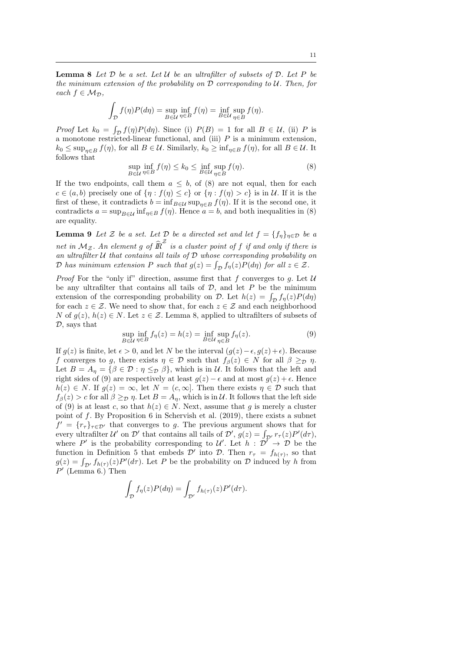**Lemma 8** Let  $D$  be a set. Let  $U$  be an ultrafilter of subsets of  $D$ . Let  $P$  be the minimum extension of the probability on  $\mathcal D$  corresponding to  $\mathcal U$ . Then, for each  $f \in \mathcal{M}_{\mathcal{D}}$ ,

$$
\int_{\mathcal{D}} f(\eta) P(d\eta) = \sup_{B \in \mathcal{U}} \inf_{\eta \in B} f(\eta) = \inf_{B \in \mathcal{U}} \sup_{\eta \in B} f(\eta).
$$

*Proof* Let  $k_0 = \int_{\mathcal{D}} f(\eta)P(d\eta)$ . Since (i)  $P(B) = 1$  for all  $B \in \mathcal{U}$ , (ii) P is a monotone restricted-linear functional, and (iii)  $P$  is a minimum extension,  $k_0 \le \sup_{\eta \in B} f(\eta)$ , for all  $B \in \mathcal{U}$ . Similarly,  $k_0 \ge \inf_{\eta \in B} f(\eta)$ , for all  $B \in \mathcal{U}$ . It follows that

$$
\sup_{B \in \mathcal{U}} \inf_{\eta \in B} f(\eta) \le k_0 \le \inf_{B \in \mathcal{U}} \sup_{\eta \in B} f(\eta). \tag{8}
$$

If the two endpoints, call them  $a \leq b$ , of (8) are not equal, then for each  $c \in (a, b)$  precisely one of  $\{\eta : f(\eta) \leq c\}$  or  $\{\eta : f(\eta) > c\}$  is in U. If it is the first of these, it contradicts  $b = \inf_{B \in \mathcal{U}} \sup_{\eta \in B} f(\eta)$ . If it is the second one, it contradicts  $a = \sup_{B \in \mathcal{U}} \inf_{\eta \in B} f(\eta)$ . Hence  $a = b$ , and both inequalities in (8) are equality.

**Lemma 9** Let Z be a set. Let D be a directed set and let  $f = \{f_{\eta}\}_{\eta \in \mathcal{D}}$  be a net in  $M_z$ . An element g of  $\widehat{R}^z$  is a cluster point of f if and only if there is an ultrafilter  $U$  that contains all tails of  $D$  whose corresponding probability on D has minimum extension P such that  $g(z) = \int_{\mathcal{D}} f_{\eta}(z) P(d\eta)$  for all  $z \in \mathcal{Z}$ .

*Proof* For the "only if" direction, assume first that f converges to g. Let  $U$ be any ultrafilter that contains all tails of  $D$ , and let  $P$  be the minimum extension of the corresponding probability on D. Let  $h(z) = \int_{\mathcal{D}} f_{\eta}(z) P(d\eta)$ for each  $z \in \mathcal{Z}$ . We need to show that, for each  $z \in \mathcal{Z}$  and each neighborhood N of  $q(z)$ ,  $h(z) \in N$ . Let  $z \in \mathcal{Z}$ . Lemma 8, applied to ultrafilters of subsets of D, says that

$$
\sup_{B \in \mathcal{U}} \inf_{\eta \in B} f_{\eta}(z) = h(z) = \inf_{B \in \mathcal{U}} \sup_{\eta \in B} f_{\eta}(z). \tag{9}
$$

If  $g(z)$  is finite, let  $\epsilon > 0$ , and let N be the interval  $(g(z) - \epsilon, g(z) + \epsilon)$ . Because f converges to g, there exists  $\eta \in \mathcal{D}$  such that  $f_{\beta}(z) \in N$  for all  $\beta \geq_{\mathcal{D}} \eta$ . Let  $B = A_{\eta} = {\beta \in \mathcal{D} : \eta \leq_{\mathcal{D}} \beta}$ , which is in U. It follows that the left and right sides of (9) are respectively at least  $g(z) - \epsilon$  and at most  $g(z) + \epsilon$ . Hence  $h(z) \in N$ . If  $q(z) = \infty$ , let  $N = (c, \infty]$ . Then there exists  $\eta \in \mathcal{D}$  such that  $f_\beta(z) > c$  for all  $\beta \geq_{\mathcal{D}} \eta$ . Let  $B = A_\eta$ , which is in U. It follows that the left side of (9) is at least c, so that  $h(z) \in N$ . Next, assume that g is merely a cluster point of f. By Proposition 6 in Schervish et al. (2019), there exists a subnet  $f' = \{r_\tau\}_{\tau \in \mathcal{D}'}$  that converges to g. The previous argument shows that for every ultrafilter  $\mathcal{U}'$  on  $\mathcal{D}'$  that contains all tails of  $\mathcal{D}', g(z) = \int_{\mathcal{D}'} r_{\tau}(z) P'(d\tau)$ , where P' is the probability corresponding to U'. Let  $h : \mathcal{D}^{\mathcal{T}} \to \mathcal{D}$  be the function in Definition 5 that embeds  $\mathcal{D}'$  into  $\mathcal{D}$ . Then  $r_{\tau} = f_{h(\tau)}$ , so that  $g(z) = \int_{\mathcal{D}'} f_{h(\tau)}(z)P'(d\tau)$ . Let P be the probability on D induced by h from  $P'$  (Lemma 6.) Then

$$
\int_{\mathcal{D}} f_{\eta}(z) P(d\eta) = \int_{\mathcal{D}'} f_{h(\tau)}(z) P'(d\tau).
$$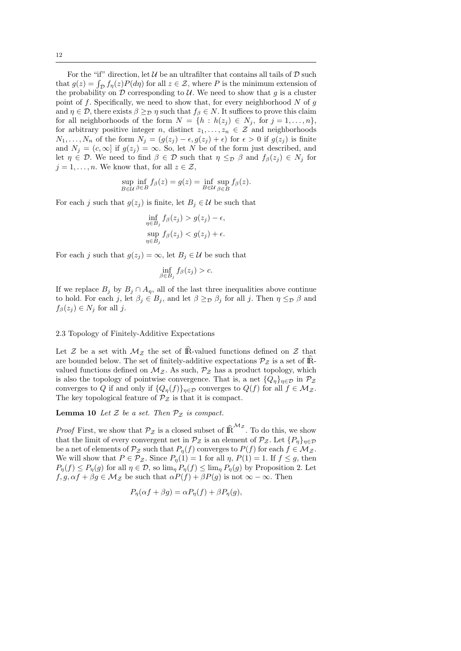For the "if" direction, let  $\mathcal U$  be an ultrafilter that contains all tails of  $\mathcal D$  such that  $g(z) = \int_{\mathcal{D}} f_{\eta}(z)P(d\eta)$  for all  $z \in \mathcal{Z}$ , where P is the minimum extension of the probability on  $D$  corresponding to  $U$ . We need to show that  $g$  is a cluster point of  $f$ . Specifically, we need to show that, for every neighborhood  $N$  of  $g$ and  $\eta \in \mathcal{D}$ , there exists  $\beta \geq_{\mathcal{D}} \eta$  such that  $f_{\beta} \in N$ . It suffices to prove this claim for all neighborhoods of the form  $N = \{h : h(z_i) \in N_i, \text{ for } j = 1, ..., n\},\$ for arbitrary positive integer n, distinct  $z_1, \ldots, z_n \in \mathcal{Z}$  and neighborhoods  $N_1, \ldots, N_n$  of the form  $N_j = (g(z_j) - \epsilon, g(z_j) + \epsilon)$  for  $\epsilon > 0$  if  $g(z_j)$  is finite and  $N_j = (c, \infty]$  if  $g(z_j) = \infty$ . So, let N be of the form just described, and let  $\eta \in \mathcal{D}$ . We need to find  $\beta \in \mathcal{D}$  such that  $\eta \leq_{\mathcal{D}} \beta$  and  $f_{\beta}(z_i) \in N_i$  for  $j = 1, \ldots, n$ . We know that, for all  $z \in \mathcal{Z}$ ,

$$
\sup_{B \in \mathcal{U}} \inf_{\beta \in B} f_{\beta}(z) = g(z) = \inf_{B \in \mathcal{U}} \sup_{\beta \in B} f_{\beta}(z).
$$

For each j such that  $g(z_i)$  is finite, let  $B_i \in \mathcal{U}$  be such that

$$
\inf_{\eta \in B_j} f_{\beta}(z_j) > g(z_j) - \epsilon,
$$
\n
$$
\sup_{\eta \in B_j} f_{\beta}(z_j) < g(z_j) + \epsilon.
$$

For each j such that  $g(z_i) = \infty$ , let  $B_i \in \mathcal{U}$  be such that

$$
\inf_{\beta \in B_j} f_{\beta}(z_j) > c.
$$

If we replace  $B_j$  by  $B_j \cap A_n$ , all of the last three inequalities above continue to hold. For each j, let  $\beta_j \in B_j$ , and let  $\beta \geq_{\mathcal{D}} \beta_j$  for all j. Then  $\eta \leq_{\mathcal{D}} \beta$  and  $f_{\beta}(z_j) \in N_j$  for all j.

### 2.3 Topology of Finitely-Additive Expectations

Let Z be a set with  $\mathcal{M}_{\mathcal{Z}}$  the set of  $\hat{\mathbb{R}}$ -valued functions defined on Z that are bounded below. The set of finitely-additive expectations  $\mathcal{P}_{\mathcal{Z}}$  is a set of IRvalued functions defined on  $\mathcal{M}_{\mathcal{Z}}$ . As such,  $\mathcal{P}_{\mathcal{Z}}$  has a product topology, which is also the topology of pointwise convergence. That is, a net  $\{Q_{\eta}\}_{{\eta\in\mathcal{D}}}$  in  $\mathcal{P}_{\mathcal{Z}}$ converges to Q if and only if  $\{Q_{\eta}(f)\}_{\eta \in \mathcal{D}}$  converges to  $Q(f)$  for all  $f \in \mathcal{M}_{\mathcal{Z}}$ . The key topological feature of  $P_z$  is that it is compact.

**Lemma 10** Let  $\mathcal Z$  be a set. Then  $\mathcal P_{\mathcal Z}$  is compact.

*Proof* First, we show that  $P_z$  is a closed subset of  $\widehat{R}^{M_z}$ . To do this, we show that the limit of every convergent net in  $\mathcal{P}_z$  is an element of  $\mathcal{P}_z$ . Let  $\{P_n\}_{n\in\mathcal{D}}$ be a net of elements of  $\mathcal{P}_{\mathcal{Z}}$  such that  $P_{\eta}(f)$  converges to  $P(f)$  for each  $f \in \mathcal{M}_{\mathcal{Z}}$ . We will show that  $P \in \mathcal{P}_{\mathcal{Z}}$ . Since  $P_{\eta}(1) = 1$  for all  $\eta$ ,  $P(1) = 1$ . If  $f \leq g$ , then  $P_{\eta}(f) \leq P_{\eta}(g)$  for all  $\eta \in \mathcal{D}$ , so  $\lim_{\eta} P_{\eta}(f) \leq \lim_{\eta} P_{\eta}(g)$  by Proposition 2. Let  $f, g, \alpha f + \beta g \in M_{\mathcal{Z}}$  be such that  $\alpha P(f) + \beta P(g)$  is not  $\infty - \infty$ . Then

$$
P_{\eta}(\alpha f + \beta g) = \alpha P_{\eta}(f) + \beta P_{\eta}(g),
$$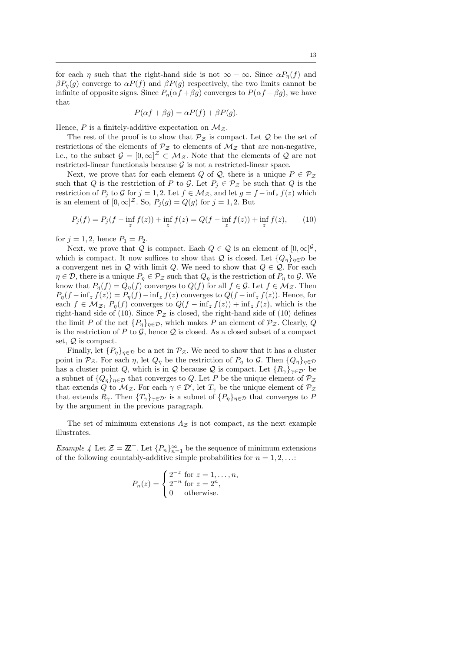for each  $\eta$  such that the right-hand side is not  $\infty - \infty$ . Since  $\alpha P_{\eta}(f)$  and  $\beta P_n(g)$  converge to  $\alpha P(f)$  and  $\beta P(g)$  respectively, the two limits cannot be infinite of opposite signs. Since  $P_{\eta}(\alpha f + \beta g)$  converges to  $P(\alpha f + \beta g)$ , we have that

$$
P(\alpha f + \beta g) = \alpha P(f) + \beta P(g).
$$

Hence, P is a finitely-additive expectation on  $\mathcal{M}_{\mathcal{Z}}$ .

The rest of the proof is to show that  $\mathcal{P}_z$  is compact. Let  $\mathcal Q$  be the set of restrictions of the elements of  $\mathcal{P}_z$  to elements of  $\mathcal{M}_z$  that are non-negative, i.e., to the subset  $\mathcal{G} = [0, \infty]^{\mathcal{Z}} \subset \mathcal{M}_{\mathcal{Z}}$ . Note that the elements of  $\mathcal{Q}$  are not restricted-linear functionals because  $G$  is not a restricted-linear space.

Next, we prove that for each element Q of Q, there is a unique  $P \in \mathcal{P}_z$ such that Q is the restriction of P to G. Let  $P_i \in \mathcal{P}_Z$  be such that Q is the restriction of  $P_j$  to G for  $j = 1, 2$ . Let  $f \in \mathcal{M}_{\mathcal{Z}}$ , and let  $g = f - \inf_z f(z)$  which is an element of  $[0,\infty]^{\mathcal{Z}}$ . So,  $P_j(g) = Q(g)$  for  $j = 1, 2$ . But

$$
P_j(f) = P_j(f - \inf_z f(z)) + \inf_z f(z) = Q(f - \inf_z f(z)) + \inf_z f(z), \qquad (10)
$$

for  $j = 1, 2$ , hence  $P_1 = P_2$ .

Next, we prove that Q is compact. Each  $Q \in \mathcal{Q}$  is an element of  $[0, \infty]^{\mathcal{G}}$ , which is compact. It now suffices to show that Q is closed. Let  ${Q_n}_{n \in \mathcal{D}}$  be a convergent net in  $Q$  with limit  $Q$ . We need to show that  $Q \in Q$ . For each  $\eta \in \mathcal{D}$ , there is a unique  $P_{\eta} \in \mathcal{P}_{\mathcal{Z}}$  such that  $Q_{\eta}$  is the restriction of  $P_{\eta}$  to  $\mathcal{G}$ . We know that  $P_n(f) = Q_n(f)$  converges to  $Q(f)$  for all  $f \in \mathcal{G}$ . Let  $f \in \mathcal{M}_{\mathcal{Z}}$ . Then  $P_{\eta}(f - \inf_{z} f(z)) = P_{\eta}(f) - \inf_{z} f(z)$  converges to  $Q(f - \inf_{z} f(z))$ . Hence, for each  $f \in \mathcal{M}_{\mathcal{Z}}, P_{\eta}(f)$  converges to  $Q(f - \inf_z f(z)) + \inf_z f(z)$ , which is the right-hand side of (10). Since  $\mathcal{P}_z$  is closed, the right-hand side of (10) defines the limit P of the net  $\{P_{\eta}\}_{{\eta \in \mathcal{D}}}$ , which makes P an element of  $\mathcal{P}_{\mathcal{Z}}$ . Clearly, Q is the restriction of  $P$  to  $\mathcal{G}$ , hence  $\mathcal{Q}$  is closed. As a closed subset of a compact set, Q is compact.

Finally, let  $\{P_n\}_{n\in\mathcal{D}}$  be a net in  $\mathcal{P}_z$ . We need to show that it has a cluster point in  $\mathcal{P}_{\mathcal{Z}}$ . For each  $\eta$ , let  $Q_{\eta}$  be the restriction of  $P_{\eta}$  to  $\mathcal{G}$ . Then  $\{Q_{\eta}\}_{{\eta}\in\mathcal{D}}$ has a cluster point Q, which is in Q because Q is compact. Let  $\{R_{\gamma}\}_{{\gamma\in\mathcal{D}'}}$  be a subnet of  $\{Q_n\}_{n\in\mathcal{D}}$  that converges to Q. Let P be the unique element of  $\mathcal{P}_\mathcal{Z}$ that extends Q to  $\mathcal{M}_{\mathcal{Z}}$ . For each  $\gamma \in \mathcal{D}'$ , let  $T_{\gamma}$  be the unique element of  $\mathcal{P}_{\mathcal{Z}}$ that extends  $R_{\gamma}$ . Then  $\{T_{\gamma}\}_{{\gamma\in\mathcal{D}'}}$  is a subnet of  $\{P_{\eta}\}_{{\eta\in\mathcal{D}}}$  that converges to P by the argument in the previous paragraph.

The set of minimum extensions  $\Lambda_{\mathcal{Z}}$  is not compact, as the next example illustrates.

Example 4 Let  $\mathcal{Z} = \mathbb{Z}^+$ . Let  $\{P_n\}_{n=1}^{\infty}$  be the sequence of minimum extensions of the following countably-additive simple probabilities for  $n = 1, 2, \ldots$ :

$$
P_n(z) = \begin{cases} 2^{-z} & \text{for } z = 1, \dots, n, \\ 2^{-n} & \text{for } z = 2^n, \\ 0 & \text{otherwise.} \end{cases}
$$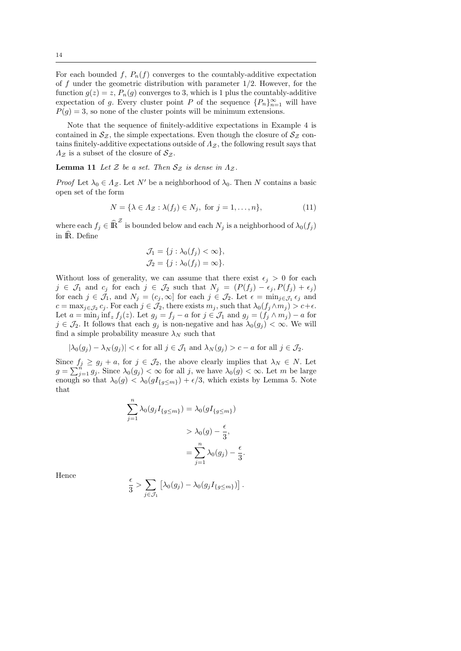For each bounded f,  $P_n(f)$  converges to the countably-additive expectation of f under the geometric distribution with parameter  $1/2$ . However, for the function  $g(z) = z$ ,  $P_n(g)$  converges to 3, which is 1 plus the countably-additive expectation of g. Every cluster point P of the sequence  $\{P_n\}_{n=1}^{\infty}$  will have  $P(g) = 3$ , so none of the cluster points will be minimum extensions.

Note that the sequence of finitely-additive expectations in Example 4 is contained in  $\mathcal{S}_{\mathcal{Z}}$ , the simple expectations. Even though the closure of  $\mathcal{S}_{\mathcal{Z}}$  contains finitely-additive expectations outside of  $\Lambda_{\mathcal{Z}}$ , the following result says that  $\Lambda_{\mathcal{Z}}$  is a subset of the closure of  $\mathcal{S}_{\mathcal{Z}}$ .

**Lemma 11** Let  $\mathcal Z$  be a set. Then  $\mathcal S_{\mathcal Z}$  is dense in  $\Lambda_{\mathcal Z}$ .

Proof Let  $\lambda_0 \in A_{\mathcal{Z}}$ . Let N' be a neighborhood of  $\lambda_0$ . Then N contains a basic open set of the form

$$
N = \{ \lambda \in \Lambda_{\mathcal{Z}} : \lambda(f_j) \in N_j, \text{ for } j = 1, \dots, n \},\tag{11}
$$

where each  $f_j \in \widehat{\text{IR}}^{\mathcal{Z}}$  is bounded below and each  $N_j$  is a neighborhood of  $\lambda_0(f_j)$ in  $\widehat{\mathbb{R}}$ . Define

$$
\mathcal{J}_1 = \{j : \lambda_0(f_j) < \infty\},
$$
\n
$$
\mathcal{J}_2 = \{j : \lambda_0(f_j) = \infty\}.
$$

Without loss of generality, we can assume that there exist  $\epsilon_i > 0$  for each  $j \in \mathcal{J}_1$  and  $c_j$  for each  $j \in \mathcal{J}_2$  such that  $N_j = (P(f_j) - \epsilon_j, P(f_j) + \epsilon_j)$ for each  $j \in \mathcal{J}_1$ , and  $N_j = (c_j, \infty]$  for each  $j \in \mathcal{J}_2$ . Let  $\epsilon = \min_{j \in \mathcal{J}_1} \epsilon_j$  and  $c = \max_{j \in \mathcal{J}_2} c_j$ . For each  $j \in \mathcal{J}_2$ , there exists  $m_j$ , such that  $\lambda_0(f_j \wedge m_j) > c + \epsilon$ . Let  $a = \min_j \inf_z f_j(z)$ . Let  $g_j = f_j - a$  for  $j \in \mathcal{J}_1$  and  $g_j = (f_j \wedge m_j) - a$  for  $j \in \mathcal{J}_2$ . It follows that each  $g_j$  is non-negative and has  $\lambda_0(g_j) < \infty$ . We will find a simple probability measure  $\lambda_N$  such that

$$
|\lambda_0(g_j) - \lambda_N(g_j)| < \epsilon \text{ for all } j \in \mathcal{J}_1 \text{ and } \lambda_N(g_j) > c - a \text{ for all } j \in \mathcal{J}_2.
$$

Since  $f_j \geq g_j + a$ , for  $j \in \mathcal{J}_2$ , the above clearly implies that  $\lambda_N \in N$ . Let  $g = \sum_{j=1}^{n} g_j$ . Since  $\lambda_0(g_j) < \infty$  for all j, we have  $\lambda_0(g) < \infty$ . Let m be large enough so that  $\lambda_0(g) < \lambda_0(gI_{\{g \le m\}}) + \epsilon/3$ , which exists by Lemma 5. Note that

$$
\sum_{j=1}^{n} \lambda_0(g_j I_{\{g \le m\}}) = \lambda_0(g I_{\{g \le m\}})
$$

$$
> \lambda_0(g) - \frac{\epsilon}{3},
$$

$$
= \sum_{j=1}^{n} \lambda_0(g_j) - \frac{\epsilon}{3}.
$$

Hence

$$
\frac{\epsilon}{3} > \sum_{j \in \mathcal{J}_1} \left[ \lambda_0(g_j) - \lambda_0(g_j I_{\{g \le m\}}) \right].
$$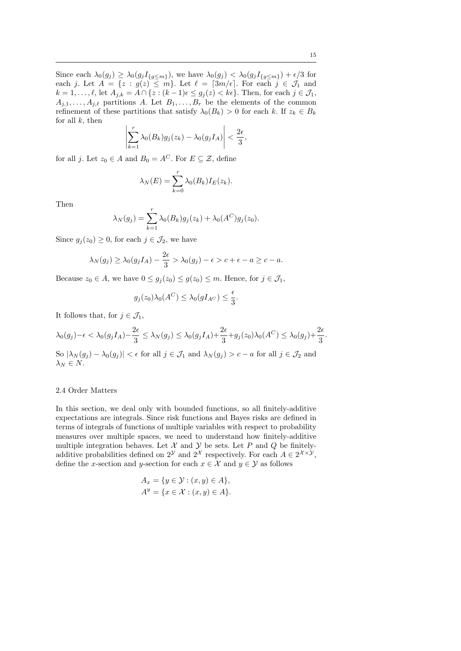Since each  $\lambda_0(g_j) \geq \lambda_0(g_j I_{\{g \leq m\}})$ , we have  $\lambda_0(g_j) < \lambda_0(g_j I_{\{g \leq m\}}) + \epsilon/3$  for each j. Let  $A = \{z : g(z) \leq m\}$ . Let  $\ell = \lceil 3m/\epsilon \rceil$ . For each  $j \in \mathcal{J}_1$  and  $k = 1, \ldots, \ell$ , let  $A_{j,k} = A \cap \{z : (k-1)\epsilon \le g_j(z) < k\epsilon\}$ . Then, for each  $j \in \mathcal{J}_1$ ,  $A_{j,1}, \ldots, A_{j,\ell}$  partitions A. Let  $B_1, \ldots, B_r$  be the elements of the common refinement of these partitions that satisfy  $\lambda_0(B_k) > 0$  for each k. If  $z_k \in B_k$ for all  $k$ , then

$$
\left|\sum_{k=1}^r \lambda_0(B_k)g_j(z_k) - \lambda_0(g_jI_A)\right| < \frac{2\epsilon}{3},
$$

for all j. Let  $z_0 \in A$  and  $B_0 = A^C$ . For  $E \subseteq \mathcal{Z}$ , define

$$
\lambda_N(E) = \sum_{k=0}^r \lambda_0(B_k) I_E(z_k).
$$

Then

$$
\lambda_N(g_j) = \sum_{k=1}^r \lambda_0(B_k) g_j(z_k) + \lambda_0(A^C) g_j(z_0).
$$

Since  $g_j(z_0) \geq 0$ , for each  $j \in \mathcal{J}_2$ , we have

$$
\lambda_N(g_j) \geq \lambda_0(g_j I_A) - \frac{2\epsilon}{3} > \lambda_0(g_j) - \epsilon > c + \epsilon - a \geq c - a.
$$

Because  $z_0 \in A$ , we have  $0 \le g_j(z_0) \le g(z_0) \le m$ . Hence, for  $j \in \mathcal{J}_1$ ,

$$
g_j(z_0)\lambda_0(A^C) \leq \lambda_0(gI_{A^C}) \leq \frac{\epsilon}{3}.
$$

It follows that, for  $j \in \mathcal{J}_1$ ,

$$
\lambda_0(g_j) - \epsilon < \lambda_0(g_j I_A) - \frac{2\epsilon}{3} \le \lambda_N(g_j) \le \lambda_0(g_j I_A) + \frac{2\epsilon}{3} + g_j(z_0)\lambda_0(A^C) \le \lambda_0(g_j) + \frac{2\epsilon}{3}.
$$
\n
$$
\text{So } |\lambda_N(g_j) - \lambda_0(g_j)| < \epsilon \text{ for all } j \in \mathcal{J}_1 \text{ and } \lambda_N(g_j) > c - a \text{ for all } j \in \mathcal{J}_2 \text{ and }
$$
\n
$$
\lambda_N \in N.
$$

### 2.4 Order Matters

In this section, we deal only with bounded functions, so all finitely-additive expectations are integrals. Since risk functions and Bayes risks are defined in terms of integrals of functions of multiple variables with respect to probability measures over multiple spaces, we need to understand how finitely-additive multiple integration behaves. Let  $\mathcal X$  and  $\mathcal Y$  be sets. Let  $P$  and  $Q$  be finitelyadditive probabilities defined on  $2^{\mathcal{Y}}$  and  $2^{\mathcal{X}}$  respectively. For each  $A \in 2^{\mathcal{X} \times \mathcal{Y}}$ , define the x-section and y-section for each  $x \in \mathcal{X}$  and  $y \in \mathcal{Y}$  as follows

$$
A_x = \{ y \in \mathcal{Y} : (x, y) \in A \},
$$
  

$$
A^y = \{ x \in \mathcal{X} : (x, y) \in A \}.
$$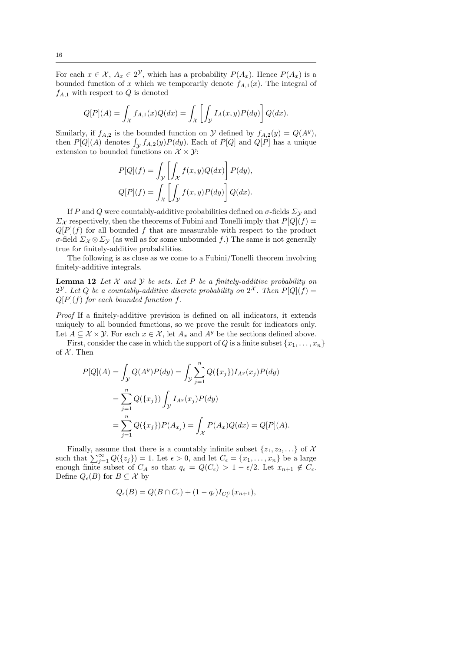For each  $x \in \mathcal{X}, A_x \in 2^{\mathcal{Y}}$ , which has a probability  $P(A_x)$ . Hence  $P(A_x)$  is a bounded function of x which we temporarily denote  $f_{A,1}(x)$ . The integral of  $f_{A,1}$  with respect to Q is denoted

$$
Q[P](A) = \int_{\mathcal{X}} f_{A,1}(x) Q(dx) = \int_{\mathcal{X}} \left[ \int_{\mathcal{Y}} I_A(x, y) P(dy) \right] Q(dx).
$$

Similarly, if  $f_{A,2}$  is the bounded function on  $\mathcal Y$  defined by  $f_{A,2}(y) = Q(A^y)$ , then  $P[Q](A)$  denotes  $\int_{\mathcal{Y}} f_{A,2}(y)P(dy)$ . Each of  $P[Q]$  and  $Q[P]$  has a unique extension to bounded functions on  $\mathcal{X} \times \mathcal{Y}$ :

$$
P[Q](f) = \int_{\mathcal{Y}} \left[ \int_{\mathcal{X}} f(x, y) Q(dx) \right] P(dy),
$$
  

$$
Q[P](f) = \int_{\mathcal{X}} \left[ \int_{\mathcal{Y}} f(x, y) P(dy) \right] Q(dx).
$$

If P and Q were countably-additive probabilities defined on  $\sigma$ -fields  $\Sigma_{\mathcal{V}}$  and  $\Sigma_{\mathcal{X}}$  respectively, then the theorems of Fubini and Tonelli imply that  $P[Q](f) =$  $Q[P](f)$  for all bounded f that are measurable with respect to the product σ-field  $\Sigma_{\mathcal{X}} \otimes \Sigma_{\mathcal{Y}}$  (as well as for some unbounded f.) The same is not generally true for finitely-additive probabilities.

The following is as close as we come to a Fubini/Tonelli theorem involving finitely-additive integrals.

**Lemma 12** Let  $\mathcal X$  and  $\mathcal Y$  be sets. Let  $P$  be a finitely-additive probability on  $2^{\mathcal{Y}}$ . Let Q be a countably-additive discrete probability on  $2^{\mathcal{X}}$ . Then  $P[Q](f) =$  $Q[P](f)$  for each bounded function f.

Proof If a finitely-additive prevision is defined on all indicators, it extends uniquely to all bounded functions, so we prove the result for indicators only. Let  $A \subseteq \mathcal{X} \times \mathcal{Y}$ . For each  $x \in \mathcal{X}$ , let  $A_x$  and  $A^y$  be the sections defined above.

First, consider the case in which the support of Q is a finite subset  $\{x_1, \ldots, x_n\}$ of  $X$ . Then

$$
P[Q](A) = \int_{\mathcal{Y}} Q(A^y)P(dy) = \int_{\mathcal{Y}} \sum_{j=1}^n Q(\{x_j\}) I_{A^y}(x_j)P(dy)
$$
  
= 
$$
\sum_{j=1}^n Q(\{x_j\}) \int_{\mathcal{Y}} I_{A^y}(x_j)P(dy)
$$
  
= 
$$
\sum_{j=1}^n Q(\{x_j\}) P(A_{x_j}) = \int_{\mathcal{X}} P(A_x)Q(dx) = Q[P](A).
$$

Finally, assume that there is a countably infinite subset  $\{z_1, z_2, \ldots\}$  of X such that  $\sum_{j=1}^{\infty} Q(\{z_j\}) = 1$ . Let  $\epsilon > 0$ , and let  $C_{\epsilon} = \{x_1, \ldots, x_n\}$  be a large enough finite subset of  $C_A$  so that  $q_{\epsilon} = Q(C_{\epsilon}) > 1 - \epsilon/2$ . Let  $x_{n+1} \notin C_{\epsilon}$ . Define  $Q_{\epsilon}(B)$  for  $B \subseteq \mathcal{X}$  by

$$
Q_{\epsilon}(B) = Q(B \cap C_{\epsilon}) + (1 - q_{\epsilon})I_{C_{\epsilon}^{C}}(x_{n+1}),
$$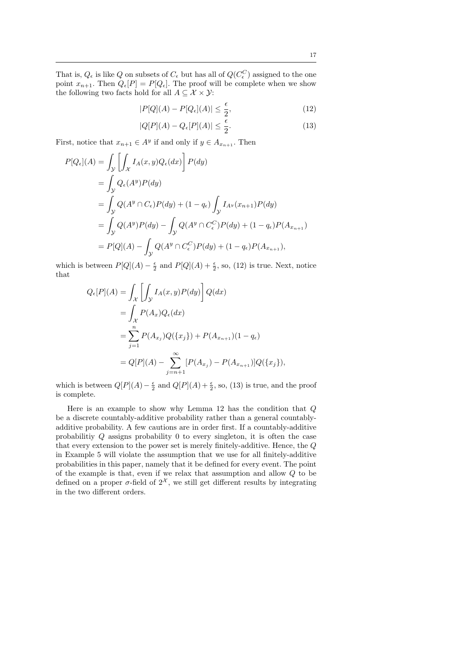That is,  $Q_{\epsilon}$  is like Q on subsets of  $C_{\epsilon}$  but has all of  $Q(C_{\epsilon}^C)$  assigned to the one point  $x_{n+1}$ . Then  $Q_{\epsilon}[P] = P[Q_{\epsilon}]$ . The proof will be complete when we show the following two facts hold for all  $A \subseteq \mathcal{X} \times \mathcal{Y}$ :

$$
|P[Q](A) - P[Q_{\epsilon}](A)| \le \frac{\epsilon}{2},\tag{12}
$$

$$
|Q[P](A) - Q_{\epsilon}[P](A)| \le \frac{\epsilon}{2}.
$$
\n(13)

First, notice that  $x_{n+1} \in A^y$  if and only if  $y \in A_{x_{n+1}}$ . Then

$$
P[Q_{\epsilon}](A) = \int_{\mathcal{Y}} \left[ \int_{\mathcal{X}} I_A(x, y) Q_{\epsilon}(dx) \right] P(dy)
$$
  
\n
$$
= \int_{\mathcal{Y}} Q_{\epsilon}(A^y) P(dy)
$$
  
\n
$$
= \int_{\mathcal{Y}} Q(A^y \cap C_{\epsilon}) P(dy) + (1 - q_{\epsilon}) \int_{\mathcal{Y}} I_{A^y}(x_{n+1}) P(dy)
$$
  
\n
$$
= \int_{\mathcal{Y}} Q(A^y) P(dy) - \int_{\mathcal{Y}} Q(A^y \cap C_{\epsilon}^C) P(dy) + (1 - q_{\epsilon}) P(A_{x_{n+1}})
$$
  
\n
$$
= P[Q](A) - \int_{\mathcal{Y}} Q(A^y \cap C_{\epsilon}^C) P(dy) + (1 - q_{\epsilon}) P(A_{x_{n+1}}),
$$

which is between  $P[Q](A) - \frac{\epsilon}{2}$  and  $P[Q](A) + \frac{\epsilon}{2}$ , so, (12) is true. Next, notice that

$$
Q_{\epsilon}[P](A) = \int_{\mathcal{X}} \left[ \int_{\mathcal{Y}} I_A(x, y) P(dy) \right] Q(dx)
$$
  
= 
$$
\int_{\mathcal{X}} P(A_x) Q_{\epsilon}(dx)
$$
  
= 
$$
\sum_{j=1}^{n} P(A_{x_j}) Q(\{x_j\}) + P(A_{x_{n+1}})(1 - q_{\epsilon})
$$
  
= 
$$
Q[P](A) - \sum_{j=n+1}^{\infty} [P(A_{x_j}) - P(A_{x_{n+1}})] Q(\{x_j\}),
$$

which is between  $Q[P](A) - \frac{\epsilon}{2}$  and  $Q[P](A) + \frac{\epsilon}{2}$ , so, (13) is true, and the proof is complete.

Here is an example to show why Lemma  $12$  has the condition that  $Q$ be a discrete countably-additive probability rather than a general countablyadditive probability. A few cautions are in order first. If a countably-additive probabilitiy Q assigns probability 0 to every singleton, it is often the case that every extension to the power set is merely finitely-additive. Hence, the Q in Example 5 will violate the assumption that we use for all finitely-additive probabilities in this paper, namely that it be defined for every event. The point of the example is that, even if we relax that assumption and allow Q to be defined on a proper  $\sigma$ -field of  $2^{\mathcal{X}}$ , we still get different results by integrating in the two different orders.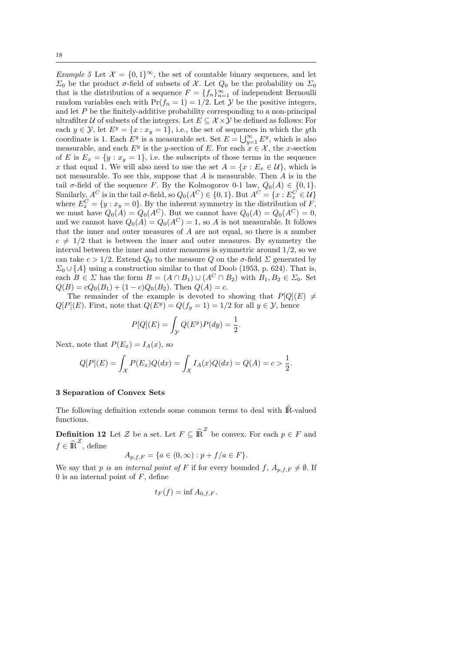Example 5 Let  $\mathcal{X} = \{0,1\}^{\infty}$ , the set of countable binary sequences, and let  $\Sigma_0$  be the product  $\sigma$ -field of subsets of X. Let  $Q_0$  be the probability on  $\Sigma_0$ that is the distribution of a sequence  $F = \{f_n\}_{n=1}^{\infty}$  of independent Bernoulli random variables each with  $Pr(f_n = 1) = 1/2$ . Let  $\mathcal Y$  be the positive integers, and let  $P$  be the finitely-additive probability corresponding to a non-principal ultrafilter U of subsets of the integers. Let  $E \subseteq \mathcal{X} \times \mathcal{Y}$  be defined as follows: For each  $y \in \mathcal{Y}$ , let  $E^y = \{x : x_y = 1\}$ , i.e., the set of sequences in which the yth coordinate is 1. Each  $E^y$  is a measurable set. Set  $E = \bigcup_{y=1}^{\infty} E^y$ , which is also measurable, and each  $E^y$  is the y-section of E. For each  $x \in \mathcal{X}$ , the x-section of E is  $E_x = \{y : x_y = 1\}$ , i.e. the subscripts of those terms in the sequence x that equal 1. We will also need to use the set  $A = \{x : E_x \in \mathcal{U}\}\)$ , which is not measurable. To see this, suppose that  $A$  is measurable. Then  $A$  is in the tail  $\sigma$ -field of the sequence F. By the Kolmogorov 0-1 law,  $Q_0(A) \in \{0,1\}$ . Similarly,  $A^C$  is in the tail  $\sigma$ -field, so  $Q_0(A^C) \in \{0,1\}$ . But  $A^C = \{x : E_x^C \in \mathcal{U}\}\$ where  $E_x^C = \{y : x_y = 0\}$ . By the inherent symmetry in the distribution of F, we must have  $Q_0(A) = Q_0(A^C)$ . But we cannot have  $Q_0(A) = Q_0(A^C) = 0$ , and we cannot have  $Q_0(A) = Q_0(A^C) = 1$ , so A is not measurable. It follows that the inner and outer measures of A are not equal, so there is a number  $c \neq 1/2$  that is between the inner and outer measures. By symmetry the interval between the inner and outer measures is symmetric around 1/2, so we can take  $c > 1/2$ . Extend  $Q_0$  to the measure Q on the  $\sigma$ -field  $\Sigma$  generated by  $\Sigma_0 \cup \{A\}$  using a construction similar to that of Doob (1953, p. 624). That is, each  $B \in \Sigma$  has the form  $B = (A \cap B_1) \cup (A^C \cap B_2)$  with  $B_1, B_2 \in \Sigma_0$ . Set  $Q(B) = cQ_0(B_1) + (1 - c)Q_0(B_2)$ . Then  $Q(A) = c$ .

The remainder of the example is devoted to showing that  $P[Q](E) \neq$  $Q[P](E)$ . First, note that  $Q(E^y) = Q(f_y = 1) = 1/2$  for all  $y \in \mathcal{Y}$ , hence

$$
P[Q](E) = \int_{\mathcal{Y}} Q(E^y) P(dy) = \frac{1}{2}
$$

.

Next, note that  $P(E_x) = I_A(x)$ , so

$$
Q[P](E) = \int_{\mathcal{X}} P(E_x)Q(dx) = \int_{\mathcal{X}} I_A(x)Q(dx) = Q(A) = c > \frac{1}{2}.
$$

#### 3 Separation of Convex Sets

The following definition extends some common terms to deal with  $\widehat{\mathbb{R}}$ -valued functions.

**Definition 12** Let  $\mathcal{Z}$  be a set. Let  $F \subseteq \widehat{\mathbb{R}}^{\mathcal{Z}}$  be convex. For each  $p \in F$  and  $f \in \widehat{\mathbb{R}}^{\mathcal{Z}}, \text{ define}$ 

$$
A_{p,f,F} = \{ a \in (0,\infty) : p + f/a \in F \}.
$$

We say that p is an internal point of F if for every bounded f,  $A_{p,f,F} \neq \emptyset$ . If 0 is an internal point of  $F$ , define

$$
t_F(f) = \inf A_{0,f,F}.
$$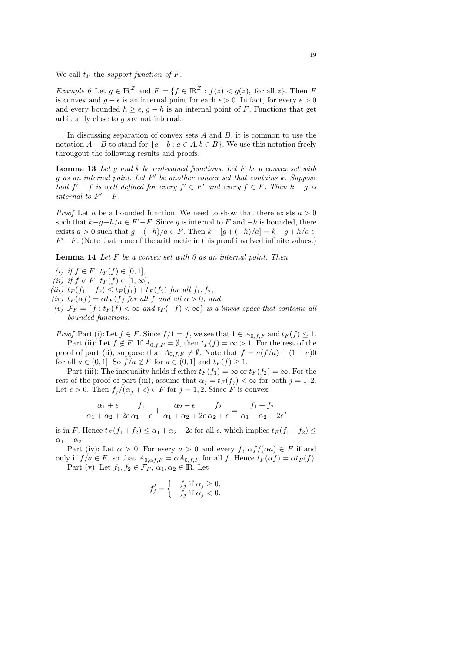We call  $t_F$  the support function of F.

*Example 6* Let  $g \in \mathbb{R}^{\mathcal{Z}}$  and  $F = \{f \in \mathbb{R}^{\mathcal{Z}} : f(z) < g(z)$ , for all  $z\}$ . Then F is convex and  $g - \epsilon$  is an internal point for each  $\epsilon > 0$ . In fact, for every  $\epsilon > 0$ and every bounded  $h \geq \epsilon$ ,  $g - h$  is an internal point of F. Functions that get arbitrarily close to g are not internal.

In discussing separation of convex sets  $A$  and  $B$ , it is common to use the notation  $A-B$  to stand for  $\{a-b : a \in A, b \in B\}$ . We use this notation freely througout the following results and proofs.

**Lemma 13** Let q and k be real-valued functions. Let  $F$  be a convex set with  $g$  as an internal point. Let  $F'$  be another convex set that contains  $k$ . Suppose that  $f'-f$  is well defined for every  $f' \in F'$  and every  $f \in F$ . Then  $k-g$  is internal to  $F' - F$ .

*Proof* Let h be a bounded function. We need to show that there exists  $a > 0$ such that  $k-g+h/a \in F'-F$ . Since g is internal to F and  $-h$  is bounded, there exists  $a > 0$  such that  $g + (-h)/a \in F$ . Then  $k - [g + (-h)/a] = k - g + h/a \in$  $F'-F$ . (Note that none of the arithmetic in this proof involved infinite values.)

**Lemma 14** Let  $F$  be a convex set with 0 as an internal point. Then

- (i) if  $f \in F$ ,  $t_F(f) \in [0,1]$ ,
- (ii) if  $f \notin F$ ,  $t_F(f) \in [1,\infty]$ ,
- (iii)  $t_F(f_1 + f_2) \le t_F(f_1) + t_F(f_2)$  for all  $f_1, f_2$ ,
- (iv)  $t_F(\alpha f) = \alpha t_F(f)$  for all f and all  $\alpha > 0$ , and
- (v)  $\mathcal{F}_F = \{f : t_F(f) < \infty \text{ and } t_F(-f) < \infty\}$  is a linear space that contains all bounded functions.

*Proof* Part (i): Let  $f \in F$ . Since  $f/1 = f$ , we see that  $1 \in A_{0,f,F}$  and  $t_F(f) \leq 1$ .

Part (ii): Let  $f \notin F$ . If  $A_{0,f,F} = \emptyset$ , then  $t_F(f) = \infty > 1$ . For the rest of the proof of part (ii), suppose that  $A_{0,f,F} \neq \emptyset$ . Note that  $f = a(f/a) + (1 - a)0$ for all  $a \in (0,1]$ . So  $f/a \notin F$  for  $a \in (0,1]$  and  $t_F(f) \geq 1$ .

Part (iii): The inequality holds if either  $t_F(f_1) = \infty$  or  $t_F(f_2) = \infty$ . For the rest of the proof of part (iii), assume that  $\alpha_j = t_F(f_j) < \infty$  for both  $j = 1, 2$ . Let  $\epsilon > 0$ . Then  $f_j/(\alpha_j + \epsilon) \in F$  for  $j = 1, 2$ . Since F is convex

$$
\frac{\alpha_1 + \epsilon}{\alpha_1 + \alpha_2 + 2\epsilon} \frac{f_1}{\alpha_1 + \epsilon} + \frac{\alpha_2 + \epsilon}{\alpha_1 + \alpha_2 + 2\epsilon} \frac{f_2}{\alpha_2 + \epsilon} = \frac{f_1 + f_2}{\alpha_1 + \alpha_2 + 2\epsilon}
$$

is in F. Hence  $t_F(f_1 + f_2) \leq \alpha_1 + \alpha_2 + 2\epsilon$  for all  $\epsilon$ , which implies  $t_F(f_1 + f_2) \leq$  $\alpha_1 + \alpha_2$ .

Part (iv): Let  $\alpha > 0$ . For every  $a > 0$  and every  $f, \alpha f/(\alpha a) \in F$  if and only if  $f/a \in F$ , so that  $A_{0,\alpha f,F} = \alpha A_{0,f,F}$  for all f. Hence  $t_F(\alpha f) = \alpha t_F(f)$ . Part (v): Let  $f_1, f_2 \in \mathcal{F}_F$ ,  $\alpha_1, \alpha_2 \in \mathbb{R}$ . Let

$$
f_j' = \begin{cases} f_j & \text{if } \alpha_j \ge 0, \\ -f_j & \text{if } \alpha_j < 0. \end{cases}
$$

,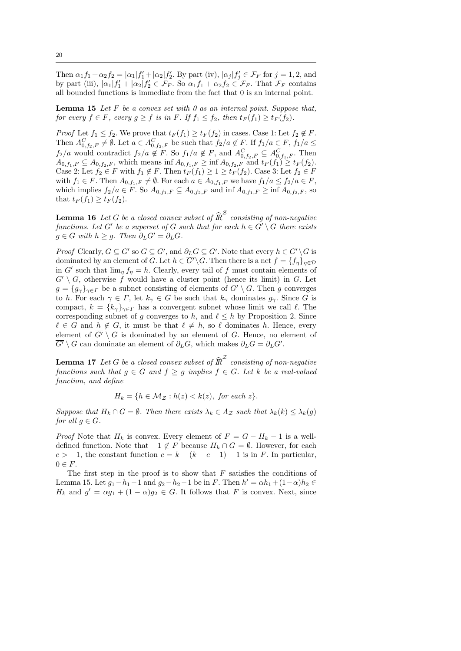Then  $\alpha_1 f_1 + \alpha_2 f_2 = |\alpha_1| f_1' + |\alpha_2| f_2'$ . By part (iv),  $|\alpha_j| f_j' \in \mathcal{F}_F$  for  $j = 1, 2$ , and by part (iii),  $|\alpha_1|f'_1 + |\alpha_2|f'_2 \in \mathcal{F}_F$ . So  $\alpha_1 f_1 + \alpha_2 f_2 \in \mathcal{F}_F$ . That  $\mathcal{F}_F$  contains all bounded functions is immediate from the fact that 0 is an internal point.

**Lemma 15** Let  $F$  be a convex set with  $\theta$  as an internal point. Suppose that, for every  $f \in F$ , every  $g \ge f$  is in F. If  $f_1 \le f_2$ , then  $t_F(f_1) \ge t_F(f_2)$ .

*Proof* Let  $f_1 \leq f_2$ . We prove that  $t_F(f_1) \geq t_F(f_2)$  in cases. Case 1: Let  $f_2 \notin F$ . Then  $A_{0, f_2, F}^C \neq \emptyset$ . Let  $a \in A_{0, f_2, F}^C$  be such that  $f_2/a \notin F$ . If  $f_1/a \in F$ ,  $f_1/a \le$  $f_2/a$  would contradict  $f_2/a \notin F$ . So  $f_1/a \notin F$ , and  $A_{0,f_2,F}^C \subseteq A_{0,f_1,F}^C$ . Then  $A_{0,f_1,F} \subseteq A_{0,f_2,F}$ , which means inf  $A_{0,f_1,F} \geq \inf A_{0,f_2,F}$  and  $t_F(f_1) \geq t_F(f_2)$ . Case 2: Let  $f_2 \in F$  with  $f_1 \notin F$ . Then  $t_F(f_1) \geq 1 \geq t_F(f_2)$ . Case 3: Let  $f_2 \in F$ with  $f_1 \in F$ . Then  $A_{0,f_1,F} \neq \emptyset$ . For each  $a \in A_{0,f_1,F}$  we have  $f_1/a \leq f_2/a \in F$ , which implies  $f_2/a \in F$ . So  $A_{0,f_1,F} \subseteq A_{0,f_2,F}$  and inf  $A_{0,f_1,F} \geq \inf A_{0,f_2,F}$ , so that  $t_F(f_1) \geq t_F(f_2)$ .

**Lemma 16** Let G be a closed convex subset of  $\widehat{R}^z$  consisting of non-negative functions. Let G' be a superset of G such that for each  $h \in G' \setminus G$  there exists  $g \in G$  with  $h \geq g$ . Then  $\partial_L G' = \partial_L G$ .

*Proof* Clearly,  $G \subseteq G'$  so  $G \subseteq \overline{G'}$ , and  $\partial_L G \subseteq \overline{G'}$ . Note that every  $h \in G' \backslash G$  is dominated by an element of G. Let  $h \in \overline{G'} \backslash G$ . Then there is a net  $f = \{f_n\}_{n \in \mathcal{D}}$ in G' such that  $\lim_{\eta} f_{\eta} = h$ . Clearly, every tail of f must contain elements of  $G' \setminus G$ , otherwise f would have a cluster point (hence its limit) in G. Let  $g = \{g_{\gamma}\}_{{\gamma \in \Gamma}}$  be a subnet consisting of elements of  $G' \setminus G$ . Then g converges to h. For each  $\gamma \in \Gamma$ , let  $k_{\gamma} \in G$  be such that  $k_{\gamma}$  dominates  $g_{\gamma}$ . Since G is compact,  $k = \{k_{\gamma}\}_{{\gamma \in \Gamma}}$  has a convergent subnet whose limit we call  $\ell$ . The corresponding subnet of g converges to h, and  $\ell \leq h$  by Proposition 2. Since  $\ell \in G$  and  $h \notin G$ , it must be that  $\ell \neq h$ , so  $\ell$  dominates h. Hence, every element of  $\overline{G'} \setminus G$  is dominated by an element of G. Hence, no element of  $\overline{G'} \setminus G$  can dominate an element of  $\partial_L G$ , which makes  $\partial_L G = \partial_L G'$ .

**Lemma 17** Let G be a closed convex subset of  $\widehat{R}^z$  consisting of non-negative functions such that  $g \in G$  and  $f \ge g$  implies  $f \in G$ . Let k be a real-valued function, and define

$$
H_k = \{ h \in \mathcal{M}_{\mathcal{Z}} : h(z) < k(z), \text{ for each } z \}.
$$

Suppose that  $H_k \cap G = \emptyset$ . Then there exists  $\lambda_k \in A_{\mathcal{Z}}$  such that  $\lambda_k(k) \leq \lambda_k(q)$ for all  $q \in G$ .

*Proof* Note that  $H_k$  is convex. Every element of  $F = G - H_k - 1$  is a welldefined function. Note that  $-1 \notin F$  because  $H_k \cap G = \emptyset$ . However, for each  $c > -1$ , the constant function  $c = k - (k - c - 1) - 1$  is in F. In particular,  $0 \in F$ .

The first step in the proof is to show that  $F$  satisfies the conditions of Lemma 15. Let  $g_1 - h_1 - 1$  and  $g_2 - h_2 - 1$  be in F. Then  $h' = \alpha h_1 + (1 - \alpha)h_2 \in$  $H_k$  and  $g' = \alpha g_1 + (1 - \alpha)g_2 \in G$ . It follows that F is convex. Next, since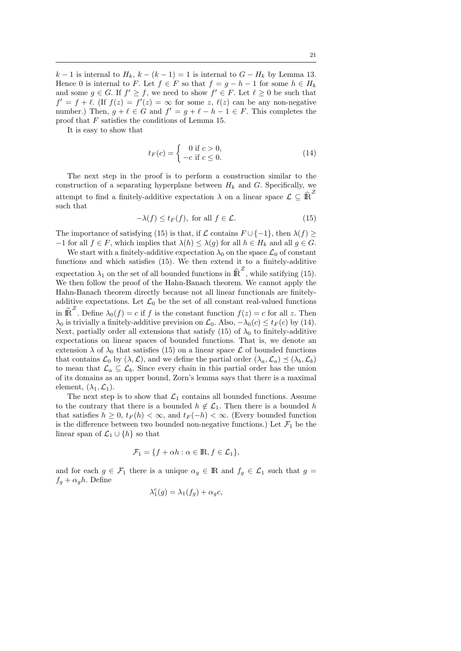$k-1$  is internal to  $H_k$ ,  $k-(k-1)=1$  is internal to  $G-H_k$  by Lemma 13. Hence 0 is internal to F. Let  $f \in F$  so that  $f = g - h - 1$  for some  $h \in H_k$ and some  $g \in G$ . If  $f' \geq f$ , we need to show  $f' \in F$ . Let  $\ell \geq 0$  be such that  $f' = f + \ell$ . (If  $f(z) = f'(z) = \infty$  for some z,  $\ell(z)$  can be any non-negative number.) Then,  $g + \ell \in G$  and  $f' = g + \ell - h - 1 \in F$ . This completes the proof that F satisfies the conditions of Lemma 15.

It is easy to show that

$$
t_F(c) = \begin{cases} 0 \text{ if } c > 0, \\ -c \text{ if } c \le 0. \end{cases}
$$
 (14)

The next step in the proof is to perform a construction similar to the construction of a separating hyperplane between  $H_k$  and G. Specifically, we attempt to find a finitely-additive expectation  $\lambda$  on a linear space  $\mathcal{L} \subseteq \widehat{IR}^{\mathcal{Z}}$ such that

$$
-\lambda(f) \le t_F(f), \text{ for all } f \in \mathcal{L}.
$$
 (15)

The importance of satisfying (15) is that, if  $\mathcal L$  contains  $F \cup \{-1\}$ , then  $\lambda(f)$  $-1$  for all  $f \in F$ , which implies that  $\lambda(h) \leq \lambda(g)$  for all  $h \in H_k$  and all  $g \in G$ .

We start with a finitely-additive expectation  $\lambda_0$  on the space  $\mathcal{L}_0$  of constant functions and which satisfies (15). We then extend it to a finitely-additive expectation  $\lambda_1$  on the set of all bounded functions in  $\widehat{R}^{\mathcal{Z}}$ , while satifying (15). We then follow the proof of the Hahn-Banach theorem. We cannot apply the Hahn-Banach theorem directly because not all linear functionals are finitelyadditive expectations. Let  $\mathcal{L}_0$  be the set of all constant real-valued functions in  $\widehat{\mathbb{R}}^Z$ . Define  $\lambda_0(f) = c$  if f is the constant function  $f(z) = c$  for all z. Then  $\lambda_0$  is trivially a finitely-additive prevision on  $\mathcal{L}_0$ . Also,  $-\lambda_0(c) \le t_F(c)$  by (14). Next, partially order all extensions that satisfy (15) of  $\lambda_0$  to finitely-additive expectations on linear spaces of bounded functions. That is, we denote an extension  $\lambda$  of  $\lambda_0$  that satisfies (15) on a linear space  $\mathcal L$  of bounded functions that contains  $\mathcal{L}_0$  by  $(\lambda, \mathcal{L})$ , and we define the partial order  $(\lambda_a, \mathcal{L}_a) \preceq (\lambda_b, \mathcal{L}_b)$ to mean that  $\mathcal{L}_a \subseteq \mathcal{L}_b$ . Since every chain in this partial order has the union of its domains as an upper bound, Zorn's lemma says that there is a maximal element,  $(\lambda_1, \mathcal{L}_1)$ .

The next step is to show that  $\mathcal{L}_1$  contains all bounded functions. Assume to the contrary that there is a bounded  $h \notin \mathcal{L}_1$ . Then there is a bounded h that satisfies  $h \geq 0$ ,  $t_F(h) < \infty$ , and  $t_F(-h) < \infty$ . (Every bounded function is the difference between two bounded non-negative functions.) Let  $\mathcal{F}_1$  be the linear span of  $\mathcal{L}_1 \cup \{h\}$  so that

$$
\mathcal{F}_1 = \{ f + \alpha h : \alpha \in \mathbb{R}, f \in \mathcal{L}_1 \},
$$

and for each  $g \in \mathcal{F}_1$  there is a unique  $\alpha_g \in \mathbb{R}$  and  $f_g \in \mathcal{L}_1$  such that  $g =$  $f_g + \alpha_g h$ . Define

$$
\lambda_1^c(g) = \lambda_1(f_g) + \alpha_g c,
$$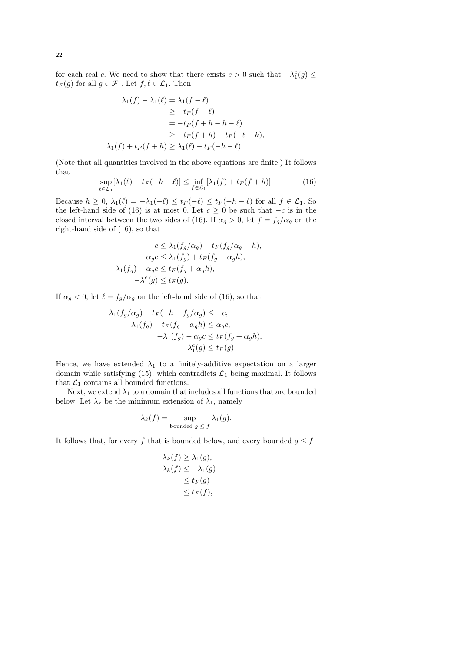for each real c. We need to show that there exists  $c > 0$  such that  $-\lambda_1^c(g) \leq$  $t_F(g)$  for all  $g \in \mathcal{F}_1$ . Let  $f, \ell \in \mathcal{L}_1$ . Then

$$
\lambda_1(f) - \lambda_1(\ell) = \lambda_1(f - \ell)
$$
  
\n
$$
\geq -t_F(f - \ell)
$$
  
\n
$$
= -t_F(f + h - h - \ell)
$$
  
\n
$$
\geq -t_F(f + h) - t_F(-\ell - h),
$$
  
\n
$$
\lambda_1(f) + t_F(f + h) \geq \lambda_1(\ell) - t_F(-h - \ell).
$$

(Note that all quantities involved in the above equations are finite.) It follows that

$$
\sup_{\ell \in \mathcal{L}_1} [\lambda_1(\ell) - t_F(-h - \ell)] \le \inf_{f \in \mathcal{L}_1} [\lambda_1(f) + t_F(f + h)]. \tag{16}
$$

Because  $h \geq 0$ ,  $\lambda_1(\ell) = -\lambda_1(-\ell) \leq t_F(-\ell) \leq t_F(-h-\ell)$  for all  $f \in \mathcal{L}_1$ . So the left-hand side of (16) is at most 0. Let  $c \ge 0$  be such that  $-c$  is in the closed interval between the two sides of (16). If  $\alpha_g > 0$ , let  $f = f_g/\alpha_g$  on the right-hand side of (16), so that

$$
-c \leq \lambda_1(f_g/\alpha_g) + t_F(f_g/\alpha_g + h),
$$
  

$$
-\alpha_g c \leq \lambda_1(f_g) + t_F(f_g + \alpha_g h),
$$
  

$$
-\lambda_1(f_g) - \alpha_g c \leq t_F(f_g + \alpha_g h),
$$
  

$$
-\lambda_1^c(g) \leq t_F(g).
$$

If  $\alpha_g < 0$ , let  $\ell = f_g/\alpha_g$  on the left-hand side of (16), so that

$$
\lambda_1(f_g/\alpha_g) - t_F(-h - f_g/\alpha_g) \leq -c,
$$
  

$$
-\lambda_1(f_g) - t_F(f_g + \alpha_g h) \leq \alpha_g c,
$$
  

$$
-\lambda_1(f_g) - \alpha_g c \leq t_F(f_g + \alpha_g h),
$$
  

$$
-\lambda_1^c(g) \leq t_F(g).
$$

Hence, we have extended  $\lambda_1$  to a finitely-additive expectation on a larger domain while satisfying (15), which contradicts  $\mathcal{L}_1$  being maximal. It follows that  $\mathcal{L}_1$  contains all bounded functions.

Next, we extend  $\lambda_1$  to a domain that includes all functions that are bounded below. Let  $\lambda_k$  be the minimum extension of  $\lambda_1$ , namely

$$
\lambda_k(f) = \sup_{\text{bounded } g \le f} \lambda_1(g).
$$

It follows that, for every f that is bounded below, and every bounded  $g \leq f$ 

$$
\lambda_k(f) \geq \lambda_1(g),
$$
  

$$
-\lambda_k(f) \leq -\lambda_1(g)
$$
  

$$
\leq t_F(g)
$$
  

$$
\leq t_F(f),
$$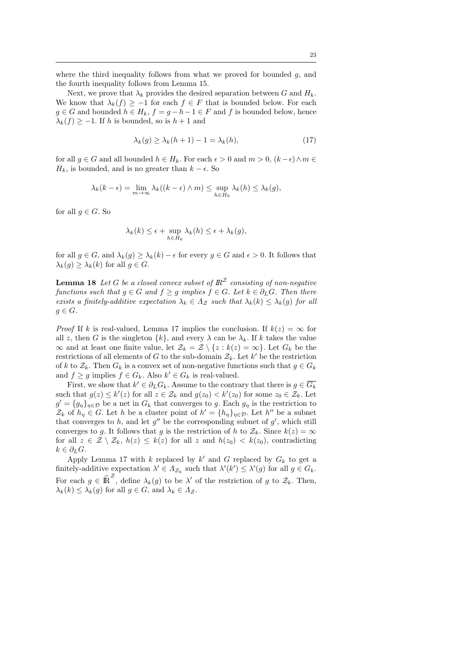where the third inequality follows from what we proved for bounded  $g$ , and the fourth inequality follows from Lemma 15.

Next, we prove that  $\lambda_k$  provides the desired separation between G and  $H_k$ . We know that  $\lambda_k(f) \geq -1$  for each  $f \in F$  that is bounded below. For each  $g \in G$  and bounded  $h \in H_k$ ,  $f = g - h - 1 \in F$  and f is bounded below, hence  $\lambda_k(f) \geq -1$ . If h is bounded, so is  $h + 1$  and

$$
\lambda_k(g) \ge \lambda_k(h+1) - 1 = \lambda_k(h),\tag{17}
$$

for all  $g \in G$  and all bounded  $h \in H_k$ . For each  $\epsilon > 0$  and  $m > 0$ ,  $(k - \epsilon) \wedge m \in$  $H_k$ , is bounded, and is no greater than  $k - \epsilon$ . So

$$
\lambda_k(k-\epsilon) = \lim_{m \to \infty} \lambda_k((k-\epsilon) \wedge m) \leq \sup_{h \in H_k} \lambda_k(h) \leq \lambda_k(g),
$$

for all  $g \in G$ . So

$$
\lambda_k(k) \le \epsilon + \sup_{h \in H_k} \lambda_k(h) \le \epsilon + \lambda_k(g),
$$

for all  $g \in G$ , and  $\lambda_k(g) \geq \lambda_k(k) - \epsilon$  for every  $g \in G$  and  $\epsilon > 0$ . It follows that  $\lambda_k(g) \geq \lambda_k(k)$  for all  $g \in G$ .

**Lemma 18** Let G be a closed convex subset of  $\mathbb{R}^{\mathcal{Z}}$  consisting of non-negative functions such that  $g \in G$  and  $f \ge g$  implies  $f \in G$ . Let  $k \in \partial_L G$ . Then there exists a finitely-additive expectation  $\lambda_k \in \Lambda_{\mathcal{Z}}$  such that  $\lambda_k(k) \leq \lambda_k(g)$  for all  $g \in G$ .

*Proof* If k is real-valued, Lemma 17 implies the conclusion. If  $k(z) = \infty$  for all z, then G is the singleton  $\{k\}$ , and every  $\lambda$  can be  $\lambda_k$ . If k takes the value  $\infty$  and at least one finite value, let  $\mathcal{Z}_k = \mathcal{Z} \setminus \{z : k(z) = \infty\}$ . Let  $G_k$  be the restrictions of all elements of G to the sub-domain  $\mathcal{Z}_k$ . Let  $k'$  be the restriction of k to  $\mathcal{Z}_k$ . Then  $G_k$  is a convex set of non-negative functions such that  $g \in G_k$ and  $f \ge g$  implies  $f \in G_k$ . Also  $k' \in G_k$  is real-valued.

First, we show that  $k' \in \partial_L G_k$ . Assume to the contrary that there is  $g \in \overline{G_k}$ such that  $g(z) \leq k'(z)$  for all  $z \in \mathcal{Z}_k$  and  $g(z_0) < k'(z_0)$  for some  $z_0 \in \mathcal{Z}_k$ . Let  $g' = \{g_{\eta}\}_{{\eta \in \mathcal{D}}}$  be a net in  $G_k$  that converges to g. Each  $g_{\eta}$  is the restriction to  $\mathcal{Z}_k$  of  $h_\eta \in G$ . Let h be a cluster point of  $h' = \{h_\eta\}_{\eta \in \mathcal{D}}$ . Let h'' be a subnet that converges to h, and let  $g''$  be the corresponding subnet of  $g'$ , which still converges to g. It follows that g is the restriction of h to  $\mathcal{Z}_k$ . Since  $k(z) = \infty$ for all  $z \in \mathcal{Z} \setminus \mathcal{Z}_k$ ,  $h(z) \leq k(z)$  for all z and  $h(z_0) < k(z_0)$ , contradicting  $k \in \partial_L G$ .

Apply Lemma 17 with  $k$  replaced by  $k'$  and  $G$  replaced by  $G_k$  to get a finitely-additive expectation  $\lambda' \in \Lambda_{\mathcal{Z}_k}$  such that  $\lambda'(k') \leq \lambda'(g)$  for all  $g \in G_k$ . For each  $g \in \widehat{\mathbb{R}}^{\mathcal{Z}}$ , define  $\lambda_k(g)$  to be  $\lambda'$  of the restriction of g to  $\mathcal{Z}_k$ . Then,  $\lambda_k(k) \leq \lambda_k(g)$  for all  $g \in G$ , and  $\lambda_k \in \Lambda_{\mathcal{Z}}$ .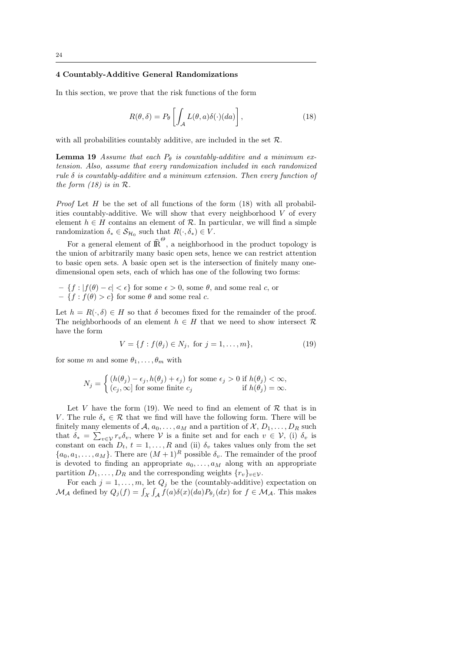### 4 Countably-Additive General Randomizations

In this section, we prove that the risk functions of the form

$$
R(\theta, \delta) = P_{\theta} \left[ \int_{\mathcal{A}} L(\theta, a) \delta(\cdot) (da) \right],
$$
 (18)

with all probabilities countably additive, are included in the set  $\mathcal{R}$ .

**Lemma 19** Assume that each  $P_{\theta}$  is countably-additive and a minimum extension. Also, assume that every randomization included in each randomized rule  $\delta$  is countably-additive and a minimum extension. Then every function of the form  $(18)$  is in  $\mathcal{R}$ .

*Proof* Let  $H$  be the set of all functions of the form  $(18)$  with all probabilities countably-additive. We will show that every neighborhood  $V$  of every element  $h \in H$  contains an element of  $\mathcal R$ . In particular, we will find a simple randomization  $\delta_* \in \mathcal{S}_{\mathcal{H}_0}$  such that  $R(\cdot, \delta_*) \in V$ .

For a general element of  $\widehat{\mathbb{R}}^{\Theta}$ , a neighborhood in the product topology is the union of arbitrarily many basic open sets, hence we can restrict attention to basic open sets. A basic open set is the intersection of finitely many onedimensional open sets, each of which has one of the following two forms:

 $- \{f : |f(\theta) - c| < \epsilon\}$  for some  $\epsilon > 0$ , some  $\theta$ , and some real c, or  $- \{f : f(\theta) > c\}$  for some  $\theta$  and some real c.

Let  $h = R(\cdot, \delta) \in H$  so that  $\delta$  becomes fixed for the remainder of the proof. The neighborhoods of an element  $h \in H$  that we need to show intersect R have the form

$$
V = \{ f : f(\theta_j) \in N_j, \text{ for } j = 1, ..., m \},\tag{19}
$$

for some m and some  $\theta_1, \ldots, \theta_m$  with

$$
N_j = \begin{cases} (h(\theta_j) - \epsilon_j, h(\theta_j) + \epsilon_j) & \text{for some } \epsilon_j > 0 \text{ if } h(\theta_j) < \infty, \\ (c_j, \infty] & \text{for some finite } c_j \end{cases}
$$

Let V have the form (19). We need to find an element of  $\mathcal R$  that is in V. The rule  $\delta_* \in \mathcal{R}$  that we find will have the following form. There will be finitely many elements of  $A, a_0, \ldots, a_M$  and a partition of  $\mathcal{X}, D_1, \ldots, D_R$  such that  $\delta_* = \sum_{v \in \mathcal{V}} r_v \delta_v$ , where  $\mathcal{V}$  is a finite set and for each  $v \in \mathcal{V}$ , (i)  $\delta_v$  is constant on each  $D_t$ ,  $t = 1, ..., R$  and (ii)  $\delta_v$  takes values only from the set  ${a_0, a_1, \ldots, a_M}$ . There are  $(M+1)^R$  possible  $\delta_v$ . The remainder of the proof is devoted to finding an appropriate  $a_0, \ldots, a_M$  along with an appropriate partition  $D_1, \ldots, D_R$  and the corresponding weights  $\{r_v\}_{v \in \mathcal{V}}$ .

For each  $j = 1, ..., m$ , let  $Q_j$  be the (countably-additive) expectation on  $\mathcal{M}_{\mathcal{A}}$  defined by  $Q_j(f) = \int_{\mathcal{X}} \int_{\mathcal{A}} f(a) \delta(x) (da) P_{\theta_j}(dx)$  for  $f \in \mathcal{M}_{\mathcal{A}}$ . This makes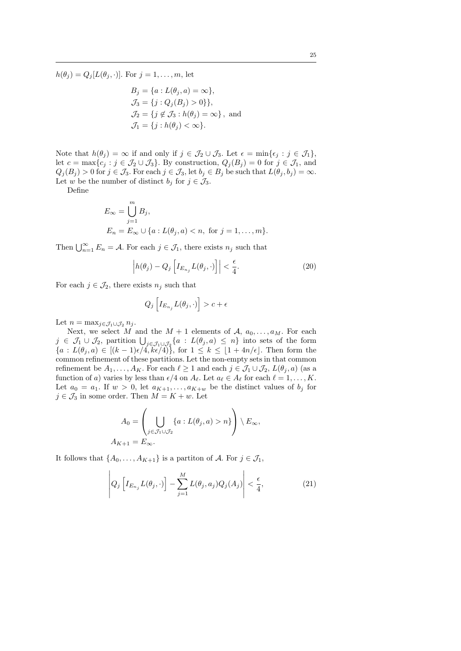$h(\theta_j) = Q_j[L(\theta_j, \cdot)]$ . For  $j = 1, \ldots, m$ , let

$$
B_j = \{a : L(\theta_j, a) = \infty\},
$$
  
\n
$$
\mathcal{J}_3 = \{j : Q_j(B_j) > 0\},
$$
  
\n
$$
\mathcal{J}_2 = \{j \notin \mathcal{J}_3 : h(\theta_j) = \infty\},
$$
 and  
\n
$$
\mathcal{J}_1 = \{j : h(\theta_j) < \infty\}.
$$

Note that  $h(\theta_j) = \infty$  if and only if  $j \in \mathcal{J}_2 \cup \mathcal{J}_3$ . Let  $\epsilon = \min\{\epsilon_j : j \in \mathcal{J}_1\},\$ let  $c = \max\{c_j : j \in \mathcal{J}_2 \cup \mathcal{J}_3\}$ . By construction,  $Q_j(B_j) = 0$  for  $j \in \mathcal{J}_1$ , and  $Q_j(B_j) > 0$  for  $j \in \mathcal{J}_3$ . For each  $j \in \mathcal{J}_3$ , let  $b_j \in B_j$  be such that  $L(\theta_j, b_j) = \infty$ . Let w be the number of distinct  $b_j$  for  $j \in \mathcal{J}_3$ .

Define

$$
E_{\infty} = \bigcup_{j=1}^{m} B_j,
$$
  
\n
$$
E_n = E_{\infty} \cup \{a : L(\theta_j, a) < n, \text{ for } j = 1, \dots, m\}.
$$

Then  $\bigcup_{n=1}^{\infty} E_n = A$ . For each  $j \in \mathcal{J}_1$ , there exists  $n_j$  such that

$$
\left| h(\theta_j) - Q_j \left[ I_{E_{n_j}} L(\theta_j, \cdot) \right] \right| < \frac{\epsilon}{4}.\tag{20}
$$

For each  $j \in \mathcal{J}_2$ , there exists  $n_j$  such that

$$
Q_j\left[I_{E_{n_j}}L(\theta_j,\cdot)\right]>c+\epsilon
$$

Let  $n = \max_{j \in \mathcal{J}_1 \cup \mathcal{J}_2} n_j$ .

 $\boldsymbol{A}$ 

Next, we select M and the  $M + 1$  elements of  $A, a_0, \ldots, a_M$ . For each  $j \in \mathcal{J}_1 \cup \mathcal{J}_2$ , partition  $\bigcup_{j \in \mathcal{J}_1 \cup \mathcal{J}_2} \{a : L(\theta_j, a) \leq n\}$  into sets of the form  ${a : L(\theta_j, a) \in [(k-1)\epsilon/4, k\epsilon/4]},$  for  $1 \leq k \leq \lfloor 1 + 4n/\epsilon \rfloor$ . Then form the common refinement of these partitions. Let the non-empty sets in that common refinement be  $A_1, \ldots, A_K$ . For each  $\ell \geq 1$  and each  $j \in \mathcal{J}_1 \cup \mathcal{J}_2$ ,  $L(\theta_j, a)$  (as a function of a) varies by less than  $\epsilon/4$  on  $A_\ell$ . Let  $a_\ell \in A_\ell$  for each  $\ell = 1, \ldots, K$ . Let  $a_0 = a_1$ . If  $w > 0$ , let  $a_{K+1}, \ldots, a_{K+w}$  be the distinct values of  $b_j$  for  $j \in \mathcal{J}_3$  in some order. Then  $M = K + w$ . Let

$$
A_0 = \left(\bigcup_{j \in \mathcal{J}_1 \cup \mathcal{J}_2} \{a : L(\theta_j, a) > n\}\right) \setminus E_{\infty},
$$
  

$$
K+1 = E_{\infty}.
$$

It follows that  $\{A_0, \ldots, A_{K+1}\}\$ is a partiton of A. For  $j \in \mathcal{J}_1$ ,

$$
\left| Q_j \left[ I_{E_{n_j}} L(\theta_j, \cdot) \right] - \sum_{j=1}^M L(\theta_j, a_j) Q_j(A_j) \right| < \frac{\epsilon}{4},\tag{21}
$$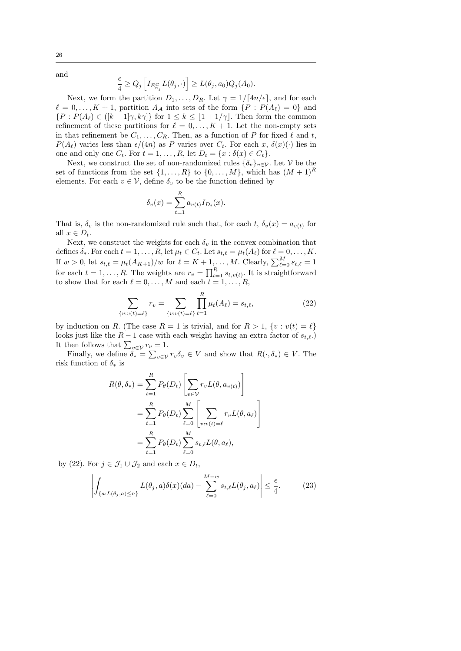and

26

$$
\frac{\epsilon}{4} \ge Q_j \left[ I_{E_{n_j}^C} L(\theta_j, \cdot) \right] \ge L(\theta_j, a_0) Q_j(A_0).
$$

Next, we form the partition  $D_1, \ldots, D_R$ . Let  $\gamma = 1/[4n/\epsilon]$ , and for each  $\ell = 0, \ldots, K + 1$ , partition  $\Lambda_A$  into sets of the form  $\{P : P(A_\ell) = 0\}$  and  $\{P: P(A_\ell) \in ([k-1]\gamma, k\gamma]\}$  for  $1 \leq k \leq \lfloor 1 + 1/\gamma \rfloor$ . Then form the common refinement of these partitions for  $\ell = 0, \ldots, K + 1$ . Let the non-empty sets in that refinement be  $C_1, \ldots, C_R$ . Then, as a function of P for fixed  $\ell$  and t,  $P(A_\ell)$  varies less than  $\epsilon/(4n)$  as P varies over  $C_t$ . For each x,  $\delta(x)(\cdot)$  lies in one and only one  $C_t$ . For  $t = 1, \ldots, R$ , let  $D_t = \{x : \delta(x) \in C_t\}$ .

Next, we construct the set of non-randomized rules  $\{\delta_v\}_{v\in\mathcal{V}}$ . Let V be the set of functions from the set  $\{1, \ldots, R\}$  to  $\{0, \ldots, M\}$ , which has  $(M+1)^R$ elements. For each  $v \in V$ , define  $\delta_v$  to be the function defined by

$$
\delta_v(x) = \sum_{t=1}^R a_{v(t)} I_{D_t}(x).
$$

That is,  $\delta_v$  is the non-randomized rule such that, for each t,  $\delta_v(x) = a_{v(t)}$  for all  $x \in D_t$ .

Next, we construct the weights for each  $\delta_v$  in the convex combination that defines  $\delta_*$ . For each  $t = 1, \ldots, R$ , let  $\mu_t \in C_t$ . Let  $s_{t,\ell} = \mu_t(A_\ell)$  for  $\ell = 0, \ldots, K$ . If  $w > 0$ , let  $s_{t,\ell} = \mu_t(A_{K+1})/w$  for  $\ell = K + 1, \ldots, M$ . Clearly,  $\sum_{\ell=0}^{M} s_{t,\ell} = 1$ for each  $t = 1, ..., R$ . The weights are  $r_v = \prod_{t=1}^R s_{t,v(t)}$ . It is straightforward to show that for each  $\ell = 0, \ldots, M$  and each  $t = 1, \ldots, R$ ,

$$
\sum_{\{v:v(t)=\ell\}} r_v = \sum_{\{v:v(t)=\ell\}} \prod_{t=1}^R \mu_t(A_\ell) = s_{t,\ell},\tag{22}
$$

by induction on R. (The case  $R = 1$  is trivial, and for  $R > 1$ ,  $\{v : v(t) = \ell\}$ looks just like the  $R - 1$  case with each weight having an extra factor of  $s_{t,\ell}$ . It then follows that  $\sum_{v \in \mathcal{V}} r_v = 1$ .

Finally, we define  $\delta_* = \sum_{v \in V} r_v \delta_v \in V$  and show that  $R(\cdot, \delta_*) \in V$ . The risk function of  $\delta_*$  is

$$
R(\theta, \delta_*) = \sum_{t=1}^R P_{\theta}(D_t) \left[ \sum_{v \in \mathcal{V}} r_v L(\theta, a_{v(t)}) \right]
$$
  
= 
$$
\sum_{t=1}^R P_{\theta}(D_t) \sum_{\ell=0}^M \left[ \sum_{v:v(t)=\ell} r_v L(\theta, a_{\ell}) \right]
$$
  
= 
$$
\sum_{t=1}^R P_{\theta}(D_t) \sum_{\ell=0}^M s_{t,\ell} L(\theta, a_{\ell}),
$$

by (22). For  $j \in \mathcal{J}_1 \cup \mathcal{J}_2$  and each  $x \in D_t$ ,

$$
\left| \int_{\{a: L(\theta_j, a) \le n\}} L(\theta_j, a) \delta(x) (da) - \sum_{\ell=0}^{M-w} s_{t,\ell} L(\theta_j, a_\ell) \right| \le \frac{\epsilon}{4}.
$$
 (23)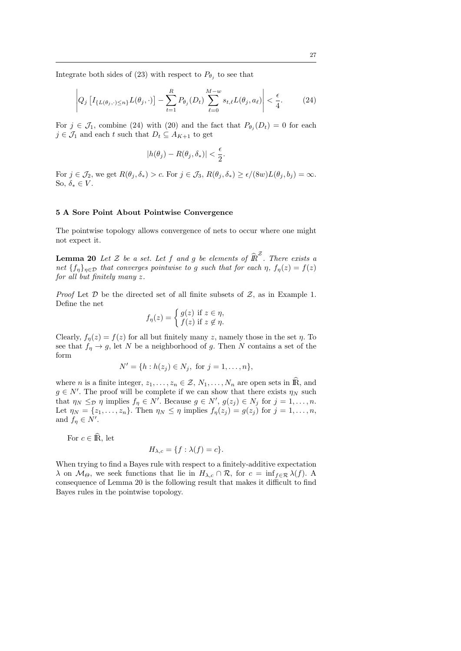Integrate both sides of (23) with respect to  $P_{\theta_j}$  to see that

$$
\left| Q_j \left[ I_{\{L(\theta_j, \cdot) \le n\}} L(\theta_j, \cdot) \right] - \sum_{t=1}^R P_{\theta_j}(D_t) \sum_{\ell=0}^{M-w} s_{t,\ell} L(\theta_j, a_\ell) \right| < \frac{\epsilon}{4}.
$$
 (24)

For  $j \in \mathcal{J}_1$ , combine (24) with (20) and the fact that  $P_{\theta_j}(D_t) = 0$  for each  $j \in \mathcal{J}_1$  and each t such that  $D_t \subseteq A_{K+1}$  to get

$$
|h(\theta_j) - R(\theta_j, \delta_*)| < \frac{\epsilon}{2}.
$$

For  $j \in \mathcal{J}_2$ , we get  $R(\theta_j, \delta_*) > c$ . For  $j \in \mathcal{J}_3$ ,  $R(\theta_j, \delta_*) \geq \epsilon/(8w)L(\theta_j, b_j) = \infty$ . So,  $\delta_* \in V$ .

#### 5 A Sore Point About Pointwise Convergence

The pointwise topology allows convergence of nets to occur where one might not expect it.

**Lemma 20** Let Z be a set. Let f and g be elements of  $\widehat{R}^{\mathcal{Z}}$ . There exists a net  ${f_n}_{n\in\mathcal{D}}$  that converges pointwise to g such that for each  $\eta$ ,  $f_n(z) = f(z)$ for all but finitely many z.

*Proof* Let  $D$  be the directed set of all finite subsets of  $Z$ , as in Example 1. Define the net

$$
f_{\eta}(z) = \begin{cases} g(z) & \text{if } z \in \eta, \\ f(z) & \text{if } z \notin \eta. \end{cases}
$$

Clearly,  $f_{\eta}(z) = f(z)$  for all but finitely many z, namely those in the set  $\eta$ . To see that  $f_{\eta} \to g$ , let N be a neighborhood of g. Then N contains a set of the form

$$
N' = \{h : h(z_j) \in N_j, \text{ for } j = 1, ..., n\},\
$$

where *n* is a finite integer,  $z_1, \ldots, z_n \in \mathcal{Z}, N_1, \ldots, N_n$  are open sets in  $\hat{\mathbb{R}}$ , and  $g \in N'$ . The proof will be complete if we can show that there exists  $\eta_N$  such that  $\eta_N \leq_{\mathcal{D}} \eta$  implies  $f_\eta \in N'$ . Because  $g \in N'$ ,  $g(z_j) \in N_j$  for  $j = 1, \ldots, n$ . Let  $\eta_N = \{z_1, \ldots, z_n\}$ . Then  $\eta_N \leq \eta$  implies  $f_\eta(z_j) = g(z_j)$  for  $j = 1, \ldots, n$ , and  $f_{\eta} \in N'.$ 

For  $c \in \widehat{\mathbb{R}}$ , let

$$
H_{\lambda,c} = \{f : \lambda(f) = c\}.
$$

When trying to find a Bayes rule with respect to a finitely-additive expectation  $\lambda$  on  $\mathcal{M}_{\Theta}$ , we seek functions that lie in  $H_{\lambda,c} \cap \mathcal{R}$ , for  $c = \inf_{f \in \mathcal{R}} \lambda(f)$ . A consequence of Lemma 20 is the following result that makes it difficult to find Bayes rules in the pointwise topology.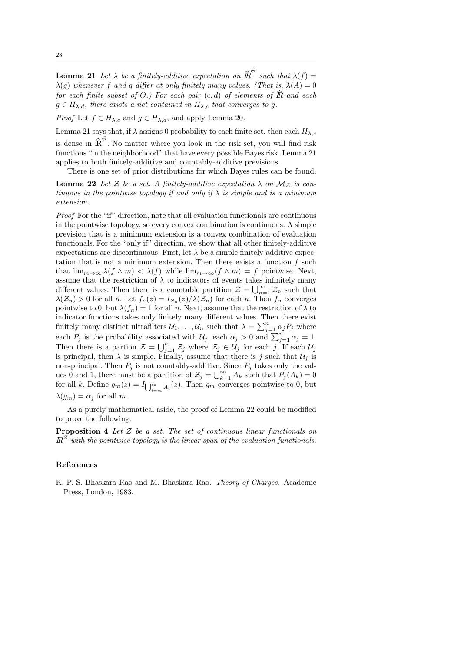**Lemma 21** Let  $\lambda$  be a finitely-additive expectation on  $\widehat{R}^{\Theta}$  such that  $\lambda(f) = \lambda(f)$  $\lambda(q)$  whenever f and q differ at only finitely many values. (That is,  $\lambda(A) = 0$ for each finite subset of  $\Theta$ .) For each pair  $(c, d)$  of elements of  $\overline{R}$  and each  $g \in H_{\lambda,d}$ , there exists a net contained in  $H_{\lambda,c}$  that converges to g.

*Proof* Let  $f \in H_{\lambda,c}$  and  $g \in H_{\lambda,d}$ , and apply Lemma 20.

Lemma 21 says that, if  $\lambda$  assigns 0 probability to each finite set, then each  $H_{\lambda,c}$ is dense in  $\widehat{\mathbb{R}}^{\Theta}$ . No matter where you look in the risk set, you will find risk functions "in the neighborhood" that have every possible Bayes risk. Lemma 21 applies to both finitely-additive and countably-additive previsions.

There is one set of prior distributions for which Bayes rules can be found.

**Lemma 22** Let Z be a set. A finitely-additive expectation  $\lambda$  on  $\mathcal{M}_{\mathcal{Z}}$  is continuous in the pointwise topology if and only if  $\lambda$  is simple and is a minimum extension.

Proof For the "if" direction, note that all evaluation functionals are continuous in the pointwise topology, so every convex combination is continuous. A simple prevision that is a minimum extension is a convex combination of evaluation functionals. For the "only if" direction, we show that all other finitely-additive expectations are discontinuous. First, let  $\lambda$  be a simple finitely-additive expectation that is not a minimum extension. Then there exists a function  $f$  such that  $\lim_{m\to\infty}\lambda(f\wedge m)<\lambda(f)$  while  $\lim_{m\to\infty}(f\wedge m)>f$  pointwise. Next, assume that the restriction of  $\lambda$  to indicators of events takes infinitely many different values. Then there is a countable partition  $\mathcal{Z} = \bigcup_{n=1}^{\infty} \mathcal{Z}_n$  such that  $\lambda(\mathcal{Z}_n) > 0$  for all *n*. Let  $f_n(z) = I_{\mathcal{Z}_n}(z)/\lambda(\mathcal{Z}_n)$  for each *n*. Then  $f_n$  converges pointwise to 0, but  $\lambda(f_n) = 1$  for all n. Next, assume that the restriction of  $\lambda$  to indicator functions takes only finitely many different values. Then there exist finitely many distinct ultrafilters  $\mathcal{U}_1, \ldots, \mathcal{U}_n$  such that  $\lambda = \sum_{j=1}^n \alpha_j P_j$  where each  $P_j$  is the probability associated with  $\mathcal{U}_j$ , each  $\alpha_j > 0$  and  $\sum_{j=1}^n \alpha_j = 1$ . Then there is a partion  $\mathcal{Z} = \bigcup_{j=1}^n \mathcal{Z}_j$  where  $\mathcal{Z}_j \in \mathcal{U}_j$  for each j. If each  $\mathcal{U}_j$ is principal, then  $\lambda$  is simple. Finally, assume that there is j such that  $\mathcal{U}_j$  is non-principal. Then  $P_i$  is not countably-additive. Since  $P_i$  takes only the values 0 and 1, there must be a partition of  $\mathcal{Z}_j = \bigcup_{k=1}^{\infty} A_k$  such that  $P_j(A_k) = 0$ for all k. Define  $g_m(z) = I_{\bigcup_{i=m}^{\infty} A_i}(z)$ . Then  $g_m$  converges pointwise to 0, but  $\lambda(q_m) = \alpha_i$  for all m.

As a purely mathematical aside, the proof of Lemma 22 could be modified to prove the following.

**Proposition 4** Let  $\mathcal{Z}$  be a set. The set of continuous linear functionals on  $\mathbb{R}^2$  with the pointwise topology is the linear span of the evaluation functionals.

### References

K. P. S. Bhaskara Rao and M. Bhaskara Rao. Theory of Charges. Academic Press, London, 1983.